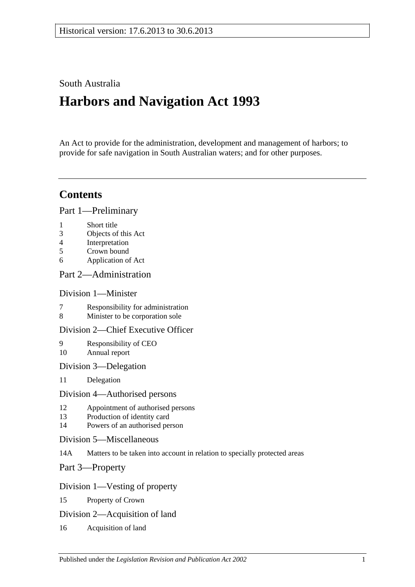### South Australia

# **Harbors and Navigation Act 1993**

An Act to provide for the administration, development and management of harbors; to provide for safe navigation in South Australian waters; and for other purposes.

## **Contents**

[Part 1—Preliminary](#page-6-0)

- 1 [Short title](#page-6-1)
- 3 [Objects of this Act](#page-6-2)
- 4 [Interpretation](#page-6-3)
- 5 [Crown bound](#page-10-0)
- 6 [Application of Act](#page-10-1)

### [Part 2—Administration](#page-12-0)

### [Division 1—Minister](#page-12-1)

- 7 [Responsibility for administration](#page-12-2)<br>8 Minister to be corporation sole
- [Minister to be corporation sole](#page-12-3)

### [Division 2—Chief Executive Officer](#page-12-4)

- 9 [Responsibility of CEO](#page-12-5) 10 [Annual report](#page-12-6)
- [Division 3—Delegation](#page-12-7)
- 11 [Delegation](#page-12-8)

### [Division 4—Authorised persons](#page-12-9)

- 12 [Appointment of authorised persons](#page-12-10)
- 13 [Production of identity card](#page-13-0)
- 14 [Powers of an authorised person](#page-13-1)
- [Division 5—Miscellaneous](#page-15-0)
- 14A [Matters to be taken into account in relation to specially protected areas](#page-15-1)

[Part 3—Property](#page-16-0)

### [Division 1—Vesting of property](#page-16-1)

- 15 [Property of Crown](#page-16-2)
- [Division 2—Acquisition of land](#page-16-3)
- 16 [Acquisition of land](#page-16-4)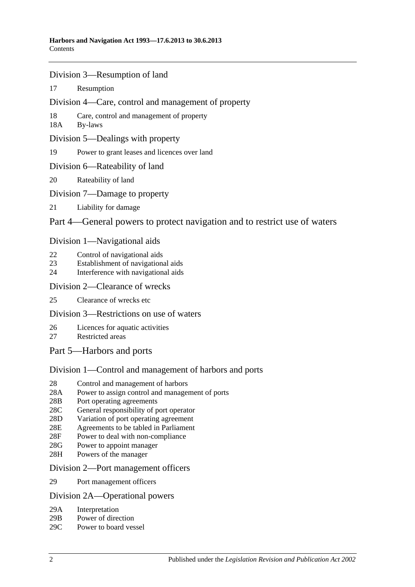- [Division 3—Resumption of land](#page-16-5)
- 17 [Resumption](#page-16-6)
- [Division 4—Care, control and management of property](#page-17-0)
- 18 [Care, control and management of property](#page-17-1)
- 18A [By-laws](#page-17-2)
- [Division 5—Dealings with property](#page-18-0)
- 19 [Power to grant leases and licences over land](#page-18-1)
- [Division 6—Rateability of land](#page-18-2)
- 20 [Rateability of land](#page-18-3)
- [Division 7—Damage to property](#page-18-4)
- 21 [Liability for damage](#page-18-5)

### [Part 4—General powers to protect navigation and to restrict use of waters](#page-20-0)

### [Division 1—Navigational aids](#page-20-1)

- 22 [Control of navigational aids](#page-20-2)
- 23 [Establishment of navigational aids](#page-20-3)
- 24 [Interference with navigational aids](#page-20-4)

### [Division 2—Clearance of wrecks](#page-21-0)

25 [Clearance of wrecks etc](#page-21-1)

### [Division 3—Restrictions on use of waters](#page-21-2)

- 26 [Licences for aquatic activities](#page-21-3)
- 27 [Restricted areas](#page-22-0)
- [Part 5—Harbors and ports](#page-24-0)

### [Division 1—Control and management of harbors and ports](#page-24-1)

- 28 [Control and management of harbors](#page-24-2)
- 28A [Power to assign control and management of ports](#page-24-3)
- 28B [Port operating agreements](#page-24-4)
- 28C [General responsibility of port operator](#page-25-0)
- 28D [Variation of port operating agreement](#page-25-1)
- 28E [Agreements to be tabled in Parliament](#page-25-2)
- 28F [Power to deal with non-compliance](#page-25-3)
- 28G [Power to appoint manager](#page-26-0)
- 28H [Powers of the manager](#page-26-1)

### [Division 2—Port management officers](#page-27-0)

29 [Port management officers](#page-27-1)

### [Division 2A—Operational powers](#page-27-2)

- 29A [Interpretation](#page-27-3)
- 29B [Power of direction](#page-27-4)
- 29C [Power to board vessel](#page-28-0)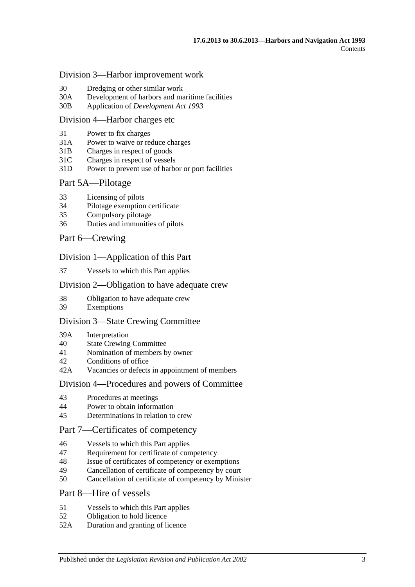#### [Division 3—Harbor improvement work](#page-28-1)

- 30 [Dredging or other similar work](#page-28-2)
- 30A [Development of harbors and maritime facilities](#page-28-3)
- 30B Application of *[Development Act](#page-29-0) 1993*

#### [Division 4—Harbor charges etc](#page-29-1)

- 31 [Power to fix charges](#page-29-2)
- 31A Power to waive [or reduce charges](#page-29-3)
- 31B [Charges in respect of goods](#page-29-4)
- 31C [Charges in respect of vessels](#page-30-0)
- 31D [Power to prevent use of harbor or port facilities](#page-30-1)

#### [Part 5A—Pilotage](#page-32-0)

- 33 [Licensing of pilots](#page-32-1)
- 34 [Pilotage exemption certificate](#page-32-2)
- 35 [Compulsory pilotage](#page-33-0)
- 36 [Duties and immunities of pilots](#page-33-1)

### [Part 6—Crewing](#page-34-0)

#### [Division 1—Application of this Part](#page-34-1)

37 [Vessels to which this Part applies](#page-34-2)

#### [Division 2—Obligation to have adequate crew](#page-34-3)

- 38 [Obligation to have adequate crew](#page-34-4)
- 39 [Exemptions](#page-34-5)

#### [Division 3—State Crewing Committee](#page-34-6)

- 39A [Interpretation](#page-34-7)
- 40 [State Crewing Committee](#page-35-0)
- 41 [Nomination of members by owner](#page-35-1)
- 42 [Conditions of office](#page-36-0)
- 42A [Vacancies or defects in appointment of members](#page-36-1)

#### [Division 4—Procedures and powers of Committee](#page-36-2)

- 43 [Procedures at meetings](#page-36-3)
- 44 [Power to obtain information](#page-37-0)
- 45 [Determinations in relation to crew](#page-37-1)

### [Part 7—Certificates of competency](#page-38-0)

- 46 [Vessels to which this Part applies](#page-38-1)
- 47 [Requirement for certificate of competency](#page-38-2)
- 48 [Issue of certificates of competency or exemptions](#page-39-0)
- 49 [Cancellation of certificate of competency by court](#page-40-0)
- 50 [Cancellation of certificate of competency by Minister](#page-40-1)

### [Part 8—Hire of vessels](#page-42-0)

- 51 [Vessels to which this Part applies](#page-42-1)
- 52 [Obligation to hold licence](#page-42-2)
- 52A [Duration and granting of licence](#page-42-3)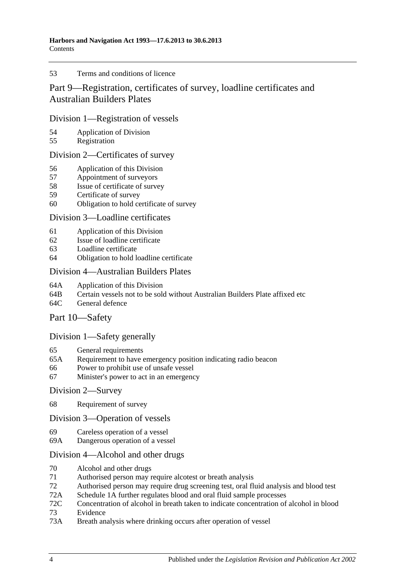#### 53 [Terms and conditions of licence](#page-42-4)

### [Part 9—Registration, certificates of survey, loadline certificates and](#page-44-0)  [Australian Builders Plates](#page-44-0)

### [Division 1—Registration of vessels](#page-44-1)

- 54 [Application of Division](#page-44-2)<br>55 Registration
- [Registration](#page-44-3)

### [Division 2—Certificates of survey](#page-44-4)

- 56 [Application of this Division](#page-44-5)
- 57 [Appointment of surveyors](#page-44-6)
- 58 [Issue of certificate of survey](#page-45-0)
- 59 [Certificate of survey](#page-45-1)
- 60 [Obligation to hold certificate of survey](#page-45-2)

### [Division 3—Loadline certificates](#page-46-0)

- 61 [Application of this Division](#page-46-1)<br>62 Issue of loadline certificate
- [Issue of loadline certificate](#page-46-2)
- 63 [Loadline certificate](#page-46-3)
- 64 [Obligation to hold loadline certificate](#page-46-4)

### [Division 4—Australian Builders Plates](#page-47-0)

- 64A [Application of this Division](#page-47-1)
- 64B [Certain vessels not to be sold without Australian Builders Plate affixed etc](#page-47-2)
- 64C [General defence](#page-48-0)

### [Part 10—Safety](#page-50-0)

### [Division 1—Safety generally](#page-50-1)

- 65 [General requirements](#page-50-2)
- 65A [Requirement to have emergency position indicating radio beacon](#page-50-3)
- 66 [Power to prohibit use of unsafe vessel](#page-50-4)
- 67 [Minister's power to act in an emergency](#page-51-0)

### [Division 2—Survey](#page-51-1)

68 [Requirement of survey](#page-51-2)

### [Division 3—Operation of vessels](#page-52-0)

- 69 [Careless operation of a vessel](#page-52-1)
- 69A [Dangerous operation of a vessel](#page-52-2)

### [Division 4—Alcohol and other drugs](#page-52-3)

- 70 [Alcohol and other drugs](#page-52-4)
- 71 [Authorised person may require alcotest or breath analysis](#page-54-0)
- 72 [Authorised person may require drug screening test, oral fluid analysis and blood test](#page-57-0)
- 72A [Schedule 1A](#page-60-0) [further regulates blood and oral fluid sample processes](#page-60-0)
- 72C [Concentration of alcohol in breath taken to indicate concentration of alcohol in blood](#page-60-1)
- 73 [Evidence](#page-60-2)
- 73A [Breath analysis where drinking occurs after operation of vessel](#page-64-0)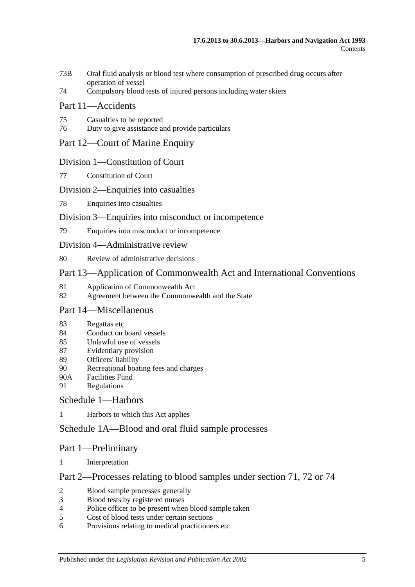- 73B [Oral fluid analysis or blood test where consumption of prescribed drug occurs after](#page-65-0)  [operation of vessel](#page-65-0)
- 74 [Compulsory blood tests of injured persons including water skiers](#page-66-0)

### [Part 11—Accidents](#page-68-0)

- 75 [Casualties to be reported](#page-68-1)
- 76 [Duty to give assistance and provide particulars](#page-68-2)

### [Part 12—Court of Marine Enquiry](#page-70-0)

#### [Division 1—Constitution of Court](#page-70-1)

77 [Constitution of Court](#page-70-2)

### [Division 2—Enquiries into casualties](#page-70-3)

78 [Enquiries into casualties](#page-70-4)

### [Division 3—Enquiries into misconduct or incompetence](#page-70-5)

79 [Enquiries into misconduct or incompetence](#page-70-6)

#### [Division 4—Administrative review](#page-71-0)

80 [Review of administrative decisions](#page-71-1)

### [Part 13—Application of Commonwealth Act and International Conventions](#page-72-0)

- 81 [Application of Commonwealth Act](#page-72-1)
- 82 [Agreement between the Commonwealth and the State](#page-72-2)

### [Part 14—Miscellaneous](#page-74-0)

- 83 [Regattas etc](#page-74-1)
- 84 [Conduct on board vessels](#page-74-2)
- 85 [Unlawful use of vessels](#page-74-3)
- 87 [Evidentiary provision](#page-74-4)
- 89 [Officers' liability](#page-75-0)
- 90 [Recreational boating fees and charges](#page-76-0)
- 90A [Facilities Fund](#page-76-1)
- 91 [Regulations](#page-76-2)

### [Schedule 1—Harbors](#page-80-0)

1 [Harbors to which this Act applies](#page-80-1)

### [Schedule 1A—Blood and oral fluid sample processes](#page-81-0)

### Part 1—Preliminary

1 [Interpretation](#page-81-1)

### Part 2—Processes relating to blood samples under section 71, 72 or 74

- 2 [Blood sample processes generally](#page-81-2)
- 3 [Blood tests by registered nurses](#page-83-0)
- 4 [Police officer to be present when blood sample taken](#page-83-1)
- 5 [Cost of blood tests under certain sections](#page-83-2)
- 6 [Provisions relating to medical practitioners etc](#page-83-3)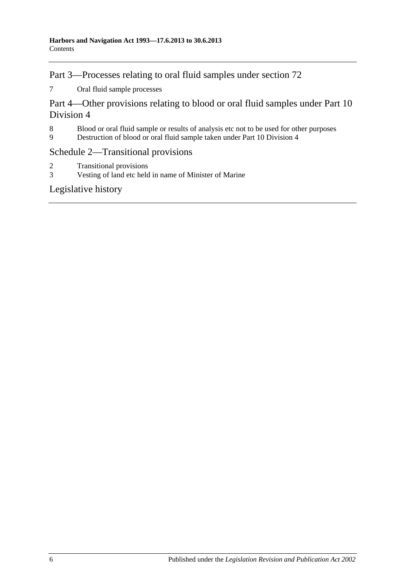Part 3—Processes relating to oral fluid samples under section 72

7 [Oral fluid sample processes](#page-84-0)

Part 4—Other provisions relating to blood or oral fluid samples under Part 10 Division 4

- 8 [Blood or oral fluid sample or results of analysis etc not to be used for other purposes](#page-86-0)
- 9 [Destruction of blood or oral fluid sample taken under Part 10 Division 4](#page-86-1)

### [Schedule 2—Transitional provisions](#page-86-2)

- 2 [Transitional provisions](#page-86-3)
- 3 [Vesting of land etc held in name of Minister of Marine](#page-87-0)

[Legislative history](#page-88-0)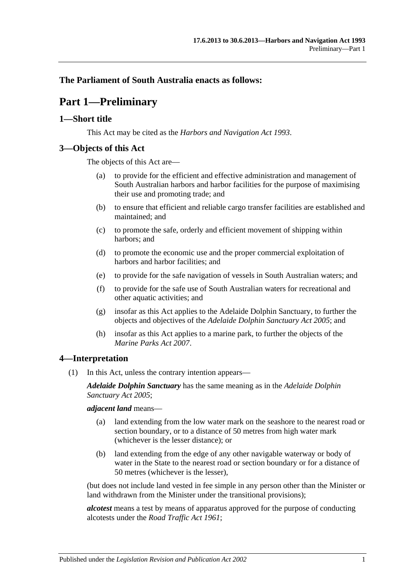### <span id="page-6-0"></span>**The Parliament of South Australia enacts as follows:**

# **Part 1—Preliminary**

### <span id="page-6-1"></span>**1—Short title**

This Act may be cited as the *Harbors and Navigation Act 1993*.

### <span id="page-6-2"></span>**3—Objects of this Act**

The objects of this Act are—

- (a) to provide for the efficient and effective administration and management of South Australian harbors and harbor facilities for the purpose of maximising their use and promoting trade; and
- (b) to ensure that efficient and reliable cargo transfer facilities are established and maintained; and
- (c) to promote the safe, orderly and efficient movement of shipping within harbors; and
- (d) to promote the economic use and the proper commercial exploitation of harbors and harbor facilities; and
- (e) to provide for the safe navigation of vessels in South Australian waters; and
- (f) to provide for the safe use of South Australian waters for recreational and other aquatic activities; and
- (g) insofar as this Act applies to the Adelaide Dolphin Sanctuary, to further the objects and objectives of the *[Adelaide Dolphin Sanctuary Act](http://www.legislation.sa.gov.au/index.aspx?action=legref&type=act&legtitle=Adelaide%20Dolphin%20Sanctuary%20Act%202005) 2005*; and
- (h) insofar as this Act applies to a marine park, to further the objects of the *[Marine Parks Act](http://www.legislation.sa.gov.au/index.aspx?action=legref&type=act&legtitle=Marine%20Parks%20Act%202007) 2007*.

### <span id="page-6-3"></span>**4—Interpretation**

(1) In this Act, unless the contrary intention appears—

*Adelaide Dolphin Sanctuary* has the same meaning as in the *[Adelaide Dolphin](http://www.legislation.sa.gov.au/index.aspx?action=legref&type=act&legtitle=Adelaide%20Dolphin%20Sanctuary%20Act%202005)  [Sanctuary Act](http://www.legislation.sa.gov.au/index.aspx?action=legref&type=act&legtitle=Adelaide%20Dolphin%20Sanctuary%20Act%202005) 2005*;

*adjacent land* means—

- (a) land extending from the low water mark on the seashore to the nearest road or section boundary, or to a distance of 50 metres from high water mark (whichever is the lesser distance); or
- (b) land extending from the edge of any other navigable waterway or body of water in the State to the nearest road or section boundary or for a distance of 50 metres (whichever is the lesser),

(but does not include land vested in fee simple in any person other than the Minister or land withdrawn from the Minister under the transitional provisions);

*alcotest* means a test by means of apparatus approved for the purpose of conducting alcotests under the *[Road Traffic Act](http://www.legislation.sa.gov.au/index.aspx?action=legref&type=act&legtitle=Road%20Traffic%20Act%201961) 1961*;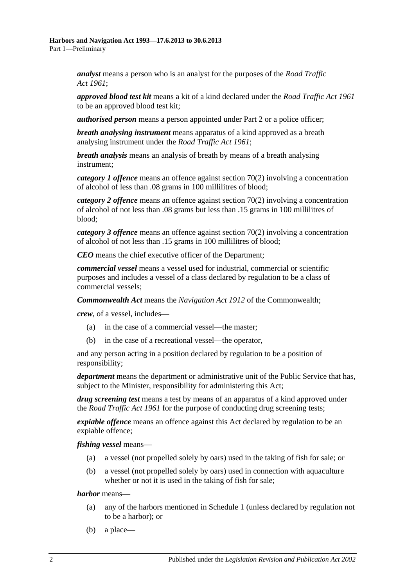*analyst* means a person who is an analyst for the purposes of the *[Road Traffic](http://www.legislation.sa.gov.au/index.aspx?action=legref&type=act&legtitle=Road%20Traffic%20Act%201961)  Act [1961](http://www.legislation.sa.gov.au/index.aspx?action=legref&type=act&legtitle=Road%20Traffic%20Act%201961)*;

*approved blood test kit* means a kit of a kind declared under the *[Road Traffic Act](http://www.legislation.sa.gov.au/index.aspx?action=legref&type=act&legtitle=Road%20Traffic%20Act%201961) 1961* to be an approved blood test kit;

*authorised person* means a person appointed under [Part 2](#page-12-0) or a police officer;

*breath analysing instrument* means apparatus of a kind approved as a breath analysing instrument under the *[Road Traffic Act](http://www.legislation.sa.gov.au/index.aspx?action=legref&type=act&legtitle=Road%20Traffic%20Act%201961) 1961*;

*breath analysis* means an analysis of breath by means of a breath analysing instrument;

*category 1 offence* means an offence against [section](#page-53-0) 70(2) involving a concentration of alcohol of less than .08 grams in 100 millilitres of blood;

*category 2 offence* means an offence against [section](#page-53-0) 70(2) involving a concentration of alcohol of not less than .08 grams but less than .15 grams in 100 millilitres of blood;

*category 3 offence* means an offence against [section](#page-53-0) 70(2) involving a concentration of alcohol of not less than .15 grams in 100 millilitres of blood;

*CEO* means the chief executive officer of the Department;

*commercial vessel* means a vessel used for industrial, commercial or scientific purposes and includes a vessel of a class declared by regulation to be a class of commercial vessels;

*Commonwealth Act* means the *Navigation Act 1912* of the Commonwealth;

*crew*, of a vessel, includes—

- (a) in the case of a commercial vessel—the master;
- (b) in the case of a recreational vessel—the operator,

and any person acting in a position declared by regulation to be a position of responsibility;

*department* means the department or administrative unit of the Public Service that has, subject to the Minister, responsibility for administering this Act;

*drug screening test* means a test by means of an apparatus of a kind approved under the *[Road Traffic Act](http://www.legislation.sa.gov.au/index.aspx?action=legref&type=act&legtitle=Road%20Traffic%20Act%201961) 1961* for the purpose of conducting drug screening tests;

*expiable offence* means an offence against this Act declared by regulation to be an expiable offence;

*fishing vessel* means—

- (a) a vessel (not propelled solely by oars) used in the taking of fish for sale; or
- (b) a vessel (not propelled solely by oars) used in connection with aquaculture whether or not it is used in the taking of fish for sale;

*harbor* means—

- (a) any of the harbors mentioned in [Schedule 1](#page-80-0) (unless declared by regulation not to be a harbor); or
- (b) a place—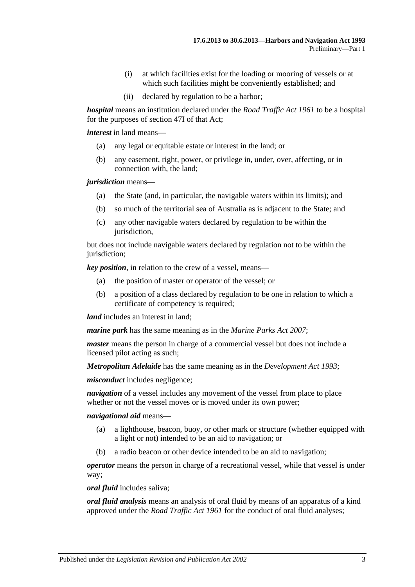- (i) at which facilities exist for the loading or mooring of vessels or at which such facilities might be conveniently established; and
- (ii) declared by regulation to be a harbor;

*hospital* means an institution declared under the *[Road Traffic Act](http://www.legislation.sa.gov.au/index.aspx?action=legref&type=act&legtitle=Road%20Traffic%20Act%201961) 1961* to be a hospital for the purposes of section 47I of that Act;

*interest* in land means—

- (a) any legal or equitable estate or interest in the land; or
- (b) any easement, right, power, or privilege in, under, over, affecting, or in connection with, the land;

*jurisdiction* means—

- (a) the State (and, in particular, the navigable waters within its limits); and
- (b) so much of the territorial sea of Australia as is adjacent to the State; and
- (c) any other navigable waters declared by regulation to be within the jurisdiction,

but does not include navigable waters declared by regulation not to be within the jurisdiction;

*key position*, in relation to the crew of a vessel, means—

- (a) the position of master or operator of the vessel; or
- (b) a position of a class declared by regulation to be one in relation to which a certificate of competency is required;

*land* includes an interest in land:

*marine park* has the same meaning as in the *[Marine Parks Act](http://www.legislation.sa.gov.au/index.aspx?action=legref&type=act&legtitle=Marine%20Parks%20Act%202007) 2007*;

*master* means the person in charge of a commercial vessel but does not include a licensed pilot acting as such;

*Metropolitan Adelaide* has the same meaning as in the *[Development Act](http://www.legislation.sa.gov.au/index.aspx?action=legref&type=act&legtitle=Development%20Act%201993) 1993*;

*misconduct* includes negligence;

*navigation* of a vessel includes any movement of the vessel from place to place whether or not the vessel moves or is moved under its own power;

*navigational aid* means—

- (a) a lighthouse, beacon, buoy, or other mark or structure (whether equipped with a light or not) intended to be an aid to navigation; or
- (b) a radio beacon or other device intended to be an aid to navigation;

*operator* means the person in charge of a recreational vessel, while that vessel is under way;

*oral fluid* includes saliva;

*oral fluid analysis* means an analysis of oral fluid by means of an apparatus of a kind approved under the *[Road Traffic Act](http://www.legislation.sa.gov.au/index.aspx?action=legref&type=act&legtitle=Road%20Traffic%20Act%201961) 1961* for the conduct of oral fluid analyses;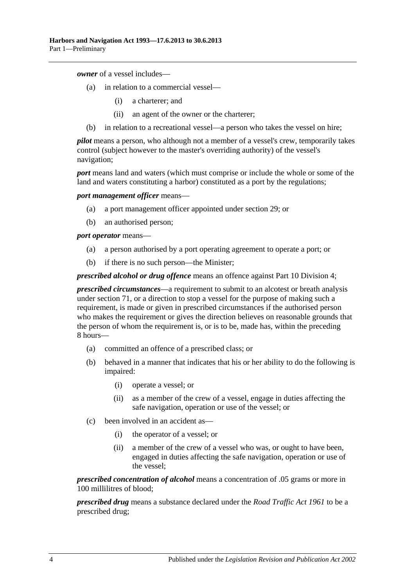*owner* of a vessel includes—

- (a) in relation to a commercial vessel—
	- (i) a charterer; and
	- (ii) an agent of the owner or the charterer;
- (b) in relation to a recreational vessel—a person who takes the vessel on hire;

*pilot* means a person, who although not a member of a vessel's crew, temporarily takes control (subject however to the master's overriding authority) of the vessel's navigation;

*port* means land and waters (which must comprise or include the whole or some of the land and waters constituting a harbor) constituted as a port by the regulations;

*port management officer* means—

- (a) a port management officer appointed under [section](#page-27-1) 29; or
- (b) an authorised person;

*port operator* means—

- (a) a person authorised by a port operating agreement to operate a port; or
- (b) if there is no such person—the Minister;

*prescribed alcohol or drug offence* means an offence against [Part 10 Division 4;](#page-52-3)

*prescribed circumstances*—a requirement to submit to an alcotest or breath analysis under [section](#page-54-0) 71, or a direction to stop a vessel for the purpose of making such a requirement, is made or given in prescribed circumstances if the authorised person who makes the requirement or gives the direction believes on reasonable grounds that the person of whom the requirement is, or is to be, made has, within the preceding 8 hours—

- (a) committed an offence of a prescribed class; or
- (b) behaved in a manner that indicates that his or her ability to do the following is impaired:
	- (i) operate a vessel; or
	- (ii) as a member of the crew of a vessel, engage in duties affecting the safe navigation, operation or use of the vessel; or
- (c) been involved in an accident as—
	- (i) the operator of a vessel; or
	- (ii) a member of the crew of a vessel who was, or ought to have been, engaged in duties affecting the safe navigation, operation or use of the vessel;

*prescribed concentration of alcohol* means a concentration of .05 grams or more in 100 millilitres of blood;

*prescribed drug* means a substance declared under the *[Road Traffic Act](http://www.legislation.sa.gov.au/index.aspx?action=legref&type=act&legtitle=Road%20Traffic%20Act%201961) 1961* to be a prescribed drug;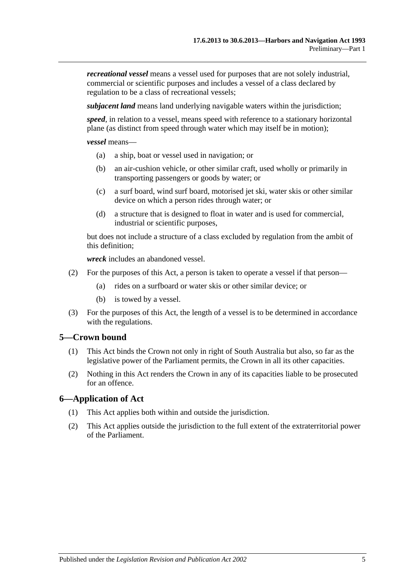*recreational vessel* means a vessel used for purposes that are not solely industrial, commercial or scientific purposes and includes a vessel of a class declared by regulation to be a class of recreational vessels;

*subjacent land* means land underlying navigable waters within the jurisdiction;

*speed*, in relation to a vessel, means speed with reference to a stationary horizontal plane (as distinct from speed through water which may itself be in motion);

*vessel* means—

- (a) a ship, boat or vessel used in navigation; or
- (b) an air-cushion vehicle, or other similar craft, used wholly or primarily in transporting passengers or goods by water; or
- (c) a surf board, wind surf board, motorised jet ski, water skis or other similar device on which a person rides through water; or
- (d) a structure that is designed to float in water and is used for commercial, industrial or scientific purposes,

but does not include a structure of a class excluded by regulation from the ambit of this definition;

*wreck* includes an abandoned vessel.

- (2) For the purposes of this Act, a person is taken to operate a vessel if that person—
	- (a) rides on a surfboard or water skis or other similar device; or
	- (b) is towed by a vessel.
- (3) For the purposes of this Act, the length of a vessel is to be determined in accordance with the regulations.

### <span id="page-10-0"></span>**5—Crown bound**

- (1) This Act binds the Crown not only in right of South Australia but also, so far as the legislative power of the Parliament permits, the Crown in all its other capacities.
- (2) Nothing in this Act renders the Crown in any of its capacities liable to be prosecuted for an offence.

### <span id="page-10-1"></span>**6—Application of Act**

- (1) This Act applies both within and outside the jurisdiction.
- (2) This Act applies outside the jurisdiction to the full extent of the extraterritorial power of the Parliament.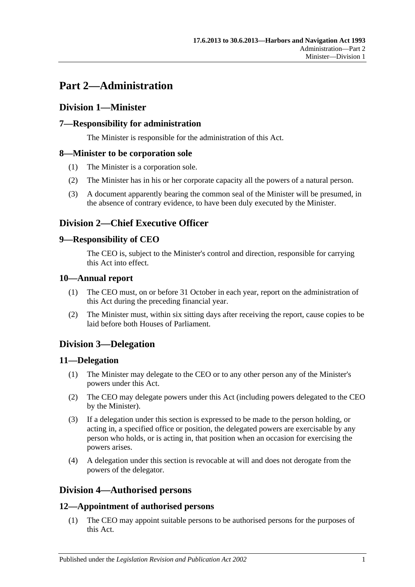# <span id="page-12-0"></span>**Part 2—Administration**

### <span id="page-12-1"></span>**Division 1—Minister**

### <span id="page-12-2"></span>**7—Responsibility for administration**

The Minister is responsible for the administration of this Act.

### <span id="page-12-3"></span>**8—Minister to be corporation sole**

- (1) The Minister is a corporation sole.
- (2) The Minister has in his or her corporate capacity all the powers of a natural person.
- (3) A document apparently bearing the common seal of the Minister will be presumed, in the absence of contrary evidence, to have been duly executed by the Minister.

## <span id="page-12-4"></span>**Division 2—Chief Executive Officer**

### <span id="page-12-5"></span>**9—Responsibility of CEO**

The CEO is, subject to the Minister's control and direction, responsible for carrying this Act into effect.

### <span id="page-12-6"></span>**10—Annual report**

- (1) The CEO must, on or before 31 October in each year, report on the administration of this Act during the preceding financial year.
- (2) The Minister must, within six sitting days after receiving the report, cause copies to be laid before both Houses of Parliament.

## <span id="page-12-7"></span>**Division 3—Delegation**

### <span id="page-12-8"></span>**11—Delegation**

- (1) The Minister may delegate to the CEO or to any other person any of the Minister's powers under this Act.
- (2) The CEO may delegate powers under this Act (including powers delegated to the CEO by the Minister).
- (3) If a delegation under this section is expressed to be made to the person holding, or acting in, a specified office or position, the delegated powers are exercisable by any person who holds, or is acting in, that position when an occasion for exercising the powers arises.
- (4) A delegation under this section is revocable at will and does not derogate from the powers of the delegator.

## <span id="page-12-9"></span>**Division 4—Authorised persons**

### <span id="page-12-10"></span>**12—Appointment of authorised persons**

(1) The CEO may appoint suitable persons to be authorised persons for the purposes of this Act.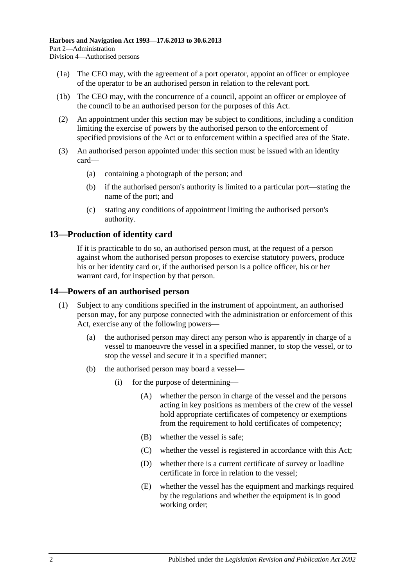- (1a) The CEO may, with the agreement of a port operator, appoint an officer or employee of the operator to be an authorised person in relation to the relevant port.
- (1b) The CEO may, with the concurrence of a council, appoint an officer or employee of the council to be an authorised person for the purposes of this Act.
- (2) An appointment under this section may be subject to conditions, including a condition limiting the exercise of powers by the authorised person to the enforcement of specified provisions of the Act or to enforcement within a specified area of the State.
- (3) An authorised person appointed under this section must be issued with an identity card—
	- (a) containing a photograph of the person; and
	- (b) if the authorised person's authority is limited to a particular port—stating the name of the port; and
	- (c) stating any conditions of appointment limiting the authorised person's authority.

### <span id="page-13-0"></span>**13—Production of identity card**

If it is practicable to do so, an authorised person must, at the request of a person against whom the authorised person proposes to exercise statutory powers, produce his or her identity card or, if the authorised person is a police officer, his or her warrant card, for inspection by that person.

### <span id="page-13-1"></span>**14—Powers of an authorised person**

- (1) Subject to any conditions specified in the instrument of appointment, an authorised person may, for any purpose connected with the administration or enforcement of this Act, exercise any of the following powers—
	- (a) the authorised person may direct any person who is apparently in charge of a vessel to manoeuvre the vessel in a specified manner, to stop the vessel, or to stop the vessel and secure it in a specified manner;
	- (b) the authorised person may board a vessel—
		- (i) for the purpose of determining—
			- (A) whether the person in charge of the vessel and the persons acting in key positions as members of the crew of the vessel hold appropriate certificates of competency or exemptions from the requirement to hold certificates of competency;
			- (B) whether the vessel is safe;
			- (C) whether the vessel is registered in accordance with this Act;
			- (D) whether there is a current certificate of survey or loadline certificate in force in relation to the vessel;
			- (E) whether the vessel has the equipment and markings required by the regulations and whether the equipment is in good working order;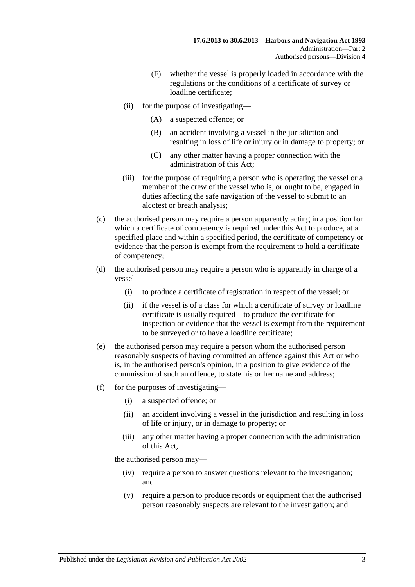- (F) whether the vessel is properly loaded in accordance with the regulations or the conditions of a certificate of survey or loadline certificate;
- (ii) for the purpose of investigating—
	- (A) a suspected offence; or
	- (B) an accident involving a vessel in the jurisdiction and resulting in loss of life or injury or in damage to property; or
	- (C) any other matter having a proper connection with the administration of this Act;
- (iii) for the purpose of requiring a person who is operating the vessel or a member of the crew of the vessel who is, or ought to be, engaged in duties affecting the safe navigation of the vessel to submit to an alcotest or breath analysis;
- (c) the authorised person may require a person apparently acting in a position for which a certificate of competency is required under this Act to produce, at a specified place and within a specified period, the certificate of competency or evidence that the person is exempt from the requirement to hold a certificate of competency;
- (d) the authorised person may require a person who is apparently in charge of a vessel—
	- (i) to produce a certificate of registration in respect of the vessel; or
	- (ii) if the vessel is of a class for which a certificate of survey or loadline certificate is usually required—to produce the certificate for inspection or evidence that the vessel is exempt from the requirement to be surveyed or to have a loadline certificate;
- (e) the authorised person may require a person whom the authorised person reasonably suspects of having committed an offence against this Act or who is, in the authorised person's opinion, in a position to give evidence of the commission of such an offence, to state his or her name and address;
- (f) for the purposes of investigating—
	- (i) a suspected offence; or
	- (ii) an accident involving a vessel in the jurisdiction and resulting in loss of life or injury, or in damage to property; or
	- (iii) any other matter having a proper connection with the administration of this Act,

the authorised person may—

- (iv) require a person to answer questions relevant to the investigation; and
- (v) require a person to produce records or equipment that the authorised person reasonably suspects are relevant to the investigation; and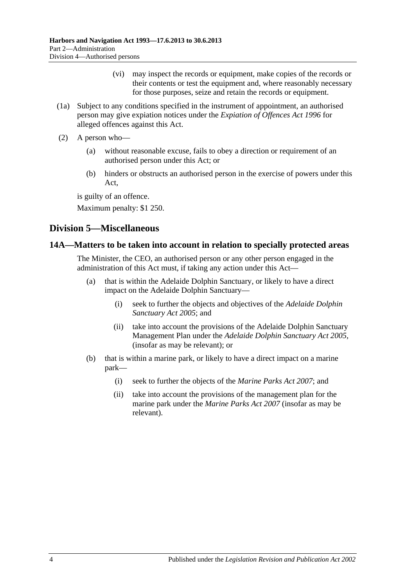- (vi) may inspect the records or equipment, make copies of the records or their contents or test the equipment and, where reasonably necessary for those purposes, seize and retain the records or equipment.
- (1a) Subject to any conditions specified in the instrument of appointment, an authorised person may give expiation notices under the *[Expiation of Offences Act](http://www.legislation.sa.gov.au/index.aspx?action=legref&type=act&legtitle=Expiation%20of%20Offences%20Act%201996) 1996* for alleged offences against this Act.
- (2) A person who—
	- (a) without reasonable excuse, fails to obey a direction or requirement of an authorised person under this Act; or
	- (b) hinders or obstructs an authorised person in the exercise of powers under this Act,

is guilty of an offence.

Maximum penalty: \$1 250.

### <span id="page-15-0"></span>**Division 5—Miscellaneous**

### <span id="page-15-1"></span>**14A—Matters to be taken into account in relation to specially protected areas**

The Minister, the CEO, an authorised person or any other person engaged in the administration of this Act must, if taking any action under this Act—

- (a) that is within the Adelaide Dolphin Sanctuary, or likely to have a direct impact on the Adelaide Dolphin Sanctuary—
	- (i) seek to further the objects and objectives of the *[Adelaide Dolphin](http://www.legislation.sa.gov.au/index.aspx?action=legref&type=act&legtitle=Adelaide%20Dolphin%20Sanctuary%20Act%202005)  [Sanctuary Act](http://www.legislation.sa.gov.au/index.aspx?action=legref&type=act&legtitle=Adelaide%20Dolphin%20Sanctuary%20Act%202005) 2005*; and
	- (ii) take into account the provisions of the Adelaide Dolphin Sanctuary Management Plan under the *[Adelaide Dolphin Sanctuary Act](http://www.legislation.sa.gov.au/index.aspx?action=legref&type=act&legtitle=Adelaide%20Dolphin%20Sanctuary%20Act%202005) 2005*, (insofar as may be relevant); or
- (b) that is within a marine park, or likely to have a direct impact on a marine park—
	- (i) seek to further the objects of the *[Marine Parks Act](http://www.legislation.sa.gov.au/index.aspx?action=legref&type=act&legtitle=Marine%20Parks%20Act%202007) 2007*; and
	- (ii) take into account the provisions of the management plan for the marine park under the *[Marine Parks Act](http://www.legislation.sa.gov.au/index.aspx?action=legref&type=act&legtitle=Marine%20Parks%20Act%202007) 2007* (insofar as may be relevant).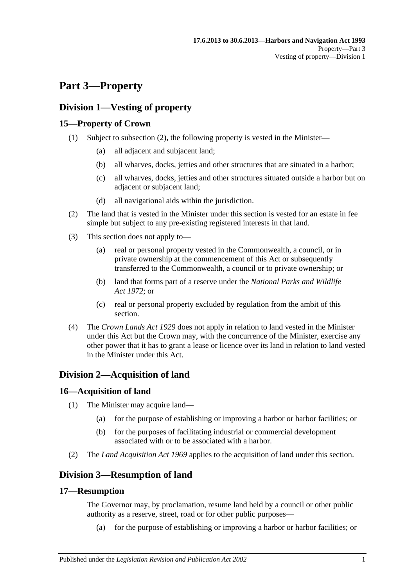# <span id="page-16-0"></span>**Part 3—Property**

## <span id="page-16-1"></span>**Division 1—Vesting of property**

### <span id="page-16-2"></span>**15—Property of Crown**

- (1) Subject to [subsection](#page-16-7) (2), the following property is vested in the Minister—
	- (a) all adjacent and subjacent land;
	- (b) all wharves, docks, jetties and other structures that are situated in a harbor;
	- (c) all wharves, docks, jetties and other structures situated outside a harbor but on adjacent or subjacent land;
	- (d) all navigational aids within the jurisdiction.
- <span id="page-16-7"></span>(2) The land that is vested in the Minister under this section is vested for an estate in fee simple but subject to any pre-existing registered interests in that land.
- (3) This section does not apply to—
	- (a) real or personal property vested in the Commonwealth, a council, or in private ownership at the commencement of this Act or subsequently transferred to the Commonwealth, a council or to private ownership; or
	- (b) land that forms part of a reserve under the *[National Parks and Wildlife](http://www.legislation.sa.gov.au/index.aspx?action=legref&type=act&legtitle=National%20Parks%20and%20Wildlife%20Act%201972)  Act [1972](http://www.legislation.sa.gov.au/index.aspx?action=legref&type=act&legtitle=National%20Parks%20and%20Wildlife%20Act%201972)*; or
	- (c) real or personal property excluded by regulation from the ambit of this section.
- (4) The *[Crown Lands Act](http://www.legislation.sa.gov.au/index.aspx?action=legref&type=act&legtitle=Crown%20Lands%20Act%201929) 1929* does not apply in relation to land vested in the Minister under this Act but the Crown may, with the concurrence of the Minister, exercise any other power that it has to grant a lease or licence over its land in relation to land vested in the Minister under this Act.

## <span id="page-16-3"></span>**Division 2—Acquisition of land**

### <span id="page-16-4"></span>**16—Acquisition of land**

- (1) The Minister may acquire land—
	- (a) for the purpose of establishing or improving a harbor or harbor facilities; or
	- (b) for the purposes of facilitating industrial or commercial development associated with or to be associated with a harbor.
- (2) The *[Land Acquisition Act](http://www.legislation.sa.gov.au/index.aspx?action=legref&type=act&legtitle=Land%20Acquisition%20Act%201969) 1969* applies to the acquisition of land under this section.

## <span id="page-16-5"></span>**Division 3—Resumption of land**

### <span id="page-16-6"></span>**17—Resumption**

The Governor may, by proclamation, resume land held by a council or other public authority as a reserve, street, road or for other public purposes—

(a) for the purpose of establishing or improving a harbor or harbor facilities; or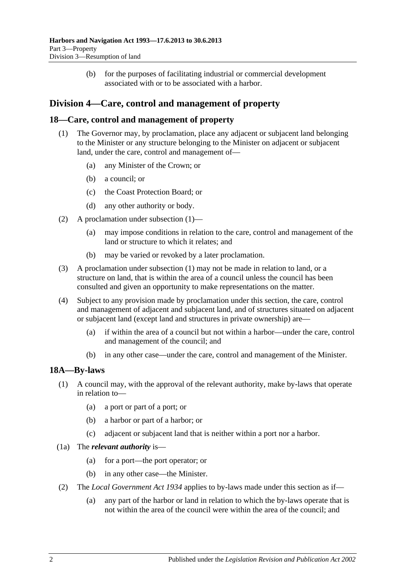(b) for the purposes of facilitating industrial or commercial development associated with or to be associated with a harbor.

## <span id="page-17-0"></span>**Division 4—Care, control and management of property**

### <span id="page-17-3"></span><span id="page-17-1"></span>**18—Care, control and management of property**

- (1) The Governor may, by proclamation, place any adjacent or subjacent land belonging to the Minister or any structure belonging to the Minister on adjacent or subjacent land, under the care, control and management of—
	- (a) any Minister of the Crown; or
	- (b) a council; or
	- (c) the Coast Protection Board; or
	- (d) any other authority or body.
- (2) A proclamation under [subsection](#page-17-3) (1)—
	- (a) may impose conditions in relation to the care, control and management of the land or structure to which it relates; and
	- (b) may be varied or revoked by a later proclamation.
- (3) A proclamation under [subsection](#page-17-3) (1) may not be made in relation to land, or a structure on land, that is within the area of a council unless the council has been consulted and given an opportunity to make representations on the matter.
- (4) Subject to any provision made by proclamation under this section, the care, control and management of adjacent and subjacent land, and of structures situated on adjacent or subjacent land (except land and structures in private ownership) are—
	- (a) if within the area of a council but not within a harbor—under the care, control and management of the council; and
	- (b) in any other case—under the care, control and management of the Minister.

### <span id="page-17-2"></span>**18A—By-laws**

- (1) A council may, with the approval of the relevant authority, make by-laws that operate in relation to—
	- (a) a port or part of a port; or
	- (b) a harbor or part of a harbor; or
	- (c) adjacent or subjacent land that is neither within a port nor a harbor.
- (1a) The *relevant authority* is—
	- (a) for a port—the port operator; or
	- (b) in any other case—the Minister.
- (2) The *[Local Government Act](http://www.legislation.sa.gov.au/index.aspx?action=legref&type=act&legtitle=Local%20Government%20Act%201934) 1934* applies to by-laws made under this section as if—
	- (a) any part of the harbor or land in relation to which the by-laws operate that is not within the area of the council were within the area of the council; and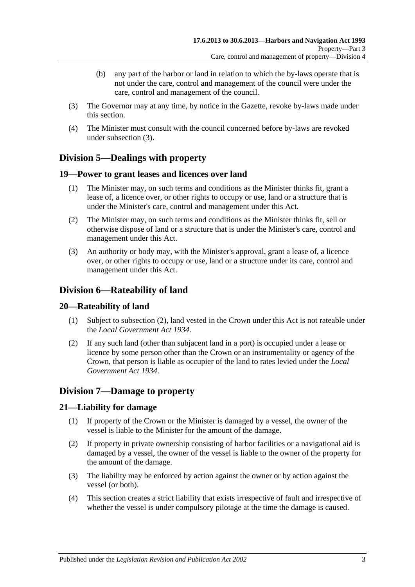- (b) any part of the harbor or land in relation to which the by-laws operate that is not under the care, control and management of the council were under the care, control and management of the council.
- <span id="page-18-6"></span>(3) The Governor may at any time, by notice in the Gazette, revoke by-laws made under this section.
- (4) The Minister must consult with the council concerned before by-laws are revoked under [subsection](#page-18-6) (3).

## <span id="page-18-0"></span>**Division 5—Dealings with property**

### <span id="page-18-1"></span>**19—Power to grant leases and licences over land**

- (1) The Minister may, on such terms and conditions as the Minister thinks fit, grant a lease of, a licence over, or other rights to occupy or use, land or a structure that is under the Minister's care, control and management under this Act.
- (2) The Minister may, on such terms and conditions as the Minister thinks fit, sell or otherwise dispose of land or a structure that is under the Minister's care, control and management under this Act.
- (3) An authority or body may, with the Minister's approval, grant a lease of, a licence over, or other rights to occupy or use, land or a structure under its care, control and management under this Act.

### <span id="page-18-2"></span>**Division 6—Rateability of land**

### <span id="page-18-3"></span>**20—Rateability of land**

- (1) Subject to [subsection](#page-18-7) (2), land vested in the Crown under this Act is not rateable under the *[Local Government Act](http://www.legislation.sa.gov.au/index.aspx?action=legref&type=act&legtitle=Local%20Government%20Act%201934) 1934*.
- <span id="page-18-7"></span>(2) If any such land (other than subjacent land in a port) is occupied under a lease or licence by some person other than the Crown or an instrumentality or agency of the Crown, that person is liable as occupier of the land to rates levied under the *[Local](http://www.legislation.sa.gov.au/index.aspx?action=legref&type=act&legtitle=Local%20Government%20Act%201934)  [Government Act](http://www.legislation.sa.gov.au/index.aspx?action=legref&type=act&legtitle=Local%20Government%20Act%201934) 1934*.

## <span id="page-18-4"></span>**Division 7—Damage to property**

### <span id="page-18-5"></span>**21—Liability for damage**

- (1) If property of the Crown or the Minister is damaged by a vessel, the owner of the vessel is liable to the Minister for the amount of the damage.
- (2) If property in private ownership consisting of harbor facilities or a navigational aid is damaged by a vessel, the owner of the vessel is liable to the owner of the property for the amount of the damage.
- (3) The liability may be enforced by action against the owner or by action against the vessel (or both).
- (4) This section creates a strict liability that exists irrespective of fault and irrespective of whether the vessel is under compulsory pilotage at the time the damage is caused.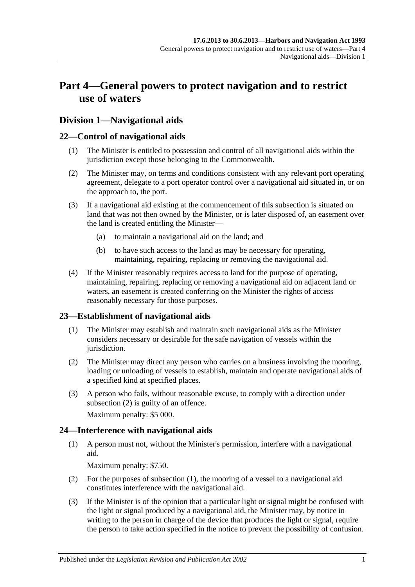# <span id="page-20-0"></span>**Part 4—General powers to protect navigation and to restrict use of waters**

### <span id="page-20-1"></span>**Division 1—Navigational aids**

### <span id="page-20-2"></span>**22—Control of navigational aids**

- (1) The Minister is entitled to possession and control of all navigational aids within the jurisdiction except those belonging to the Commonwealth.
- (2) The Minister may, on terms and conditions consistent with any relevant port operating agreement, delegate to a port operator control over a navigational aid situated in, or on the approach to, the port.
- (3) If a navigational aid existing at the commencement of this subsection is situated on land that was not then owned by the Minister, or is later disposed of, an easement over the land is created entitling the Minister—
	- (a) to maintain a navigational aid on the land; and
	- (b) to have such access to the land as may be necessary for operating, maintaining, repairing, replacing or removing the navigational aid.
- (4) If the Minister reasonably requires access to land for the purpose of operating, maintaining, repairing, replacing or removing a navigational aid on adjacent land or waters, an easement is created conferring on the Minister the rights of access reasonably necessary for those purposes.

### <span id="page-20-3"></span>**23—Establishment of navigational aids**

- (1) The Minister may establish and maintain such navigational aids as the Minister considers necessary or desirable for the safe navigation of vessels within the jurisdiction.
- <span id="page-20-5"></span>(2) The Minister may direct any person who carries on a business involving the mooring, loading or unloading of vessels to establish, maintain and operate navigational aids of a specified kind at specified places.
- (3) A person who fails, without reasonable excuse, to comply with a direction under [subsection](#page-20-5) (2) is guilty of an offence.

Maximum penalty: \$5 000.

### <span id="page-20-6"></span><span id="page-20-4"></span>**24—Interference with navigational aids**

(1) A person must not, without the Minister's permission, interfere with a navigational aid.

Maximum penalty: \$750.

- (2) For the purposes of [subsection](#page-20-6) (1), the mooring of a vessel to a navigational aid constitutes interference with the navigational aid.
- <span id="page-20-7"></span>(3) If the Minister is of the opinion that a particular light or signal might be confused with the light or signal produced by a navigational aid, the Minister may, by notice in writing to the person in charge of the device that produces the light or signal, require the person to take action specified in the notice to prevent the possibility of confusion.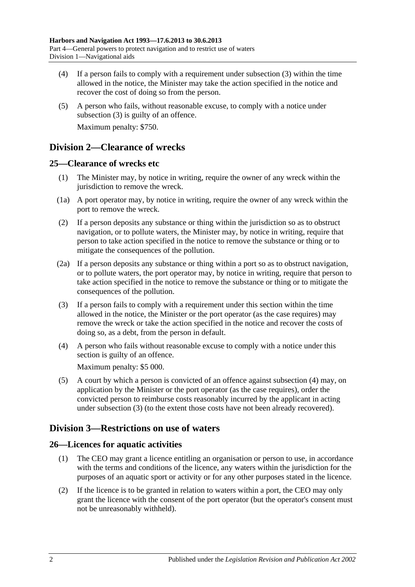- (4) If a person fails to comply with a requirement under [subsection](#page-20-7) (3) within the time allowed in the notice, the Minister may take the action specified in the notice and recover the cost of doing so from the person.
- (5) A person who fails, without reasonable excuse, to comply with a notice under [subsection](#page-20-7) (3) is guilty of an offence. Maximum penalty: \$750.

### <span id="page-21-0"></span>**Division 2—Clearance of wrecks**

### <span id="page-21-1"></span>**25—Clearance of wrecks etc**

- (1) The Minister may, by notice in writing, require the owner of any wreck within the jurisdiction to remove the wreck.
- (1a) A port operator may, by notice in writing, require the owner of any wreck within the port to remove the wreck.
- (2) If a person deposits any substance or thing within the jurisdiction so as to obstruct navigation, or to pollute waters, the Minister may, by notice in writing, require that person to take action specified in the notice to remove the substance or thing or to mitigate the consequences of the pollution.
- (2a) If a person deposits any substance or thing within a port so as to obstruct navigation, or to pollute waters, the port operator may, by notice in writing, require that person to take action specified in the notice to remove the substance or thing or to mitigate the consequences of the pollution.
- <span id="page-21-5"></span>(3) If a person fails to comply with a requirement under this section within the time allowed in the notice, the Minister or the port operator (as the case requires) may remove the wreck or take the action specified in the notice and recover the costs of doing so, as a debt, from the person in default.
- <span id="page-21-4"></span>(4) A person who fails without reasonable excuse to comply with a notice under this section is guilty of an offence.

Maximum penalty: \$5 000.

(5) A court by which a person is convicted of an offence against [subsection](#page-21-4) (4) may, on application by the Minister or the port operator (as the case requires), order the convicted person to reimburse costs reasonably incurred by the applicant in acting under [subsection](#page-21-5) (3) (to the extent those costs have not been already recovered).

## <span id="page-21-2"></span>**Division 3—Restrictions on use of waters**

### <span id="page-21-3"></span>**26—Licences for aquatic activities**

- (1) The CEO may grant a licence entitling an organisation or person to use, in accordance with the terms and conditions of the licence, any waters within the jurisdiction for the purposes of an aquatic sport or activity or for any other purposes stated in the licence.
- (2) If the licence is to be granted in relation to waters within a port, the CEO may only grant the licence with the consent of the port operator (but the operator's consent must not be unreasonably withheld).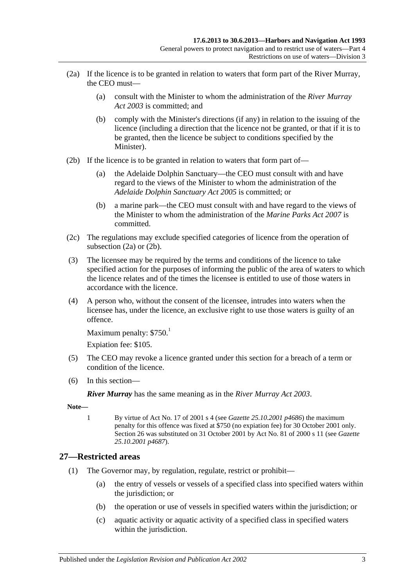- <span id="page-22-1"></span>(2a) If the licence is to be granted in relation to waters that form part of the River Murray, the CEO must—
	- (a) consult with the Minister to whom the administration of the *[River Murray](http://www.legislation.sa.gov.au/index.aspx?action=legref&type=act&legtitle=River%20Murray%20Act%202003)  Act [2003](http://www.legislation.sa.gov.au/index.aspx?action=legref&type=act&legtitle=River%20Murray%20Act%202003)* is committed; and
	- (b) comply with the Minister's directions (if any) in relation to the issuing of the licence (including a direction that the licence not be granted, or that if it is to be granted, then the licence be subject to conditions specified by the Minister).
- <span id="page-22-2"></span>(2b) If the licence is to be granted in relation to waters that form part of—
	- (a) the Adelaide Dolphin Sanctuary—the CEO must consult with and have regard to the views of the Minister to whom the administration of the *[Adelaide Dolphin Sanctuary Act](http://www.legislation.sa.gov.au/index.aspx?action=legref&type=act&legtitle=Adelaide%20Dolphin%20Sanctuary%20Act%202005) 2005* is committed; or
	- (b) a marine park—the CEO must consult with and have regard to the views of the Minister to whom the administration of the *[Marine Parks](http://www.legislation.sa.gov.au/index.aspx?action=legref&type=act&legtitle=Marine%20Parks%20Act%202007) Act 2007* is committed.
- (2c) The regulations may exclude specified categories of licence from the operation of [subsection](#page-22-1) (2a) or [\(2b\).](#page-22-2)
- (3) The licensee may be required by the terms and conditions of the licence to take specified action for the purposes of informing the public of the area of waters to which the licence relates and of the times the licensee is entitled to use of those waters in accordance with the licence.
- (4) A person who, without the consent of the licensee, intrudes into waters when the licensee has, under the licence, an exclusive right to use those waters is guilty of an offence.

```
Maximum penalty: $750<sup>1</sup>
```
Expiation fee: \$105.

- (5) The CEO may revoke a licence granted under this section for a breach of a term or condition of the licence.
- (6) In this section—

*River Murray* has the same meaning as in the *[River Murray Act](http://www.legislation.sa.gov.au/index.aspx?action=legref&type=act&legtitle=River%20Murray%20Act%202003) 2003*.

**Note—**

1 By virtue of Act No. 17 of 2001 s 4 (see *Gazette 25.10.2001 p4686*) the maximum penalty for this offence was fixed at \$750 (no expiation fee) for 30 October 2001 only. Section 26 was substituted on 31 October 2001 by Act No. 81 of 2000 s 11 (see *Gazette 25.10.2001 p4687*).

### <span id="page-22-3"></span><span id="page-22-0"></span>**27—Restricted areas**

- (1) The Governor may, by regulation, regulate, restrict or prohibit—
	- (a) the entry of vessels or vessels of a specified class into specified waters within the jurisdiction; or
	- (b) the operation or use of vessels in specified waters within the jurisdiction; or
	- (c) aquatic activity or aquatic activity of a specified class in specified waters within the jurisdiction.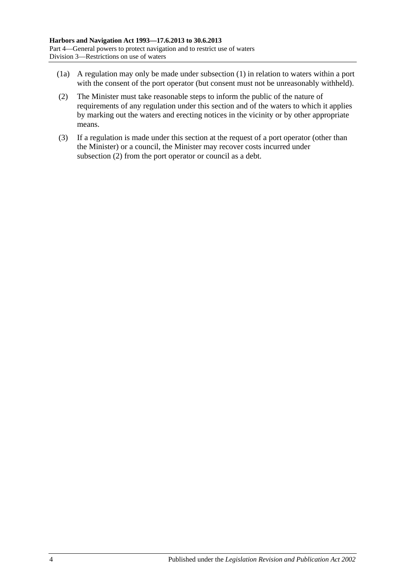- (1a) A regulation may only be made under [subsection](#page-22-3) (1) in relation to waters within a port with the consent of the port operator (but consent must not be unreasonably withheld).
- <span id="page-23-0"></span>(2) The Minister must take reasonable steps to inform the public of the nature of requirements of any regulation under this section and of the waters to which it applies by marking out the waters and erecting notices in the vicinity or by other appropriate means.
- (3) If a regulation is made under this section at the request of a port operator (other than the Minister) or a council, the Minister may recover costs incurred under [subsection](#page-23-0) (2) from the port operator or council as a debt.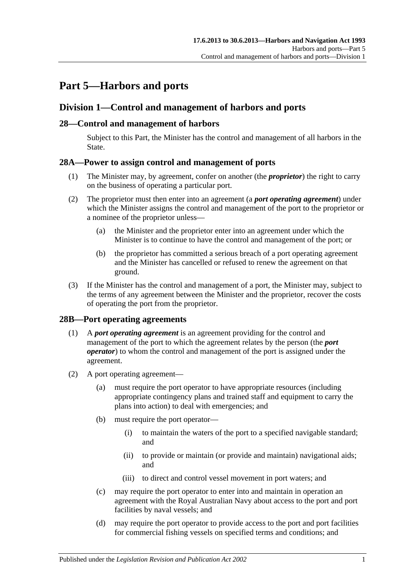# <span id="page-24-0"></span>**Part 5—Harbors and ports**

### <span id="page-24-1"></span>**Division 1—Control and management of harbors and ports**

### <span id="page-24-2"></span>**28—Control and management of harbors**

Subject to this Part, the Minister has the control and management of all harbors in the State.

### <span id="page-24-3"></span>**28A—Power to assign control and management of ports**

- (1) The Minister may, by agreement, confer on another (the *proprietor*) the right to carry on the business of operating a particular port.
- (2) The proprietor must then enter into an agreement (a *port operating agreement*) under which the Minister assigns the control and management of the port to the proprietor or a nominee of the proprietor unless—
	- (a) the Minister and the proprietor enter into an agreement under which the Minister is to continue to have the control and management of the port; or
	- (b) the proprietor has committed a serious breach of a port operating agreement and the Minister has cancelled or refused to renew the agreement on that ground.
- (3) If the Minister has the control and management of a port, the Minister may, subject to the terms of any agreement between the Minister and the proprietor, recover the costs of operating the port from the proprietor.

### <span id="page-24-4"></span>**28B—Port operating agreements**

- (1) A *port operating agreement* is an agreement providing for the control and management of the port to which the agreement relates by the person (the *port operator*) to whom the control and management of the port is assigned under the agreement.
- (2) A port operating agreement—
	- (a) must require the port operator to have appropriate resources (including appropriate contingency plans and trained staff and equipment to carry the plans into action) to deal with emergencies; and
	- (b) must require the port operator—
		- (i) to maintain the waters of the port to a specified navigable standard; and
		- (ii) to provide or maintain (or provide and maintain) navigational aids; and
		- (iii) to direct and control vessel movement in port waters; and
	- (c) may require the port operator to enter into and maintain in operation an agreement with the Royal Australian Navy about access to the port and port facilities by naval vessels; and
	- (d) may require the port operator to provide access to the port and port facilities for commercial fishing vessels on specified terms and conditions; and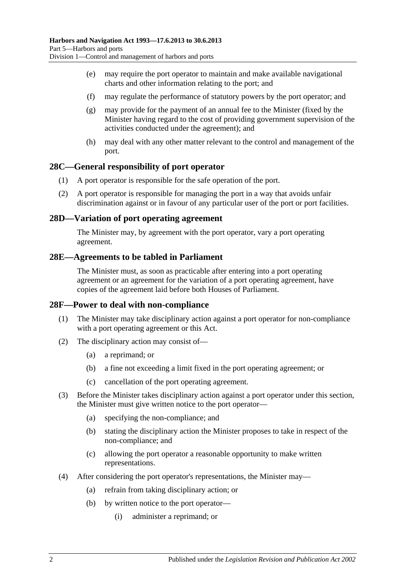- (e) may require the port operator to maintain and make available navigational charts and other information relating to the port; and
- (f) may regulate the performance of statutory powers by the port operator; and
- (g) may provide for the payment of an annual fee to the Minister (fixed by the Minister having regard to the cost of providing government supervision of the activities conducted under the agreement); and
- (h) may deal with any other matter relevant to the control and management of the port.

### <span id="page-25-0"></span>**28C—General responsibility of port operator**

- (1) A port operator is responsible for the safe operation of the port.
- (2) A port operator is responsible for managing the port in a way that avoids unfair discrimination against or in favour of any particular user of the port or port facilities.

### <span id="page-25-1"></span>**28D—Variation of port operating agreement**

The Minister may, by agreement with the port operator, vary a port operating agreement.

### <span id="page-25-2"></span>**28E—Agreements to be tabled in Parliament**

The Minister must, as soon as practicable after entering into a port operating agreement or an agreement for the variation of a port operating agreement, have copies of the agreement laid before both Houses of Parliament.

### <span id="page-25-3"></span>**28F—Power to deal with non-compliance**

- (1) The Minister may take disciplinary action against a port operator for non-compliance with a port operating agreement or this Act.
- (2) The disciplinary action may consist of—
	- (a) a reprimand; or
	- (b) a fine not exceeding a limit fixed in the port operating agreement; or
	- (c) cancellation of the port operating agreement.
- (3) Before the Minister takes disciplinary action against a port operator under this section, the Minister must give written notice to the port operator—
	- (a) specifying the non-compliance; and
	- (b) stating the disciplinary action the Minister proposes to take in respect of the non-compliance; and
	- (c) allowing the port operator a reasonable opportunity to make written representations.
- (4) After considering the port operator's representations, the Minister may—
	- (a) refrain from taking disciplinary action; or
	- (b) by written notice to the port operator—
		- (i) administer a reprimand; or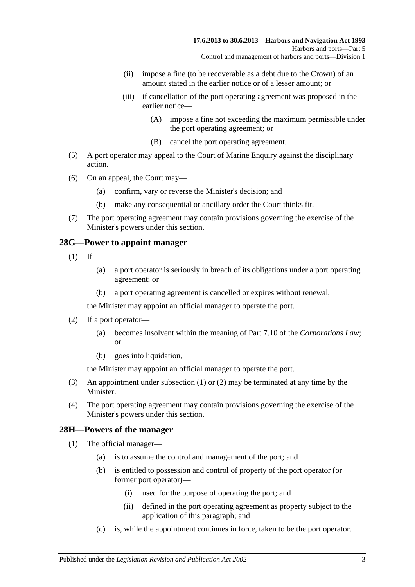- (ii) impose a fine (to be recoverable as a debt due to the Crown) of an amount stated in the earlier notice or of a lesser amount; or
- (iii) if cancellation of the port operating agreement was proposed in the earlier notice—
	- (A) impose a fine not exceeding the maximum permissible under the port operating agreement; or
	- (B) cancel the port operating agreement.
- (5) A port operator may appeal to the Court of Marine Enquiry against the disciplinary action.
- (6) On an appeal, the Court may—
	- (a) confirm, vary or reverse the Minister's decision; and
	- (b) make any consequential or ancillary order the Court thinks fit.
- (7) The port operating agreement may contain provisions governing the exercise of the Minister's powers under this section.

### <span id="page-26-2"></span><span id="page-26-0"></span>**28G—Power to appoint manager**

- $(1)$  If—
	- (a) a port operator is seriously in breach of its obligations under a port operating agreement; or
	- (b) a port operating agreement is cancelled or expires without renewal,

the Minister may appoint an official manager to operate the port.

- <span id="page-26-3"></span>(2) If a port operator—
	- (a) becomes insolvent within the meaning of Part 7.10 of the *Corporations Law*; or
	- (b) goes into liquidation,

the Minister may appoint an official manager to operate the port.

- (3) An appointment under [subsection](#page-26-2) (1) or [\(2\)](#page-26-3) may be terminated at any time by the Minister.
- (4) The port operating agreement may contain provisions governing the exercise of the Minister's powers under this section.

### <span id="page-26-4"></span><span id="page-26-1"></span>**28H—Powers of the manager**

- (1) The official manager—
	- (a) is to assume the control and management of the port; and
	- (b) is entitled to possession and control of property of the port operator (or former port operator)—
		- (i) used for the purpose of operating the port; and
		- (ii) defined in the port operating agreement as property subject to the application of this paragraph; and
	- (c) is, while the appointment continues in force, taken to be the port operator.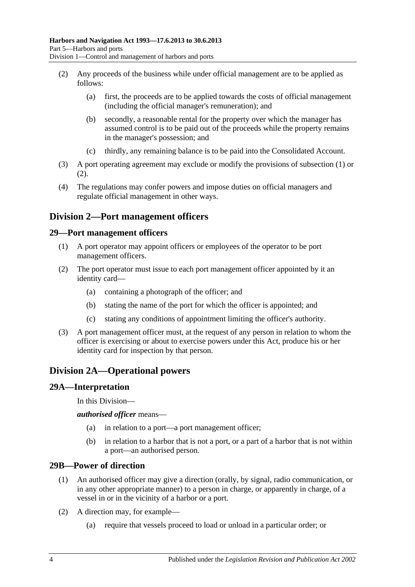- <span id="page-27-5"></span>(2) Any proceeds of the business while under official management are to be applied as follows:
	- (a) first, the proceeds are to be applied towards the costs of official management (including the official manager's remuneration); and
	- (b) secondly, a reasonable rental for the property over which the manager has assumed control is to be paid out of the proceeds while the property remains in the manager's possession; and
	- (c) thirdly, any remaining balance is to be paid into the Consolidated Account.
- (3) A port operating agreement may exclude or modify the provisions of [subsection](#page-26-4) (1) or [\(2\).](#page-27-5)
- (4) The regulations may confer powers and impose duties on official managers and regulate official management in other ways.

### <span id="page-27-0"></span>**Division 2—Port management officers**

### <span id="page-27-1"></span>**29—Port management officers**

- (1) A port operator may appoint officers or employees of the operator to be port management officers.
- (2) The port operator must issue to each port management officer appointed by it an identity card—
	- (a) containing a photograph of the officer; and
	- (b) stating the name of the port for which the officer is appointed; and
	- (c) stating any conditions of appointment limiting the officer's authority.
- (3) A port management officer must, at the request of any person in relation to whom the officer is exercising or about to exercise powers under this Act, produce his or her identity card for inspection by that person.

### <span id="page-27-2"></span>**Division 2A—Operational powers**

### <span id="page-27-3"></span>**29A—Interpretation**

In this Division—

*authorised officer* means—

- (a) in relation to a port—a port management officer;
- (b) in relation to a harbor that is not a port, or a part of a harbor that is not within a port—an authorised person.

### <span id="page-27-4"></span>**29B—Power of direction**

- (1) An authorised officer may give a direction (orally, by signal, radio communication, or in any other appropriate manner) to a person in charge, or apparently in charge, of a vessel in or in the vicinity of a harbor or a port.
- (2) A direction may, for example—
	- (a) require that vessels proceed to load or unload in a particular order; or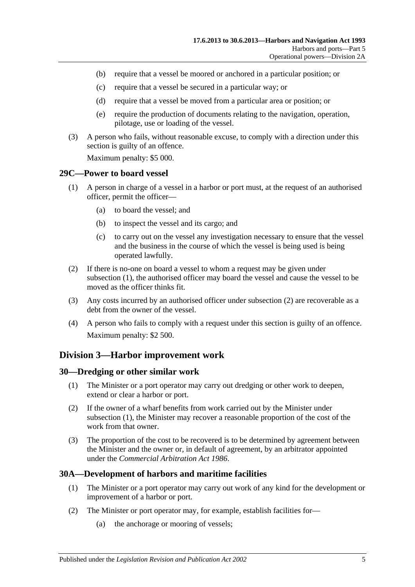- (b) require that a vessel be moored or anchored in a particular position; or
- (c) require that a vessel be secured in a particular way; or
- (d) require that a vessel be moved from a particular area or position; or
- (e) require the production of documents relating to the navigation, operation, pilotage, use or loading of the vessel.
- (3) A person who fails, without reasonable excuse, to comply with a direction under this section is guilty of an offence.

Maximum penalty: \$5 000.

### <span id="page-28-4"></span><span id="page-28-0"></span>**29C—Power to board vessel**

- (1) A person in charge of a vessel in a harbor or port must, at the request of an authorised officer, permit the officer—
	- (a) to board the vessel; and
	- (b) to inspect the vessel and its cargo; and
	- (c) to carry out on the vessel any investigation necessary to ensure that the vessel and the business in the course of which the vessel is being used is being operated lawfully.
- <span id="page-28-5"></span>(2) If there is no-one on board a vessel to whom a request may be given under [subsection](#page-28-4) (1), the authorised officer may board the vessel and cause the vessel to be moved as the officer thinks fit.
- (3) Any costs incurred by an authorised officer under [subsection](#page-28-5) (2) are recoverable as a debt from the owner of the vessel.
- (4) A person who fails to comply with a request under this section is guilty of an offence. Maximum penalty: \$2 500.

### <span id="page-28-1"></span>**Division 3—Harbor improvement work**

### <span id="page-28-6"></span><span id="page-28-2"></span>**30—Dredging or other similar work**

- (1) The Minister or a port operator may carry out dredging or other work to deepen, extend or clear a harbor or port.
- (2) If the owner of a wharf benefits from work carried out by the Minister under [subsection](#page-28-6) (1), the Minister may recover a reasonable proportion of the cost of the work from that owner.
- (3) The proportion of the cost to be recovered is to be determined by agreement between the Minister and the owner or, in default of agreement, by an arbitrator appointed under the *[Commercial Arbitration Act](http://www.legislation.sa.gov.au/index.aspx?action=legref&type=act&legtitle=Commercial%20Arbitration%20Act%201986) 1986*.

### <span id="page-28-3"></span>**30A—Development of harbors and maritime facilities**

- (1) The Minister or a port operator may carry out work of any kind for the development or improvement of a harbor or port.
- (2) The Minister or port operator may, for example, establish facilities for—
	- (a) the anchorage or mooring of vessels;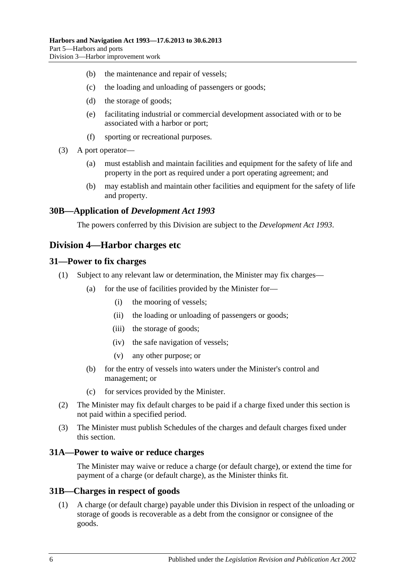- (b) the maintenance and repair of vessels;
- (c) the loading and unloading of passengers or goods;
- (d) the storage of goods;
- (e) facilitating industrial or commercial development associated with or to be associated with a harbor or port;
- (f) sporting or recreational purposes.
- (3) A port operator—
	- (a) must establish and maintain facilities and equipment for the safety of life and property in the port as required under a port operating agreement; and
	- (b) may establish and maintain other facilities and equipment for the safety of life and property.

### <span id="page-29-0"></span>**30B—Application of** *Development Act 1993*

The powers conferred by this Division are subject to the *[Development Act](http://www.legislation.sa.gov.au/index.aspx?action=legref&type=act&legtitle=Development%20Act%201993) 1993*.

### <span id="page-29-1"></span>**Division 4—Harbor charges etc**

### <span id="page-29-2"></span>**31—Power to fix charges**

- (1) Subject to any relevant law or determination, the Minister may fix charges—
	- (a) for the use of facilities provided by the Minister for—
		- (i) the mooring of vessels;
		- (ii) the loading or unloading of passengers or goods;
		- (iii) the storage of goods;
		- (iv) the safe navigation of vessels;
		- (v) any other purpose; or
	- (b) for the entry of vessels into waters under the Minister's control and management; or
	- (c) for services provided by the Minister.
- (2) The Minister may fix default charges to be paid if a charge fixed under this section is not paid within a specified period.
- (3) The Minister must publish Schedules of the charges and default charges fixed under this section.

### <span id="page-29-3"></span>**31A—Power to waive or reduce charges**

The Minister may waive or reduce a charge (or default charge), or extend the time for payment of a charge (or default charge), as the Minister thinks fit.

### <span id="page-29-4"></span>**31B—Charges in respect of goods**

(1) A charge (or default charge) payable under this Division in respect of the unloading or storage of goods is recoverable as a debt from the consignor or consignee of the goods.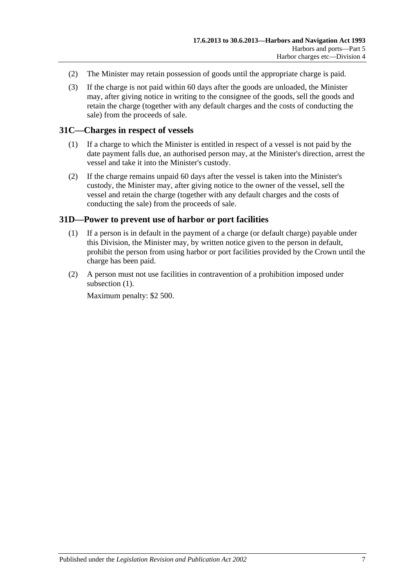- (2) The Minister may retain possession of goods until the appropriate charge is paid.
- (3) If the charge is not paid within 60 days after the goods are unloaded, the Minister may, after giving notice in writing to the consignee of the goods, sell the goods and retain the charge (together with any default charges and the costs of conducting the sale) from the proceeds of sale.

### <span id="page-30-0"></span>**31C—Charges in respect of vessels**

- (1) If a charge to which the Minister is entitled in respect of a vessel is not paid by the date payment falls due, an authorised person may, at the Minister's direction, arrest the vessel and take it into the Minister's custody.
- (2) If the charge remains unpaid 60 days after the vessel is taken into the Minister's custody, the Minister may, after giving notice to the owner of the vessel, sell the vessel and retain the charge (together with any default charges and the costs of conducting the sale) from the proceeds of sale.

### <span id="page-30-2"></span><span id="page-30-1"></span>**31D—Power to prevent use of harbor or port facilities**

- (1) If a person is in default in the payment of a charge (or default charge) payable under this Division, the Minister may, by written notice given to the person in default, prohibit the person from using harbor or port facilities provided by the Crown until the charge has been paid.
- (2) A person must not use facilities in contravention of a prohibition imposed under [subsection](#page-30-2)  $(1)$ .

Maximum penalty: \$2 500.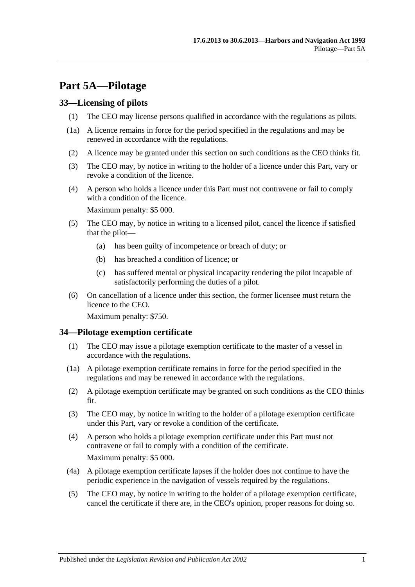# <span id="page-32-0"></span>**Part 5A—Pilotage**

### <span id="page-32-1"></span>**33—Licensing of pilots**

- (1) The CEO may license persons qualified in accordance with the regulations as pilots.
- (1a) A licence remains in force for the period specified in the regulations and may be renewed in accordance with the regulations.
- (2) A licence may be granted under this section on such conditions as the CEO thinks fit.
- (3) The CEO may, by notice in writing to the holder of a licence under this Part, vary or revoke a condition of the licence.
- (4) A person who holds a licence under this Part must not contravene or fail to comply with a condition of the licence.

Maximum penalty: \$5 000.

- (5) The CEO may, by notice in writing to a licensed pilot, cancel the licence if satisfied that the pilot—
	- (a) has been guilty of incompetence or breach of duty; or
	- (b) has breached a condition of licence; or
	- (c) has suffered mental or physical incapacity rendering the pilot incapable of satisfactorily performing the duties of a pilot.
- (6) On cancellation of a licence under this section, the former licensee must return the licence to the CEO.

Maximum penalty: \$750.

### <span id="page-32-2"></span>**34—Pilotage exemption certificate**

- (1) The CEO may issue a pilotage exemption certificate to the master of a vessel in accordance with the regulations.
- (1a) A pilotage exemption certificate remains in force for the period specified in the regulations and may be renewed in accordance with the regulations.
- (2) A pilotage exemption certificate may be granted on such conditions as the CEO thinks fit.
- (3) The CEO may, by notice in writing to the holder of a pilotage exemption certificate under this Part, vary or revoke a condition of the certificate.
- (4) A person who holds a pilotage exemption certificate under this Part must not contravene or fail to comply with a condition of the certificate. Maximum penalty: \$5 000.
- (4a) A pilotage exemption certificate lapses if the holder does not continue to have the periodic experience in the navigation of vessels required by the regulations.
- (5) The CEO may, by notice in writing to the holder of a pilotage exemption certificate, cancel the certificate if there are, in the CEO's opinion, proper reasons for doing so.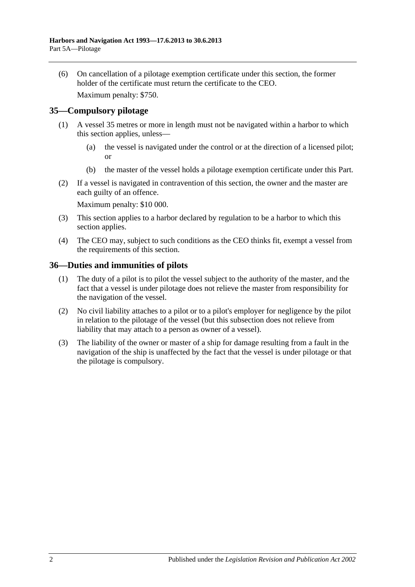(6) On cancellation of a pilotage exemption certificate under this section, the former holder of the certificate must return the certificate to the CEO.

Maximum penalty: \$750.

### <span id="page-33-0"></span>**35—Compulsory pilotage**

- (1) A vessel 35 metres or more in length must not be navigated within a harbor to which this section applies, unless—
	- (a) the vessel is navigated under the control or at the direction of a licensed pilot; or
	- (b) the master of the vessel holds a pilotage exemption certificate under this Part.
- (2) If a vessel is navigated in contravention of this section, the owner and the master are each guilty of an offence.

Maximum penalty: \$10 000.

- (3) This section applies to a harbor declared by regulation to be a harbor to which this section applies.
- (4) The CEO may, subject to such conditions as the CEO thinks fit, exempt a vessel from the requirements of this section.

### <span id="page-33-1"></span>**36—Duties and immunities of pilots**

- (1) The duty of a pilot is to pilot the vessel subject to the authority of the master, and the fact that a vessel is under pilotage does not relieve the master from responsibility for the navigation of the vessel.
- (2) No civil liability attaches to a pilot or to a pilot's employer for negligence by the pilot in relation to the pilotage of the vessel (but this subsection does not relieve from liability that may attach to a person as owner of a vessel).
- (3) The liability of the owner or master of a ship for damage resulting from a fault in the navigation of the ship is unaffected by the fact that the vessel is under pilotage or that the pilotage is compulsory.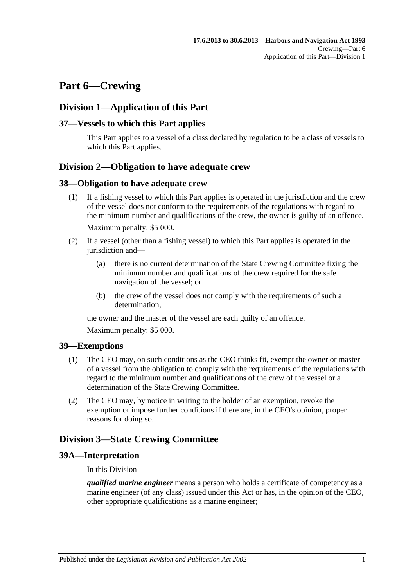# <span id="page-34-0"></span>**Part 6—Crewing**

### <span id="page-34-1"></span>**Division 1—Application of this Part**

### <span id="page-34-2"></span>**37—Vessels to which this Part applies**

This Part applies to a vessel of a class declared by regulation to be a class of vessels to which this Part applies.

### <span id="page-34-3"></span>**Division 2—Obligation to have adequate crew**

### <span id="page-34-4"></span>**38—Obligation to have adequate crew**

- (1) If a fishing vessel to which this Part applies is operated in the jurisdiction and the crew of the vessel does not conform to the requirements of the regulations with regard to the minimum number and qualifications of the crew, the owner is guilty of an offence. Maximum penalty: \$5 000.
- (2) If a vessel (other than a fishing vessel) to which this Part applies is operated in the jurisdiction and—
	- (a) there is no current determination of the State Crewing Committee fixing the minimum number and qualifications of the crew required for the safe navigation of the vessel; or
	- (b) the crew of the vessel does not comply with the requirements of such a determination,

the owner and the master of the vessel are each guilty of an offence.

Maximum penalty: \$5 000.

### <span id="page-34-5"></span>**39—Exemptions**

- (1) The CEO may, on such conditions as the CEO thinks fit, exempt the owner or master of a vessel from the obligation to comply with the requirements of the regulations with regard to the minimum number and qualifications of the crew of the vessel or a determination of the State Crewing Committee.
- (2) The CEO may, by notice in writing to the holder of an exemption, revoke the exemption or impose further conditions if there are, in the CEO's opinion, proper reasons for doing so.

### <span id="page-34-6"></span>**Division 3—State Crewing Committee**

### <span id="page-34-7"></span>**39A—Interpretation**

In this Division—

*qualified marine engineer* means a person who holds a certificate of competency as a marine engineer (of any class) issued under this Act or has, in the opinion of the CEO, other appropriate qualifications as a marine engineer;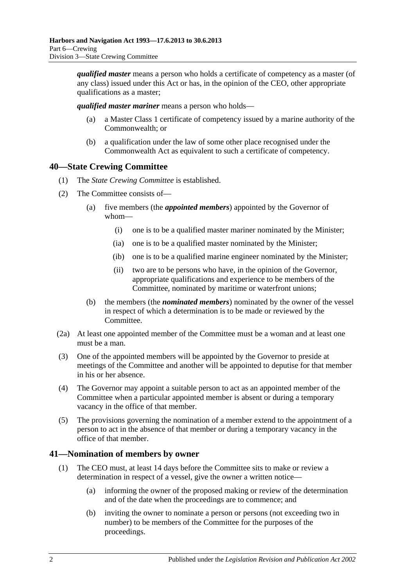*qualified master* means a person who holds a certificate of competency as a master (of any class) issued under this Act or has, in the opinion of the CEO, other appropriate qualifications as a master;

*qualified master mariner* means a person who holds—

- (a) a Master Class 1 certificate of competency issued by a marine authority of the Commonwealth; or
- (b) a qualification under the law of some other place recognised under the Commonwealth Act as equivalent to such a certificate of competency.

### <span id="page-35-0"></span>**40—State Crewing Committee**

- (1) The *State Crewing Committee* is established.
- (2) The Committee consists of—
	- (a) five members (the *appointed members*) appointed by the Governor of whom—
		- (i) one is to be a qualified master mariner nominated by the Minister;
		- (ia) one is to be a qualified master nominated by the Minister;
		- (ib) one is to be a qualified marine engineer nominated by the Minister;
		- (ii) two are to be persons who have, in the opinion of the Governor, appropriate qualifications and experience to be members of the Committee, nominated by maritime or waterfront unions;
	- (b) the members (the *nominated members*) nominated by the owner of the vessel in respect of which a determination is to be made or reviewed by the Committee.
- (2a) At least one appointed member of the Committee must be a woman and at least one must be a man.
- (3) One of the appointed members will be appointed by the Governor to preside at meetings of the Committee and another will be appointed to deputise for that member in his or her absence.
- (4) The Governor may appoint a suitable person to act as an appointed member of the Committee when a particular appointed member is absent or during a temporary vacancy in the office of that member.
- (5) The provisions governing the nomination of a member extend to the appointment of a person to act in the absence of that member or during a temporary vacancy in the office of that member.

### <span id="page-35-1"></span>**41—Nomination of members by owner**

- (1) The CEO must, at least 14 days before the Committee sits to make or review a determination in respect of a vessel, give the owner a written notice—
	- (a) informing the owner of the proposed making or review of the determination and of the date when the proceedings are to commence; and
	- (b) inviting the owner to nominate a person or persons (not exceeding two in number) to be members of the Committee for the purposes of the proceedings.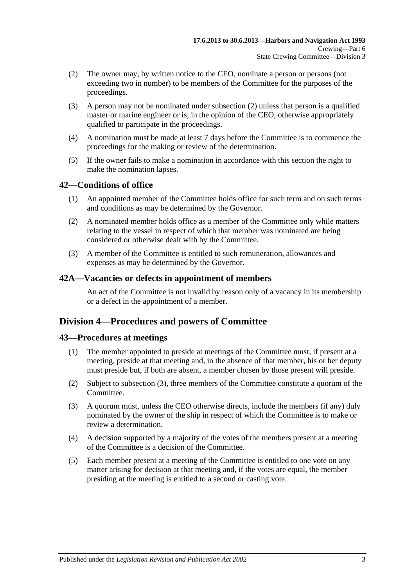- <span id="page-36-0"></span>(2) The owner may, by written notice to the CEO, nominate a person or persons (not exceeding two in number) to be members of the Committee for the purposes of the proceedings.
- (3) A person may not be nominated under [subsection](#page-36-0) (2) unless that person is a qualified master or marine engineer or is, in the opinion of the CEO, otherwise appropriately qualified to participate in the proceedings.
- (4) A nomination must be made at least 7 days before the Committee is to commence the proceedings for the making or review of the determination.
- (5) If the owner fails to make a nomination in accordance with this section the right to make the nomination lapses.

## **42—Conditions of office**

- (1) An appointed member of the Committee holds office for such term and on such terms and conditions as may be determined by the Governor.
- (2) A nominated member holds office as a member of the Committee only while matters relating to the vessel in respect of which that member was nominated are being considered or otherwise dealt with by the Committee.
- (3) A member of the Committee is entitled to such remuneration, allowances and expenses as may be determined by the Governor.

#### **42A—Vacancies or defects in appointment of members**

An act of the Committee is not invalid by reason only of a vacancy in its membership or a defect in the appointment of a member.

## **Division 4—Procedures and powers of Committee**

#### **43—Procedures at meetings**

- (1) The member appointed to preside at meetings of the Committee must, if present at a meeting, preside at that meeting and, in the absence of that member, his or her deputy must preside but, if both are absent, a member chosen by those present will preside.
- (2) Subject to [subsection](#page-36-1) (3), three members of the Committee constitute a quorum of the Committee.
- <span id="page-36-1"></span>(3) A quorum must, unless the CEO otherwise directs, include the members (if any) duly nominated by the owner of the ship in respect of which the Committee is to make or review a determination.
- (4) A decision supported by a majority of the votes of the members present at a meeting of the Committee is a decision of the Committee.
- (5) Each member present at a meeting of the Committee is entitled to one vote on any matter arising for decision at that meeting and, if the votes are equal, the member presiding at the meeting is entitled to a second or casting vote.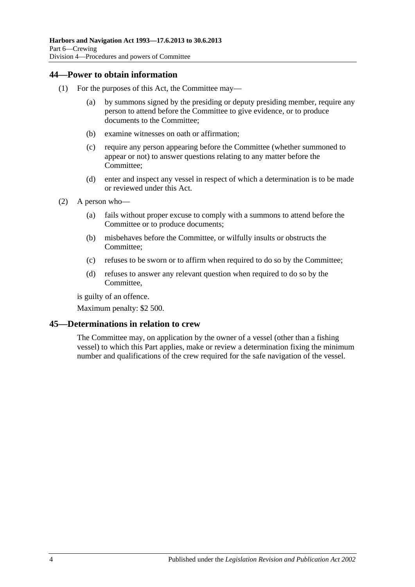#### **44—Power to obtain information**

- (1) For the purposes of this Act, the Committee may—
	- (a) by summons signed by the presiding or deputy presiding member, require any person to attend before the Committee to give evidence, or to produce documents to the Committee;
	- (b) examine witnesses on oath or affirmation;
	- (c) require any person appearing before the Committee (whether summoned to appear or not) to answer questions relating to any matter before the Committee;
	- (d) enter and inspect any vessel in respect of which a determination is to be made or reviewed under this Act.
- (2) A person who—
	- (a) fails without proper excuse to comply with a summons to attend before the Committee or to produce documents;
	- (b) misbehaves before the Committee, or wilfully insults or obstructs the Committee;
	- (c) refuses to be sworn or to affirm when required to do so by the Committee;
	- (d) refuses to answer any relevant question when required to do so by the Committee,

is guilty of an offence.

Maximum penalty: \$2 500.

#### **45—Determinations in relation to crew**

The Committee may, on application by the owner of a vessel (other than a fishing vessel) to which this Part applies, make or review a determination fixing the minimum number and qualifications of the crew required for the safe navigation of the vessel.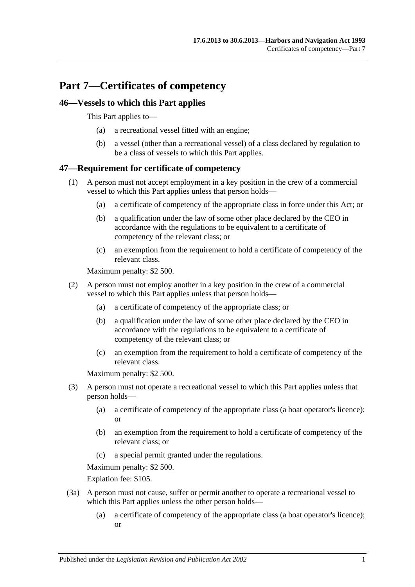# **Part 7—Certificates of competency**

## **46—Vessels to which this Part applies**

This Part applies to—

- (a) a recreational vessel fitted with an engine;
- (b) a vessel (other than a recreational vessel) of a class declared by regulation to be a class of vessels to which this Part applies.

## **47—Requirement for certificate of competency**

- (1) A person must not accept employment in a key position in the crew of a commercial vessel to which this Part applies unless that person holds—
	- (a) a certificate of competency of the appropriate class in force under this Act; or
	- (b) a qualification under the law of some other place declared by the CEO in accordance with the regulations to be equivalent to a certificate of competency of the relevant class; or
	- (c) an exemption from the requirement to hold a certificate of competency of the relevant class.

Maximum penalty: \$2 500.

- (2) A person must not employ another in a key position in the crew of a commercial vessel to which this Part applies unless that person holds—
	- (a) a certificate of competency of the appropriate class; or
	- (b) a qualification under the law of some other place declared by the CEO in accordance with the regulations to be equivalent to a certificate of competency of the relevant class; or
	- (c) an exemption from the requirement to hold a certificate of competency of the relevant class.

Maximum penalty: \$2 500.

- (3) A person must not operate a recreational vessel to which this Part applies unless that person holds—
	- (a) a certificate of competency of the appropriate class (a boat operator's licence); or
	- (b) an exemption from the requirement to hold a certificate of competency of the relevant class; or
	- (c) a special permit granted under the regulations.

Maximum penalty: \$2 500.

Expiation fee: \$105.

- (3a) A person must not cause, suffer or permit another to operate a recreational vessel to which this Part applies unless the other person holds—
	- (a) a certificate of competency of the appropriate class (a boat operator's licence); or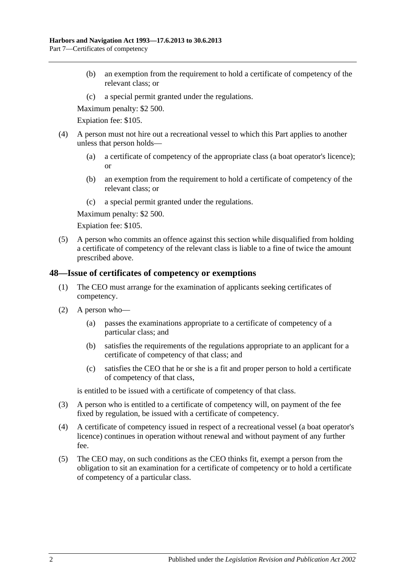- (b) an exemption from the requirement to hold a certificate of competency of the relevant class; or
- (c) a special permit granted under the regulations.

Maximum penalty: \$2 500.

Expiation fee: \$105.

- (4) A person must not hire out a recreational vessel to which this Part applies to another unless that person holds—
	- (a) a certificate of competency of the appropriate class (a boat operator's licence); or
	- (b) an exemption from the requirement to hold a certificate of competency of the relevant class; or
	- (c) a special permit granted under the regulations.

Maximum penalty: \$2 500.

Expiation fee: \$105.

(5) A person who commits an offence against this section while disqualified from holding a certificate of competency of the relevant class is liable to a fine of twice the amount prescribed above.

#### **48—Issue of certificates of competency or exemptions**

- (1) The CEO must arrange for the examination of applicants seeking certificates of competency.
- (2) A person who—
	- (a) passes the examinations appropriate to a certificate of competency of a particular class; and
	- (b) satisfies the requirements of the regulations appropriate to an applicant for a certificate of competency of that class; and
	- (c) satisfies the CEO that he or she is a fit and proper person to hold a certificate of competency of that class,

is entitled to be issued with a certificate of competency of that class.

- (3) A person who is entitled to a certificate of competency will, on payment of the fee fixed by regulation, be issued with a certificate of competency.
- (4) A certificate of competency issued in respect of a recreational vessel (a boat operator's licence) continues in operation without renewal and without payment of any further fee.
- (5) The CEO may, on such conditions as the CEO thinks fit, exempt a person from the obligation to sit an examination for a certificate of competency or to hold a certificate of competency of a particular class.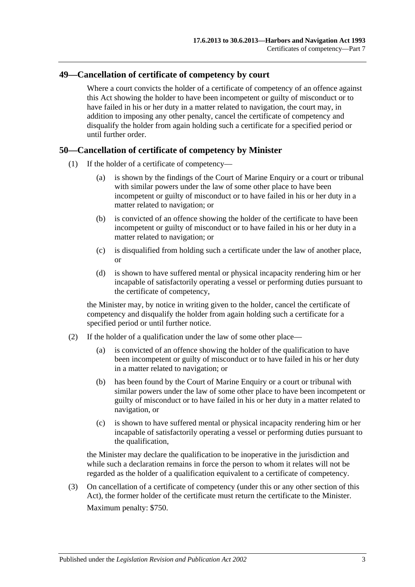## **49—Cancellation of certificate of competency by court**

Where a court convicts the holder of a certificate of competency of an offence against this Act showing the holder to have been incompetent or guilty of misconduct or to have failed in his or her duty in a matter related to navigation, the court may, in addition to imposing any other penalty, cancel the certificate of competency and disqualify the holder from again holding such a certificate for a specified period or until further order.

#### **50—Cancellation of certificate of competency by Minister**

- (1) If the holder of a certificate of competency—
	- (a) is shown by the findings of the Court of Marine Enquiry or a court or tribunal with similar powers under the law of some other place to have been incompetent or guilty of misconduct or to have failed in his or her duty in a matter related to navigation; or
	- (b) is convicted of an offence showing the holder of the certificate to have been incompetent or guilty of misconduct or to have failed in his or her duty in a matter related to navigation; or
	- (c) is disqualified from holding such a certificate under the law of another place, or
	- (d) is shown to have suffered mental or physical incapacity rendering him or her incapable of satisfactorily operating a vessel or performing duties pursuant to the certificate of competency,

the Minister may, by notice in writing given to the holder, cancel the certificate of competency and disqualify the holder from again holding such a certificate for a specified period or until further notice.

- (2) If the holder of a qualification under the law of some other place—
	- (a) is convicted of an offence showing the holder of the qualification to have been incompetent or guilty of misconduct or to have failed in his or her duty in a matter related to navigation; or
	- (b) has been found by the Court of Marine Enquiry or a court or tribunal with similar powers under the law of some other place to have been incompetent or guilty of misconduct or to have failed in his or her duty in a matter related to navigation, or
	- (c) is shown to have suffered mental or physical incapacity rendering him or her incapable of satisfactorily operating a vessel or performing duties pursuant to the qualification,

the Minister may declare the qualification to be inoperative in the jurisdiction and while such a declaration remains in force the person to whom it relates will not be regarded as the holder of a qualification equivalent to a certificate of competency.

(3) On cancellation of a certificate of competency (under this or any other section of this Act), the former holder of the certificate must return the certificate to the Minister. Maximum penalty: \$750.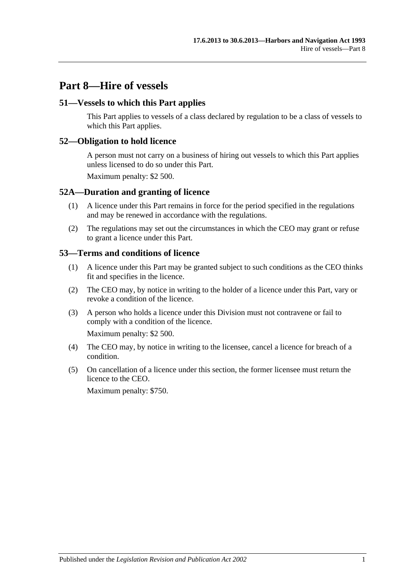# **Part 8—Hire of vessels**

#### **51—Vessels to which this Part applies**

This Part applies to vessels of a class declared by regulation to be a class of vessels to which this Part applies.

#### **52—Obligation to hold licence**

A person must not carry on a business of hiring out vessels to which this Part applies unless licensed to do so under this Part.

Maximum penalty: \$2 500.

#### **52A—Duration and granting of licence**

- (1) A licence under this Part remains in force for the period specified in the regulations and may be renewed in accordance with the regulations.
- (2) The regulations may set out the circumstances in which the CEO may grant or refuse to grant a licence under this Part.

#### **53—Terms and conditions of licence**

- (1) A licence under this Part may be granted subject to such conditions as the CEO thinks fit and specifies in the licence.
- (2) The CEO may, by notice in writing to the holder of a licence under this Part, vary or revoke a condition of the licence.
- (3) A person who holds a licence under this Division must not contravene or fail to comply with a condition of the licence.

Maximum penalty: \$2 500.

- (4) The CEO may, by notice in writing to the licensee, cancel a licence for breach of a condition.
- (5) On cancellation of a licence under this section, the former licensee must return the licence to the CEO.

Maximum penalty: \$750.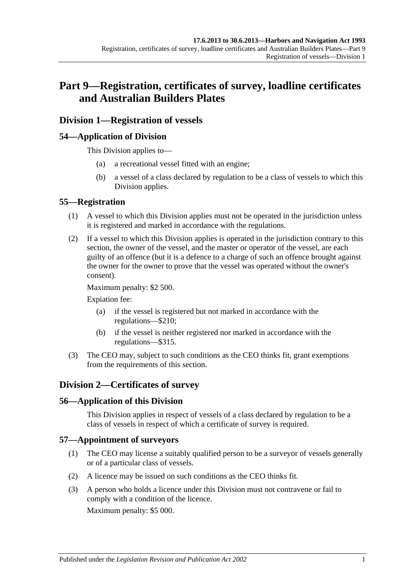# **Part 9—Registration, certificates of survey, loadline certificates and Australian Builders Plates**

## **Division 1—Registration of vessels**

#### **54—Application of Division**

This Division applies to—

- (a) a recreational vessel fitted with an engine;
- (b) a vessel of a class declared by regulation to be a class of vessels to which this Division applies.

#### **55—Registration**

- (1) A vessel to which this Division applies must not be operated in the jurisdiction unless it is registered and marked in accordance with the regulations.
- (2) If a vessel to which this Division applies is operated in the jurisdiction contrary to this section, the owner of the vessel, and the master or operator of the vessel, are each guilty of an offence (but it is a defence to a charge of such an offence brought against the owner for the owner to prove that the vessel was operated without the owner's consent).

Maximum penalty: \$2 500.

Expiation fee:

- (a) if the vessel is registered but not marked in accordance with the regulations—\$210;
- (b) if the vessel is neither registered nor marked in accordance with the regulations—\$315.
- (3) The CEO may, subject to such conditions as the CEO thinks fit, grant exemptions from the requirements of this section.

## **Division 2—Certificates of survey**

#### **56—Application of this Division**

This Division applies in respect of vessels of a class declared by regulation to be a class of vessels in respect of which a certificate of survey is required.

#### **57—Appointment of surveyors**

- (1) The CEO may license a suitably qualified person to be a surveyor of vessels generally or of a particular class of vessels.
- (2) A licence may be issued on such conditions as the CEO thinks fit.
- (3) A person who holds a licence under this Division must not contravene or fail to comply with a condition of the licence.

Maximum penalty: \$5 000.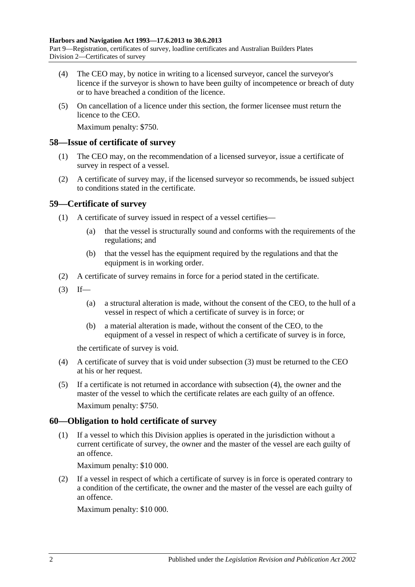- (4) The CEO may, by notice in writing to a licensed surveyor, cancel the surveyor's licence if the surveyor is shown to have been guilty of incompetence or breach of duty or to have breached a condition of the licence.
- (5) On cancellation of a licence under this section, the former licensee must return the licence to the CEO.

Maximum penalty: \$750.

#### **58—Issue of certificate of survey**

- (1) The CEO may, on the recommendation of a licensed surveyor, issue a certificate of survey in respect of a vessel.
- (2) A certificate of survey may, if the licensed surveyor so recommends, be issued subject to conditions stated in the certificate.

#### **59—Certificate of survey**

- (1) A certificate of survey issued in respect of a vessel certifies—
	- (a) that the vessel is structurally sound and conforms with the requirements of the regulations; and
	- (b) that the vessel has the equipment required by the regulations and that the equipment is in working order.
- (2) A certificate of survey remains in force for a period stated in the certificate.
- <span id="page-45-0"></span> $(3)$  If—
	- (a) a structural alteration is made, without the consent of the CEO, to the hull of a vessel in respect of which a certificate of survey is in force; or
	- (b) a material alteration is made, without the consent of the CEO, to the equipment of a vessel in respect of which a certificate of survey is in force,

the certificate of survey is void.

- <span id="page-45-1"></span>(4) A certificate of survey that is void under [subsection](#page-45-0) (3) must be returned to the CEO at his or her request.
- (5) If a certificate is not returned in accordance with [subsection](#page-45-1) (4), the owner and the master of the vessel to which the certificate relates are each guilty of an offence. Maximum penalty: \$750.

#### **60—Obligation to hold certificate of survey**

(1) If a vessel to which this Division applies is operated in the jurisdiction without a current certificate of survey, the owner and the master of the vessel are each guilty of an offence.

Maximum penalty: \$10 000.

(2) If a vessel in respect of which a certificate of survey is in force is operated contrary to a condition of the certificate, the owner and the master of the vessel are each guilty of an offence.

Maximum penalty: \$10 000.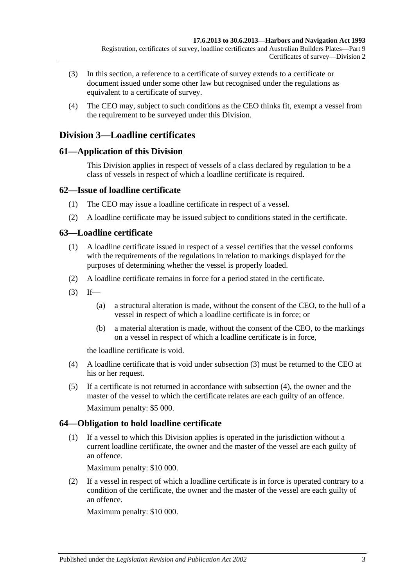- (3) In this section, a reference to a certificate of survey extends to a certificate or document issued under some other law but recognised under the regulations as equivalent to a certificate of survey.
- (4) The CEO may, subject to such conditions as the CEO thinks fit, exempt a vessel from the requirement to be surveyed under this Division.

## **Division 3—Loadline certificates**

#### **61—Application of this Division**

This Division applies in respect of vessels of a class declared by regulation to be a class of vessels in respect of which a loadline certificate is required.

#### **62—Issue of loadline certificate**

- (1) The CEO may issue a loadline certificate in respect of a vessel.
- (2) A loadline certificate may be issued subject to conditions stated in the certificate.

## **63—Loadline certificate**

- (1) A loadline certificate issued in respect of a vessel certifies that the vessel conforms with the requirements of the regulations in relation to markings displayed for the purposes of determining whether the vessel is properly loaded.
- (2) A loadline certificate remains in force for a period stated in the certificate.
- <span id="page-46-0"></span> $(3)$  If—
	- (a) a structural alteration is made, without the consent of the CEO, to the hull of a vessel in respect of which a loadline certificate is in force; or
	- (b) a material alteration is made, without the consent of the CEO, to the markings on a vessel in respect of which a loadline certificate is in force,

the loadline certificate is void.

- <span id="page-46-1"></span>(4) A loadline certificate that is void under [subsection](#page-46-0) (3) must be returned to the CEO at his or her request.
- (5) If a certificate is not returned in accordance with [subsection](#page-46-1) (4), the owner and the master of the vessel to which the certificate relates are each guilty of an offence. Maximum penalty: \$5 000.

#### **64—Obligation to hold loadline certificate**

(1) If a vessel to which this Division applies is operated in the jurisdiction without a current loadline certificate, the owner and the master of the vessel are each guilty of an offence.

Maximum penalty: \$10 000.

(2) If a vessel in respect of which a loadline certificate is in force is operated contrary to a condition of the certificate, the owner and the master of the vessel are each guilty of an offence.

Maximum penalty: \$10 000.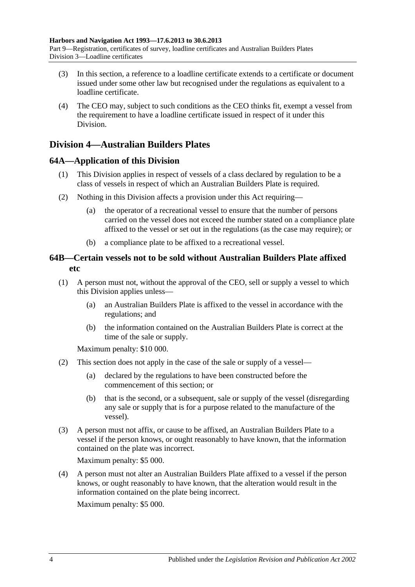- (3) In this section, a reference to a loadline certificate extends to a certificate or document issued under some other law but recognised under the regulations as equivalent to a loadline certificate.
- (4) The CEO may, subject to such conditions as the CEO thinks fit, exempt a vessel from the requirement to have a loadline certificate issued in respect of it under this Division.

## **Division 4—Australian Builders Plates**

## **64A—Application of this Division**

- (1) This Division applies in respect of vessels of a class declared by regulation to be a class of vessels in respect of which an Australian Builders Plate is required.
- (2) Nothing in this Division affects a provision under this Act requiring—
	- (a) the operator of a recreational vessel to ensure that the number of persons carried on the vessel does not exceed the number stated on a compliance plate affixed to the vessel or set out in the regulations (as the case may require); or
	- (b) a compliance plate to be affixed to a recreational vessel.

## **64B—Certain vessels not to be sold without Australian Builders Plate affixed etc**

- <span id="page-47-0"></span>(1) A person must not, without the approval of the CEO, sell or supply a vessel to which this Division applies unless—
	- (a) an Australian Builders Plate is affixed to the vessel in accordance with the regulations; and
	- (b) the information contained on the Australian Builders Plate is correct at the time of the sale or supply.

Maximum penalty: \$10 000.

- (2) This section does not apply in the case of the sale or supply of a vessel—
	- (a) declared by the regulations to have been constructed before the commencement of this section; or
	- (b) that is the second, or a subsequent, sale or supply of the vessel (disregarding any sale or supply that is for a purpose related to the manufacture of the vessel).
- (3) A person must not affix, or cause to be affixed, an Australian Builders Plate to a vessel if the person knows, or ought reasonably to have known, that the information contained on the plate was incorrect.

Maximum penalty: \$5 000.

(4) A person must not alter an Australian Builders Plate affixed to a vessel if the person knows, or ought reasonably to have known, that the alteration would result in the information contained on the plate being incorrect.

Maximum penalty: \$5 000.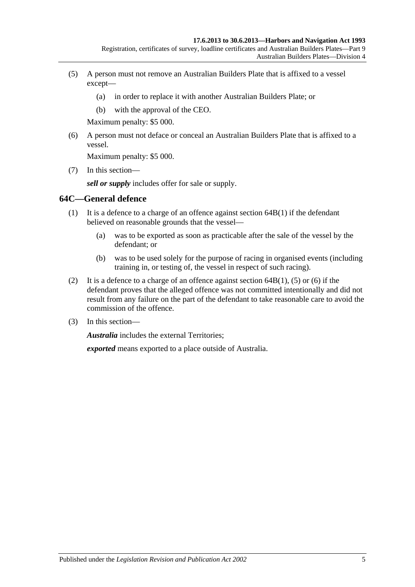- <span id="page-48-0"></span>(5) A person must not remove an Australian Builders Plate that is affixed to a vessel except—
	- (a) in order to replace it with another Australian Builders Plate; or
	- (b) with the approval of the CEO.

Maximum penalty: \$5 000.

<span id="page-48-1"></span>(6) A person must not deface or conceal an Australian Builders Plate that is affixed to a vessel.

Maximum penalty: \$5 000.

(7) In this section—

*sell or supply* includes offer for sale or supply.

#### **64C—General defence**

- (1) It is a defence to a charge of an offence against [section](#page-47-0) 64B(1) if the defendant believed on reasonable grounds that the vessel—
	- (a) was to be exported as soon as practicable after the sale of the vessel by the defendant; or
	- (b) was to be used solely for the purpose of racing in organised events (including training in, or testing of, the vessel in respect of such racing).
- (2) It is a defence to a charge of an offence against [section](#page-47-0)  $64B(1)$ , [\(5\)](#page-48-0) or [\(6\)](#page-48-1) if the defendant proves that the alleged offence was not committed intentionally and did not result from any failure on the part of the defendant to take reasonable care to avoid the commission of the offence.
- (3) In this section—

*Australia* includes the external Territories;

*exported* means exported to a place outside of Australia.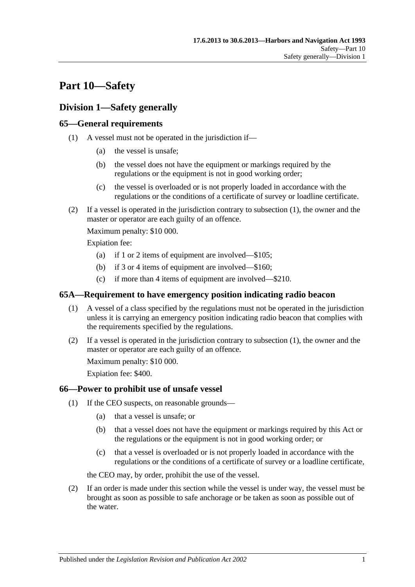# **Part 10—Safety**

## **Division 1—Safety generally**

## <span id="page-50-0"></span>**65—General requirements**

- (1) A vessel must not be operated in the jurisdiction if—
	- (a) the vessel is unsafe;
	- (b) the vessel does not have the equipment or markings required by the regulations or the equipment is not in good working order;
	- (c) the vessel is overloaded or is not properly loaded in accordance with the regulations or the conditions of a certificate of survey or loadline certificate.
- (2) If a vessel is operated in the jurisdiction contrary to [subsection](#page-50-0) (1), the owner and the master or operator are each guilty of an offence.

Maximum penalty: \$10 000.

Expiation fee:

- (a) if 1 or 2 items of equipment are involved—\$105;
- (b) if 3 or 4 items of equipment are involved—\$160;
- (c) if more than 4 items of equipment are involved—\$210.

#### <span id="page-50-1"></span>**65A—Requirement to have emergency position indicating radio beacon**

- (1) A vessel of a class specified by the regulations must not be operated in the jurisdiction unless it is carrying an emergency position indicating radio beacon that complies with the requirements specified by the regulations.
- (2) If a vessel is operated in the jurisdiction contrary to [subsection](#page-50-1) (1), the owner and the master or operator are each guilty of an offence.

Maximum penalty: \$10 000.

Expiation fee: \$400.

#### <span id="page-50-3"></span>**66—Power to prohibit use of unsafe vessel**

- (1) If the CEO suspects, on reasonable grounds—
	- (a) that a vessel is unsafe; or
	- (b) that a vessel does not have the equipment or markings required by this Act or the regulations or the equipment is not in good working order; or
	- (c) that a vessel is overloaded or is not properly loaded in accordance with the regulations or the conditions of a certificate of survey or a loadline certificate,

the CEO may, by order, prohibit the use of the vessel.

<span id="page-50-2"></span>(2) If an order is made under this section while the vessel is under way, the vessel must be brought as soon as possible to safe anchorage or be taken as soon as possible out of the water.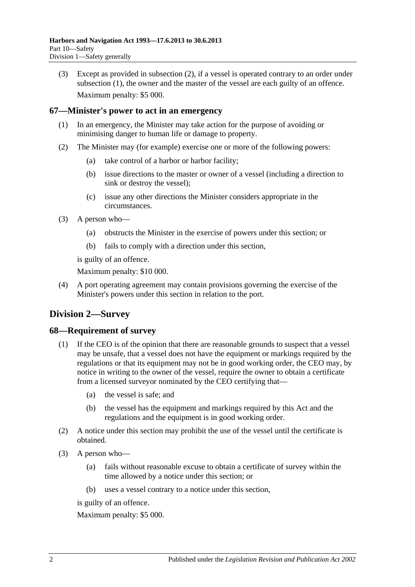(3) Except as provided in [subsection](#page-50-2) (2), if a vessel is operated contrary to an order under [subsection](#page-50-3) (1), the owner and the master of the vessel are each guilty of an offence. Maximum penalty: \$5 000.

#### **67—Minister's power to act in an emergency**

- (1) In an emergency, the Minister may take action for the purpose of avoiding or minimising danger to human life or damage to property.
- (2) The Minister may (for example) exercise one or more of the following powers:
	- (a) take control of a harbor or harbor facility;
	- (b) issue directions to the master or owner of a vessel (including a direction to sink or destroy the vessel);
	- (c) issue any other directions the Minister considers appropriate in the circumstances.
- (3) A person who—
	- (a) obstructs the Minister in the exercise of powers under this section; or
	- (b) fails to comply with a direction under this section,

is guilty of an offence.

Maximum penalty: \$10 000.

(4) A port operating agreement may contain provisions governing the exercise of the Minister's powers under this section in relation to the port.

# **Division 2—Survey**

#### **68—Requirement of survey**

- (1) If the CEO is of the opinion that there are reasonable grounds to suspect that a vessel may be unsafe, that a vessel does not have the equipment or markings required by the regulations or that its equipment may not be in good working order, the CEO may, by notice in writing to the owner of the vessel, require the owner to obtain a certificate from a licensed surveyor nominated by the CEO certifying that—
	- (a) the vessel is safe; and
	- (b) the vessel has the equipment and markings required by this Act and the regulations and the equipment is in good working order.
- (2) A notice under this section may prohibit the use of the vessel until the certificate is obtained.
- (3) A person who—
	- (a) fails without reasonable excuse to obtain a certificate of survey within the time allowed by a notice under this section; or
	- (b) uses a vessel contrary to a notice under this section,

is guilty of an offence.

Maximum penalty: \$5 000.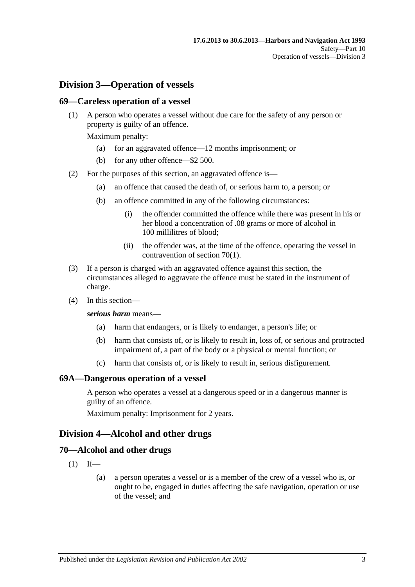## **Division 3—Operation of vessels**

#### **69—Careless operation of a vessel**

(1) A person who operates a vessel without due care for the safety of any person or property is guilty of an offence.

Maximum penalty:

- (a) for an aggravated offence—12 months imprisonment; or
- (b) for any other offence—\$2 500.
- (2) For the purposes of this section, an aggravated offence is—
	- (a) an offence that caused the death of, or serious harm to, a person; or
	- (b) an offence committed in any of the following circumstances:
		- (i) the offender committed the offence while there was present in his or her blood a concentration of .08 grams or more of alcohol in 100 millilitres of blood;
		- (ii) the offender was, at the time of the offence, operating the vessel in contravention of [section](#page-52-0) 70(1).
- (3) If a person is charged with an aggravated offence against this section, the circumstances alleged to aggravate the offence must be stated in the instrument of charge.
- (4) In this section—

#### *serious harm* means—

- (a) harm that endangers, or is likely to endanger, a person's life; or
- (b) harm that consists of, or is likely to result in, loss of, or serious and protracted impairment of, a part of the body or a physical or mental function; or
- (c) harm that consists of, or is likely to result in, serious disfigurement.

#### **69A—Dangerous operation of a vessel**

A person who operates a vessel at a dangerous speed or in a dangerous manner is guilty of an offence.

Maximum penalty: Imprisonment for 2 years.

#### **Division 4—Alcohol and other drugs**

#### <span id="page-52-0"></span>**70—Alcohol and other drugs**

- $(1)$  If—
	- (a) a person operates a vessel or is a member of the crew of a vessel who is, or ought to be, engaged in duties affecting the safe navigation, operation or use of the vessel; and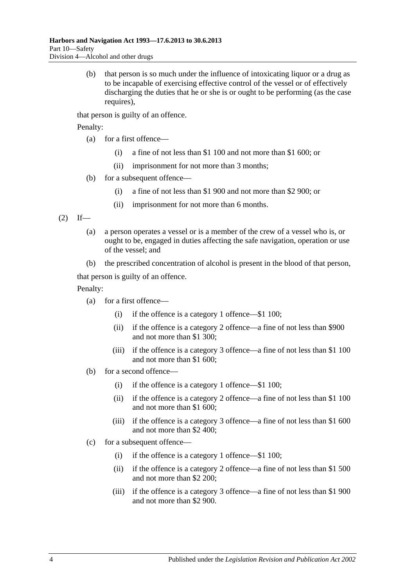(b) that person is so much under the influence of intoxicating liquor or a drug as to be incapable of exercising effective control of the vessel or of effectively discharging the duties that he or she is or ought to be performing (as the case requires).

that person is guilty of an offence.

Penalty:

- (a) for a first offence—
	- (i) a fine of not less than \$1 100 and not more than \$1 600; or
	- (ii) imprisonment for not more than 3 months;
- (b) for a subsequent offence—
	- (i) a fine of not less than \$1 900 and not more than \$2 900; or
	- (ii) imprisonment for not more than 6 months.

<span id="page-53-0"></span> $(2)$  If—

- (a) a person operates a vessel or is a member of the crew of a vessel who is, or ought to be, engaged in duties affecting the safe navigation, operation or use of the vessel; and
- (b) the prescribed concentration of alcohol is present in the blood of that person,

that person is guilty of an offence.

Penalty:

- (a) for a first offence—
	- (i) if the offence is a category 1 offence—\$1 100;
	- (ii) if the offence is a category 2 offence—a fine of not less than \$900 and not more than \$1 300;
	- (iii) if the offence is a category 3 offence—a fine of not less than \$1 100 and not more than \$1 600;
- (b) for a second offence—
	- (i) if the offence is a category 1 offence—\$1 100;
	- (ii) if the offence is a category 2 offence—a fine of not less than \$1 100 and not more than \$1 600;
	- (iii) if the offence is a category 3 offence—a fine of not less than \$1 600 and not more than \$2 400;
- (c) for a subsequent offence—
	- (i) if the offence is a category 1 offence—\$1 100;
	- (ii) if the offence is a category 2 offence—a fine of not less than \$1 500 and not more than \$2 200;
	- (iii) if the offence is a category 3 offence—a fine of not less than \$1 900 and not more than \$2 900.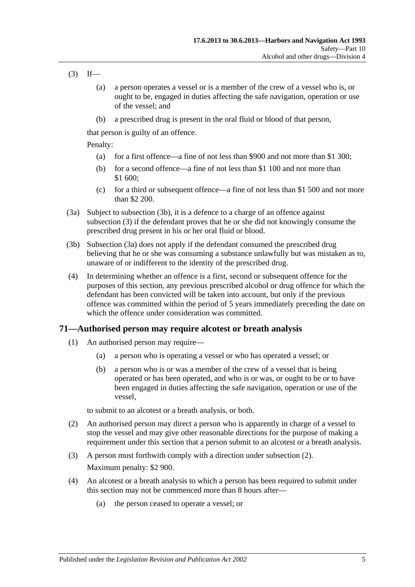- <span id="page-54-1"></span> $(3)$  If—
	- (a) a person operates a vessel or is a member of the crew of a vessel who is, or ought to be, engaged in duties affecting the safe navigation, operation or use of the vessel; and
	- (b) a prescribed drug is present in the oral fluid or blood of that person,

that person is guilty of an offence.

Penalty:

- (a) for a first offence—a fine of not less than \$900 and not more than \$1 300;
- (b) for a second offence—a fine of not less than \$1 100 and not more than \$1 600;
- (c) for a third or subsequent offence—a fine of not less than \$1 500 and not more than \$2 200.
- <span id="page-54-2"></span>(3a) Subject to [subsection](#page-54-0) (3b), it is a defence to a charge of an offence against [subsection](#page-54-1) (3) if the defendant proves that he or she did not knowingly consume the prescribed drug present in his or her oral fluid or blood.
- <span id="page-54-0"></span>(3b) [Subsection \(3a\)](#page-54-2) does not apply if the defendant consumed the prescribed drug believing that he or she was consuming a substance unlawfully but was mistaken as to, unaware of or indifferent to the identity of the prescribed drug.
- (4) In determining whether an offence is a first, second or subsequent offence for the purposes of this section, any previous prescribed alcohol or drug offence for which the defendant has been convicted will be taken into account, but only if the previous offence was committed within the period of 5 years immediately preceding the date on which the offence under consideration was committed.

#### <span id="page-54-5"></span><span id="page-54-4"></span>**71—Authorised person may require alcotest or breath analysis**

- (1) An authorised person may require—
	- (a) a person who is operating a vessel or who has operated a vessel; or
	- (b) a person who is or was a member of the crew of a vessel that is being operated or has been operated, and who is or was, or ought to be or to have been engaged in duties affecting the safe navigation, operation or use of the vessel,

to submit to an alcotest or a breath analysis, or both.

- <span id="page-54-3"></span>(2) An authorised person may direct a person who is apparently in charge of a vessel to stop the vessel and may give other reasonable directions for the purpose of making a requirement under this section that a person submit to an alcotest or a breath analysis.
- (3) A person must forthwith comply with a direction under [subsection](#page-54-3) (2). Maximum penalty: \$2 900.
- (4) An alcotest or a breath analysis to which a person has been required to submit under this section may not be commenced more than 8 hours after—
	- (a) the person ceased to operate a vessel; or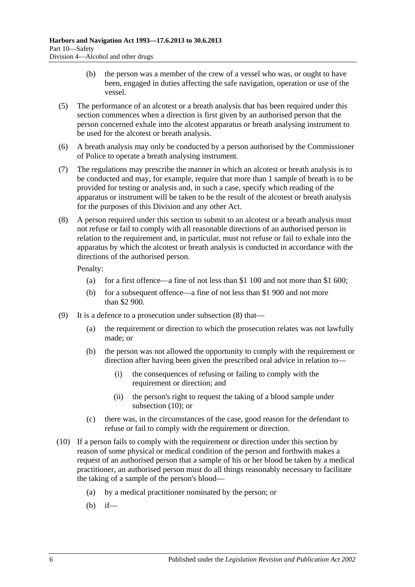- (b) the person was a member of the crew of a vessel who was, or ought to have been, engaged in duties affecting the safe navigation, operation or use of the vessel.
- (5) The performance of an alcotest or a breath analysis that has been required under this section commences when a direction is first given by an authorised person that the person concerned exhale into the alcotest apparatus or breath analysing instrument to be used for the alcotest or breath analysis.
- (6) A breath analysis may only be conducted by a person authorised by the Commissioner of Police to operate a breath analysing instrument.
- (7) The regulations may prescribe the manner in which an alcotest or breath analysis is to be conducted and may, for example, require that more than 1 sample of breath is to be provided for testing or analysis and, in such a case, specify which reading of the apparatus or instrument will be taken to be the result of the alcotest or breath analysis for the purposes of this Division and any other Act.
- <span id="page-55-0"></span>(8) A person required under this section to submit to an alcotest or a breath analysis must not refuse or fail to comply with all reasonable directions of an authorised person in relation to the requirement and, in particular, must not refuse or fail to exhale into the apparatus by which the alcotest or breath analysis is conducted in accordance with the directions of the authorised person.

Penalty:

- (a) for a first offence—a fine of not less than \$1 100 and not more than \$1 600;
- (b) for a subsequent offence—a fine of not less than \$1 900 and not more than \$2 900.
- (9) It is a defence to a prosecution under [subsection](#page-55-0) (8) that—
	- (a) the requirement or direction to which the prosecution relates was not lawfully made; or
	- (b) the person was not allowed the opportunity to comply with the requirement or direction after having been given the prescribed oral advice in relation to—
		- (i) the consequences of refusing or failing to comply with the requirement or direction; and
		- (ii) the person's right to request the taking of a blood sample under [subsection](#page-55-1) (10); or
	- (c) there was, in the circumstances of the case, good reason for the defendant to refuse or fail to comply with the requirement or direction.
- <span id="page-55-1"></span>(10) If a person fails to comply with the requirement or direction under this section by reason of some physical or medical condition of the person and forthwith makes a request of an authorised person that a sample of his or her blood be taken by a medical practitioner, an authorised person must do all things reasonably necessary to facilitate the taking of a sample of the person's blood—
	- (a) by a medical practitioner nominated by the person; or
	- (b) if—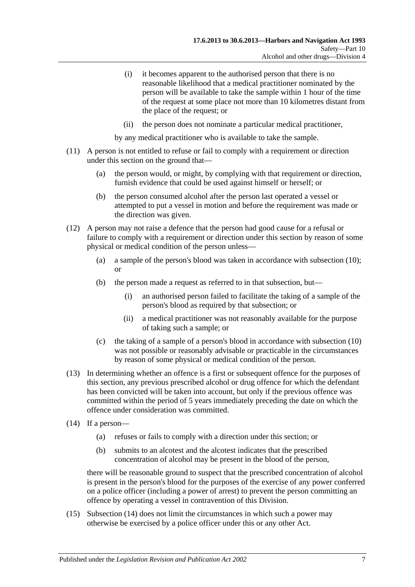- (i) it becomes apparent to the authorised person that there is no reasonable likelihood that a medical practitioner nominated by the person will be available to take the sample within 1 hour of the time of the request at some place not more than 10 kilometres distant from the place of the request; or
- (ii) the person does not nominate a particular medical practitioner,

by any medical practitioner who is available to take the sample.

- (11) A person is not entitled to refuse or fail to comply with a requirement or direction under this section on the ground that—
	- (a) the person would, or might, by complying with that requirement or direction, furnish evidence that could be used against himself or herself; or
	- (b) the person consumed alcohol after the person last operated a vessel or attempted to put a vessel in motion and before the requirement was made or the direction was given.
- (12) A person may not raise a defence that the person had good cause for a refusal or failure to comply with a requirement or direction under this section by reason of some physical or medical condition of the person unless—
	- (a) a sample of the person's blood was taken in accordance with [subsection](#page-55-1) (10); or
	- (b) the person made a request as referred to in that subsection, but—
		- (i) an authorised person failed to facilitate the taking of a sample of the person's blood as required by that subsection; or
		- (ii) a medical practitioner was not reasonably available for the purpose of taking such a sample; or
	- (c) the taking of a sample of a person's blood in accordance with [subsection](#page-55-1) (10) was not possible or reasonably advisable or practicable in the circumstances by reason of some physical or medical condition of the person.
- (13) In determining whether an offence is a first or subsequent offence for the purposes of this section, any previous prescribed alcohol or drug offence for which the defendant has been convicted will be taken into account, but only if the previous offence was committed within the period of 5 years immediately preceding the date on which the offence under consideration was committed.
- <span id="page-56-0"></span>(14) If a person—
	- (a) refuses or fails to comply with a direction under this section; or
	- (b) submits to an alcotest and the alcotest indicates that the prescribed concentration of alcohol may be present in the blood of the person,

there will be reasonable ground to suspect that the prescribed concentration of alcohol is present in the person's blood for the purposes of the exercise of any power conferred on a police officer (including a power of arrest) to prevent the person committing an offence by operating a vessel in contravention of this Division.

(15) [Subsection \(14\)](#page-56-0) does not limit the circumstances in which such a power may otherwise be exercised by a police officer under this or any other Act.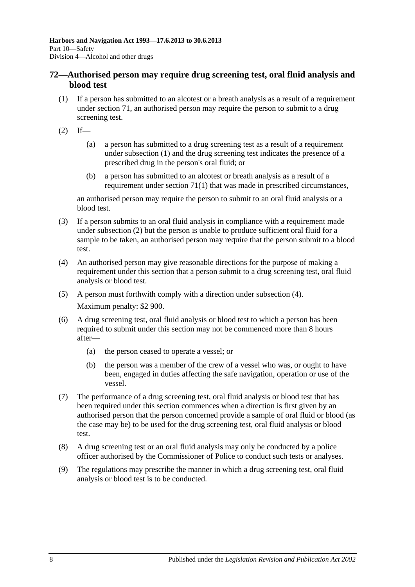## <span id="page-57-3"></span>**72—Authorised person may require drug screening test, oral fluid analysis and blood test**

- <span id="page-57-0"></span>(1) If a person has submitted to an alcotest or a breath analysis as a result of a requirement under [section](#page-54-4) 71, an authorised person may require the person to submit to a drug screening test.
- <span id="page-57-1"></span> $(2)$  If—
	- (a) a person has submitted to a drug screening test as a result of a requirement under [subsection](#page-57-0) (1) and the drug screening test indicates the presence of a prescribed drug in the person's oral fluid; or
	- (b) a person has submitted to an alcotest or breath analysis as a result of a requirement under [section](#page-54-5) 71(1) that was made in prescribed circumstances,

an authorised person may require the person to submit to an oral fluid analysis or a blood test.

- (3) If a person submits to an oral fluid analysis in compliance with a requirement made under [subsection](#page-57-1) (2) but the person is unable to produce sufficient oral fluid for a sample to be taken, an authorised person may require that the person submit to a blood test.
- <span id="page-57-2"></span>(4) An authorised person may give reasonable directions for the purpose of making a requirement under this section that a person submit to a drug screening test, oral fluid analysis or blood test.
- (5) A person must forthwith comply with a direction under [subsection](#page-57-2) (4). Maximum penalty: \$2 900.
- (6) A drug screening test, oral fluid analysis or blood test to which a person has been required to submit under this section may not be commenced more than 8 hours after—
	- (a) the person ceased to operate a vessel; or
	- (b) the person was a member of the crew of a vessel who was, or ought to have been, engaged in duties affecting the safe navigation, operation or use of the vessel.
- (7) The performance of a drug screening test, oral fluid analysis or blood test that has been required under this section commences when a direction is first given by an authorised person that the person concerned provide a sample of oral fluid or blood (as the case may be) to be used for the drug screening test, oral fluid analysis or blood test.
- (8) A drug screening test or an oral fluid analysis may only be conducted by a police officer authorised by the Commissioner of Police to conduct such tests or analyses.
- (9) The regulations may prescribe the manner in which a drug screening test, oral fluid analysis or blood test is to be conducted.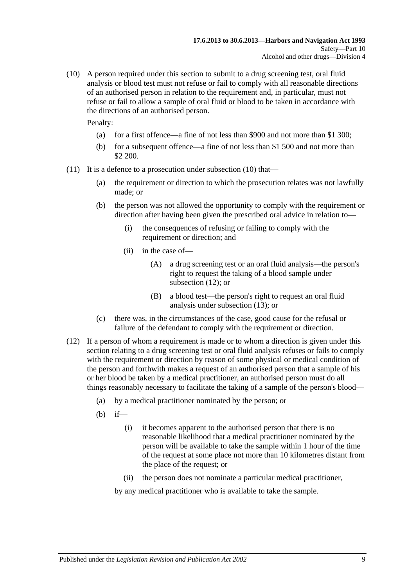<span id="page-58-0"></span>(10) A person required under this section to submit to a drug screening test, oral fluid analysis or blood test must not refuse or fail to comply with all reasonable directions of an authorised person in relation to the requirement and, in particular, must not refuse or fail to allow a sample of oral fluid or blood to be taken in accordance with the directions of an authorised person.

Penalty:

- (a) for a first offence—a fine of not less than \$900 and not more than \$1 300;
- (b) for a subsequent offence—a fine of not less than \$1 500 and not more than \$2 200.
- (11) It is a defence to a prosecution under [subsection](#page-58-0) (10) that—
	- (a) the requirement or direction to which the prosecution relates was not lawfully made; or
	- (b) the person was not allowed the opportunity to comply with the requirement or direction after having been given the prescribed oral advice in relation to—
		- (i) the consequences of refusing or failing to comply with the requirement or direction; and
		- (ii) in the case of—
			- (A) a drug screening test or an oral fluid analysis—the person's right to request the taking of a blood sample under [subsection](#page-58-1) (12); or
			- (B) a blood test—the person's right to request an oral fluid analysis under [subsection](#page-59-0) (13); or
	- (c) there was, in the circumstances of the case, good cause for the refusal or failure of the defendant to comply with the requirement or direction.
- <span id="page-58-1"></span>(12) If a person of whom a requirement is made or to whom a direction is given under this section relating to a drug screening test or oral fluid analysis refuses or fails to comply with the requirement or direction by reason of some physical or medical condition of the person and forthwith makes a request of an authorised person that a sample of his or her blood be taken by a medical practitioner, an authorised person must do all things reasonably necessary to facilitate the taking of a sample of the person's blood—
	- (a) by a medical practitioner nominated by the person; or
	- (b) if—
		- (i) it becomes apparent to the authorised person that there is no reasonable likelihood that a medical practitioner nominated by the person will be available to take the sample within 1 hour of the time of the request at some place not more than 10 kilometres distant from the place of the request; or
		- (ii) the person does not nominate a particular medical practitioner,

by any medical practitioner who is available to take the sample.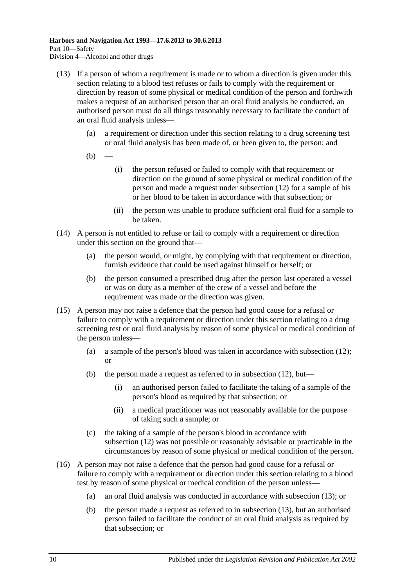- <span id="page-59-0"></span>(13) If a person of whom a requirement is made or to whom a direction is given under this section relating to a blood test refuses or fails to comply with the requirement or direction by reason of some physical or medical condition of the person and forthwith makes a request of an authorised person that an oral fluid analysis be conducted, an authorised person must do all things reasonably necessary to facilitate the conduct of an oral fluid analysis unless—
	- (a) a requirement or direction under this section relating to a drug screening test or oral fluid analysis has been made of, or been given to, the person; and
	- $(b)$
- (i) the person refused or failed to comply with that requirement or direction on the ground of some physical or medical condition of the person and made a request under [subsection](#page-58-1) (12) for a sample of his or her blood to be taken in accordance with that subsection; or
- (ii) the person was unable to produce sufficient oral fluid for a sample to be taken.
- (14) A person is not entitled to refuse or fail to comply with a requirement or direction under this section on the ground that—
	- (a) the person would, or might, by complying with that requirement or direction, furnish evidence that could be used against himself or herself; or
	- (b) the person consumed a prescribed drug after the person last operated a vessel or was on duty as a member of the crew of a vessel and before the requirement was made or the direction was given.
- (15) A person may not raise a defence that the person had good cause for a refusal or failure to comply with a requirement or direction under this section relating to a drug screening test or oral fluid analysis by reason of some physical or medical condition of the person unless—
	- (a) a sample of the person's blood was taken in accordance with [subsection](#page-58-1) (12); or
	- (b) the person made a request as referred to in [subsection](#page-58-1) (12), but—
		- (i) an authorised person failed to facilitate the taking of a sample of the person's blood as required by that subsection; or
		- (ii) a medical practitioner was not reasonably available for the purpose of taking such a sample; or
	- (c) the taking of a sample of the person's blood in accordance with [subsection](#page-58-1) (12) was not possible or reasonably advisable or practicable in the circumstances by reason of some physical or medical condition of the person.
- (16) A person may not raise a defence that the person had good cause for a refusal or failure to comply with a requirement or direction under this section relating to a blood test by reason of some physical or medical condition of the person unless—
	- (a) an oral fluid analysis was conducted in accordance with [subsection](#page-59-0) (13); or
	- (b) the person made a request as referred to in [subsection](#page-59-0) (13), but an authorised person failed to facilitate the conduct of an oral fluid analysis as required by that subsection; or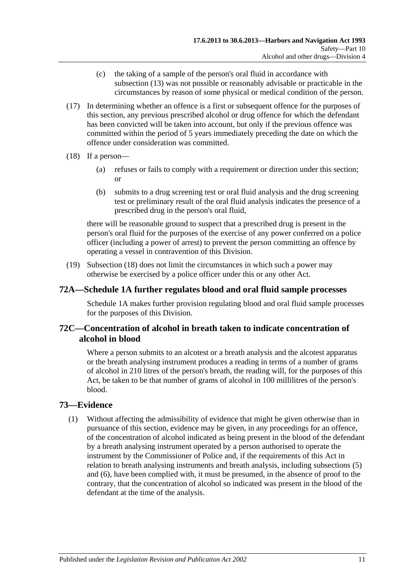- (c) the taking of a sample of the person's oral fluid in accordance with [subsection](#page-59-0) (13) was not possible or reasonably advisable or practicable in the circumstances by reason of some physical or medical condition of the person.
- (17) In determining whether an offence is a first or subsequent offence for the purposes of this section, any previous prescribed alcohol or drug offence for which the defendant has been convicted will be taken into account, but only if the previous offence was committed within the period of 5 years immediately preceding the date on which the offence under consideration was committed.
- <span id="page-60-0"></span>(18) If a person—
	- (a) refuses or fails to comply with a requirement or direction under this section; or
	- (b) submits to a drug screening test or oral fluid analysis and the drug screening test or preliminary result of the oral fluid analysis indicates the presence of a prescribed drug in the person's oral fluid,

there will be reasonable ground to suspect that a prescribed drug is present in the person's oral fluid for the purposes of the exercise of any power conferred on a police officer (including a power of arrest) to prevent the person committing an offence by operating a vessel in contravention of this Division.

(19) [Subsection](#page-60-0) (18) does not limit the circumstances in which such a power may otherwise be exercised by a police officer under this or any other Act.

## **72A[—Schedule 1A](#page-81-0) further regulates blood and oral fluid sample processes**

[Schedule 1A](#page-81-0) makes further provision regulating blood and oral fluid sample processes for the purposes of this Division.

## **72C—Concentration of alcohol in breath taken to indicate concentration of alcohol in blood**

Where a person submits to an alcotest or a breath analysis and the alcotest apparatus or the breath analysing instrument produces a reading in terms of a number of grams of alcohol in 210 litres of the person's breath, the reading will, for the purposes of this Act, be taken to be that number of grams of alcohol in 100 millilitres of the person's blood.

## <span id="page-60-1"></span>**73—Evidence**

(1) Without affecting the admissibility of evidence that might be given otherwise than in pursuance of this section, evidence may be given, in any proceedings for an offence, of the concentration of alcohol indicated as being present in the blood of the defendant by a breath analysing instrument operated by a person authorised to operate the instrument by the Commissioner of Police and, if the requirements of this Act in relation to breath analysing instruments and breath analysis, including [subsections \(5\)](#page-61-0) and [\(6\),](#page-61-1) have been complied with, it must be presumed, in the absence of proof to the contrary, that the concentration of alcohol so indicated was present in the blood of the defendant at the time of the analysis.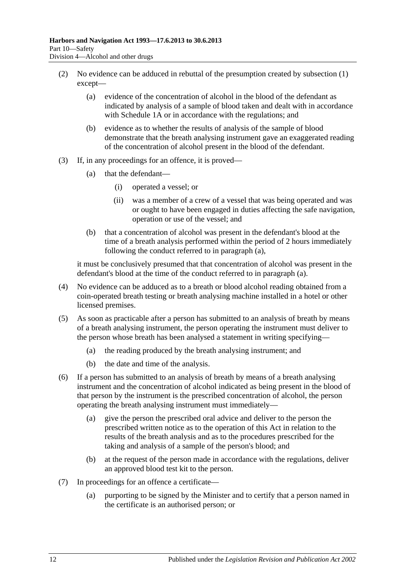- <span id="page-61-5"></span>(2) No evidence can be adduced in rebuttal of the presumption created by [subsection](#page-60-1) (1) except—
	- (a) evidence of the concentration of alcohol in the blood of the defendant as indicated by analysis of a sample of blood taken and dealt with in accordance with [Schedule 1A](#page-81-0) or in accordance with the regulations; and
	- (b) evidence as to whether the results of analysis of the sample of blood demonstrate that the breath analysing instrument gave an exaggerated reading of the concentration of alcohol present in the blood of the defendant.
- <span id="page-61-2"></span>(3) If, in any proceedings for an offence, it is proved—
	- (a) that the defendant—
		- (i) operated a vessel; or
		- (ii) was a member of a crew of a vessel that was being operated and was or ought to have been engaged in duties affecting the safe navigation, operation or use of the vessel; and
	- (b) that a concentration of alcohol was present in the defendant's blood at the time of a breath analysis performed within the period of 2 hours immediately following the conduct referred to in [paragraph](#page-61-2) (a),

it must be conclusively presumed that that concentration of alcohol was present in the defendant's blood at the time of the conduct referred to in [paragraph](#page-61-2) (a).

- (4) No evidence can be adduced as to a breath or blood alcohol reading obtained from a coin-operated breath testing or breath analysing machine installed in a hotel or other licensed premises.
- <span id="page-61-0"></span>(5) As soon as practicable after a person has submitted to an analysis of breath by means of a breath analysing instrument, the person operating the instrument must deliver to the person whose breath has been analysed a statement in writing specifying—
	- (a) the reading produced by the breath analysing instrument; and
	- (b) the date and time of the analysis.
- <span id="page-61-3"></span><span id="page-61-1"></span>(6) If a person has submitted to an analysis of breath by means of a breath analysing instrument and the concentration of alcohol indicated as being present in the blood of that person by the instrument is the prescribed concentration of alcohol, the person operating the breath analysing instrument must immediately—
	- (a) give the person the prescribed oral advice and deliver to the person the prescribed written notice as to the operation of this Act in relation to the results of the breath analysis and as to the procedures prescribed for the taking and analysis of a sample of the person's blood; and
	- (b) at the request of the person made in accordance with the regulations, deliver an approved blood test kit to the person.
- <span id="page-61-4"></span>(7) In proceedings for an offence a certificate—
	- (a) purporting to be signed by the Minister and to certify that a person named in the certificate is an authorised person; or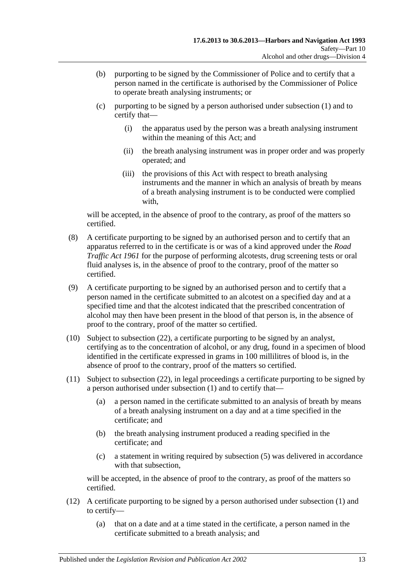- (b) purporting to be signed by the Commissioner of Police and to certify that a person named in the certificate is authorised by the Commissioner of Police to operate breath analysing instruments; or
- (c) purporting to be signed by a person authorised under [subsection](#page-60-1) (1) and to certify that—
	- (i) the apparatus used by the person was a breath analysing instrument within the meaning of this Act; and
	- (ii) the breath analysing instrument was in proper order and was properly operated; and
	- (iii) the provisions of this Act with respect to breath analysing instruments and the manner in which an analysis of breath by means of a breath analysing instrument is to be conducted were complied with,

will be accepted, in the absence of proof to the contrary, as proof of the matters so certified.

- (8) A certificate purporting to be signed by an authorised person and to certify that an apparatus referred to in the certificate is or was of a kind approved under the *[Road](http://www.legislation.sa.gov.au/index.aspx?action=legref&type=act&legtitle=Road%20Traffic%20Act%201961)  [Traffic Act](http://www.legislation.sa.gov.au/index.aspx?action=legref&type=act&legtitle=Road%20Traffic%20Act%201961) 1961* for the purpose of performing alcotests, drug screening tests or oral fluid analyses is, in the absence of proof to the contrary, proof of the matter so certified.
- (9) A certificate purporting to be signed by an authorised person and to certify that a person named in the certificate submitted to an alcotest on a specified day and at a specified time and that the alcotest indicated that the prescribed concentration of alcohol may then have been present in the blood of that person is, in the absence of proof to the contrary, proof of the matter so certified.
- <span id="page-62-0"></span>(10) Subject to [subsection](#page-64-0) (22), a certificate purporting to be signed by an analyst, certifying as to the concentration of alcohol, or any drug, found in a specimen of blood identified in the certificate expressed in grams in 100 millilitres of blood is, in the absence of proof to the contrary, proof of the matters so certified.
- <span id="page-62-1"></span>(11) Subject to [subsection](#page-64-0) (22), in legal proceedings a certificate purporting to be signed by a person authorised under [subsection](#page-60-1) (1) and to certify that—
	- (a) a person named in the certificate submitted to an analysis of breath by means of a breath analysing instrument on a day and at a time specified in the certificate; and
	- (b) the breath analysing instrument produced a reading specified in the certificate; and
	- (c) a statement in writing required by [subsection](#page-61-0) (5) was delivered in accordance with that subsection,

will be accepted, in the absence of proof to the contrary, as proof of the matters so certified.

- (12) A certificate purporting to be signed by a person authorised under [subsection](#page-60-1) (1) and to certify—
	- (a) that on a date and at a time stated in the certificate, a person named in the certificate submitted to a breath analysis; and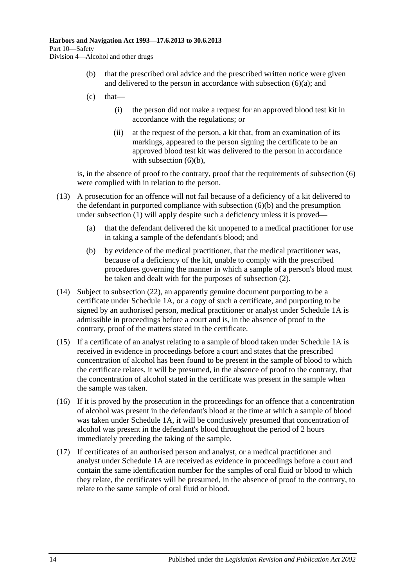- (b) that the prescribed oral advice and the prescribed written notice were given and delivered to the person in accordance with [subsection](#page-61-3)  $(6)(a)$ ; and
- $(c)$  that—
	- (i) the person did not make a request for an approved blood test kit in accordance with the regulations; or
	- (ii) at the request of the person, a kit that, from an examination of its markings, appeared to the person signing the certificate to be an approved blood test kit was delivered to the person in accordance with [subsection](#page-61-4)  $(6)(b)$ ,

is, in the absence of proof to the contrary, proof that the requirements of [subsection](#page-61-1) (6) were complied with in relation to the person.

- (13) A prosecution for an offence will not fail because of a deficiency of a kit delivered to the defendant in purported compliance with [subsection](#page-61-4) (6)(b) and the presumption under [subsection](#page-60-1) (1) will apply despite such a deficiency unless it is proved—
	- (a) that the defendant delivered the kit unopened to a medical practitioner for use in taking a sample of the defendant's blood; and
	- (b) by evidence of the medical practitioner, that the medical practitioner was, because of a deficiency of the kit, unable to comply with the prescribed procedures governing the manner in which a sample of a person's blood must be taken and dealt with for the purposes of [subsection](#page-61-5) (2).
- <span id="page-63-0"></span>(14) Subject to [subsection](#page-64-0) (22), an apparently genuine document purporting to be a certificate under [Schedule 1A,](#page-81-0) or a copy of such a certificate, and purporting to be signed by an authorised person, medical practitioner or analyst under [Schedule 1A](#page-81-0) is admissible in proceedings before a court and is, in the absence of proof to the contrary, proof of the matters stated in the certificate.
- (15) If a certificate of an analyst relating to a sample of blood taken under [Schedule 1A](#page-81-0) is received in evidence in proceedings before a court and states that the prescribed concentration of alcohol has been found to be present in the sample of blood to which the certificate relates, it will be presumed, in the absence of proof to the contrary, that the concentration of alcohol stated in the certificate was present in the sample when the sample was taken.
- (16) If it is proved by the prosecution in the proceedings for an offence that a concentration of alcohol was present in the defendant's blood at the time at which a sample of blood was taken under [Schedule 1A,](#page-81-0) it will be conclusively presumed that concentration of alcohol was present in the defendant's blood throughout the period of 2 hours immediately preceding the taking of the sample.
- (17) If certificates of an authorised person and analyst, or a medical practitioner and analyst under [Schedule 1A](#page-81-0) are received as evidence in proceedings before a court and contain the same identification number for the samples of oral fluid or blood to which they relate, the certificates will be presumed, in the absence of proof to the contrary, to relate to the same sample of oral fluid or blood.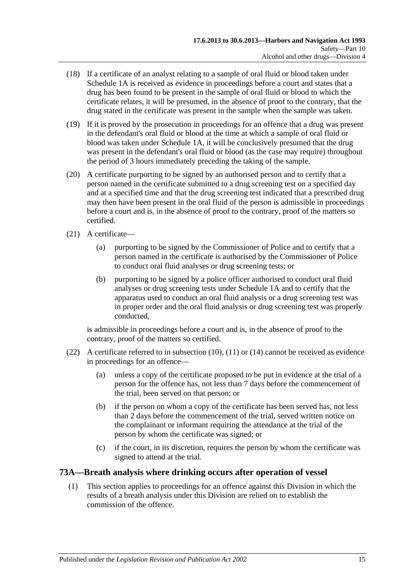- (18) If a certificate of an analyst relating to a sample of oral fluid or blood taken under [Schedule 1A](#page-81-0) is received as evidence in proceedings before a court and states that a drug has been found to be present in the sample of oral fluid or blood to which the certificate relates, it will be presumed, in the absence of proof to the contrary, that the drug stated in the certificate was present in the sample when the sample was taken.
- (19) If it is proved by the prosecution in proceedings for an offence that a drug was present in the defendant's oral fluid or blood at the time at which a sample of oral fluid or blood was taken under [Schedule 1A,](#page-81-0) it will be conclusively presumed that the drug was present in the defendant's oral fluid or blood (as the case may require) throughout the period of 3 hours immediately preceding the taking of the sample.
- (20) A certificate purporting to be signed by an authorised person and to certify that a person named in the certificate submitted to a drug screening test on a specified day and at a specified time and that the drug screening test indicated that a prescribed drug may then have been present in the oral fluid of the person is admissible in proceedings before a court and is, in the absence of proof to the contrary, proof of the matters so certified.
- (21) A certificate—
	- (a) purporting to be signed by the Commissioner of Police and to certify that a person named in the certificate is authorised by the Commissioner of Police to conduct oral fluid analyses or drug screening tests; or
	- (b) purporting to be signed by a police officer authorised to conduct oral fluid analyses or drug screening tests under [Schedule 1A](#page-81-0) and to certify that the apparatus used to conduct an oral fluid analysis or a drug screening test was in proper order and the oral fluid analysis or drug screening test was properly conducted,

is admissible in proceedings before a court and is, in the absence of proof to the contrary, proof of the matters so certified.

- <span id="page-64-0"></span>(22) A certificate referred to in [subsection](#page-62-0) (10), [\(11\)](#page-62-1) or [\(14\)](#page-63-0) cannot be received as evidence in proceedings for an offence—
	- (a) unless a copy of the certificate proposed to be put in evidence at the trial of a person for the offence has, not less than 7 days before the commencement of the trial, been served on that person; or
	- (b) if the person on whom a copy of the certificate has been served has, not less than 2 days before the commencement of the trial, served written notice on the complainant or informant requiring the attendance at the trial of the person by whom the certificate was signed; or
	- (c) if the court, in its discretion, requires the person by whom the certificate was signed to attend at the trial.

## **73A—Breath analysis where drinking occurs after operation of vessel**

(1) This section applies to proceedings for an offence against this Division in which the results of a breath analysis under this Division are relied on to establish the commission of the offence.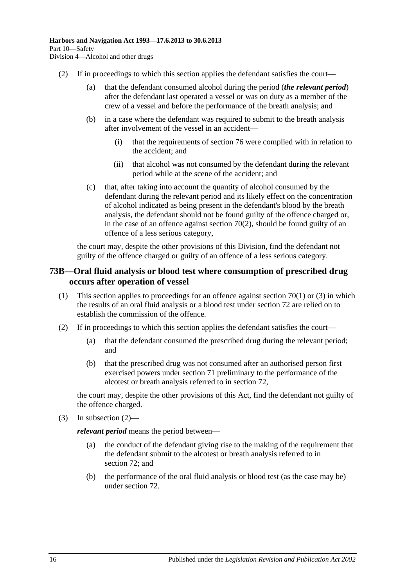- (2) If in proceedings to which this section applies the defendant satisfies the court—
	- (a) that the defendant consumed alcohol during the period (*the relevant period*) after the defendant last operated a vessel or was on duty as a member of the crew of a vessel and before the performance of the breath analysis; and
	- (b) in a case where the defendant was required to submit to the breath analysis after involvement of the vessel in an accident—
		- (i) that the requirements of [section](#page-68-0) 76 were complied with in relation to the accident; and
		- (ii) that alcohol was not consumed by the defendant during the relevant period while at the scene of the accident; and
	- (c) that, after taking into account the quantity of alcohol consumed by the defendant during the relevant period and its likely effect on the concentration of alcohol indicated as being present in the defendant's blood by the breath analysis, the defendant should not be found guilty of the offence charged or, in the case of an offence against [section](#page-53-0) 70(2), should be found guilty of an offence of a less serious category,

the court may, despite the other provisions of this Division, find the defendant not guilty of the offence charged or guilty of an offence of a less serious category.

#### **73B—Oral fluid analysis or blood test where consumption of prescribed drug occurs after operation of vessel**

- (1) This section applies to proceedings for an offence against [section](#page-52-0) 70(1) or [\(3\)](#page-54-1) in which the results of an oral fluid analysis or a blood test under [section](#page-57-3) 72 are relied on to establish the commission of the offence.
- <span id="page-65-0"></span>(2) If in proceedings to which this section applies the defendant satisfies the court—
	- (a) that the defendant consumed the prescribed drug during the relevant period; and
	- (b) that the prescribed drug was not consumed after an authorised person first exercised powers under [section](#page-54-4) 71 preliminary to the performance of the alcotest or breath analysis referred to in [section](#page-57-3) 72,

the court may, despite the other provisions of this Act, find the defendant not guilty of the offence charged.

(3) In [subsection](#page-65-0)  $(2)$ —

*relevant period* means the period between—

- (a) the conduct of the defendant giving rise to the making of the requirement that the defendant submit to the alcotest or breath analysis referred to in [section](#page-57-3) 72; and
- (b) the performance of the oral fluid analysis or blood test (as the case may be) under [section](#page-57-3) 72.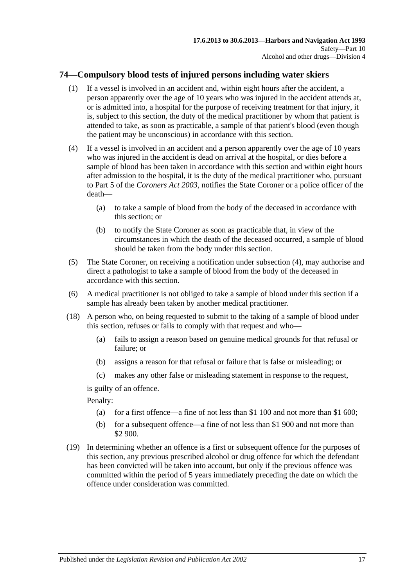## **74—Compulsory blood tests of injured persons including water skiers**

- (1) If a vessel is involved in an accident and, within eight hours after the accident, a person apparently over the age of 10 years who was injured in the accident attends at, or is admitted into, a hospital for the purpose of receiving treatment for that injury, it is, subject to this section, the duty of the medical practitioner by whom that patient is attended to take, as soon as practicable, a sample of that patient's blood (even though the patient may be unconscious) in accordance with this section.
- <span id="page-66-0"></span>(4) If a vessel is involved in an accident and a person apparently over the age of 10 years who was injured in the accident is dead on arrival at the hospital, or dies before a sample of blood has been taken in accordance with this section and within eight hours after admission to the hospital, it is the duty of the medical practitioner who, pursuant to Part 5 of the *[Coroners Act](http://www.legislation.sa.gov.au/index.aspx?action=legref&type=act&legtitle=Coroners%20Act%202003) 2003*, notifies the State Coroner or a police officer of the death—
	- (a) to take a sample of blood from the body of the deceased in accordance with this section; or
	- (b) to notify the State Coroner as soon as practicable that, in view of the circumstances in which the death of the deceased occurred, a sample of blood should be taken from the body under this section.
- (5) The State Coroner, on receiving a notification under [subsection](#page-66-0) (4), may authorise and direct a pathologist to take a sample of blood from the body of the deceased in accordance with this section.
- (6) A medical practitioner is not obliged to take a sample of blood under this section if a sample has already been taken by another medical practitioner.
- (18) A person who, on being requested to submit to the taking of a sample of blood under this section, refuses or fails to comply with that request and who—
	- (a) fails to assign a reason based on genuine medical grounds for that refusal or failure; or
	- (b) assigns a reason for that refusal or failure that is false or misleading; or
	- (c) makes any other false or misleading statement in response to the request,

is guilty of an offence.

Penalty:

- (a) for a first offence—a fine of not less than \$1 100 and not more than \$1 600;
- (b) for a subsequent offence—a fine of not less than \$1 900 and not more than \$2 900.
- (19) In determining whether an offence is a first or subsequent offence for the purposes of this section, any previous prescribed alcohol or drug offence for which the defendant has been convicted will be taken into account, but only if the previous offence was committed within the period of 5 years immediately preceding the date on which the offence under consideration was committed.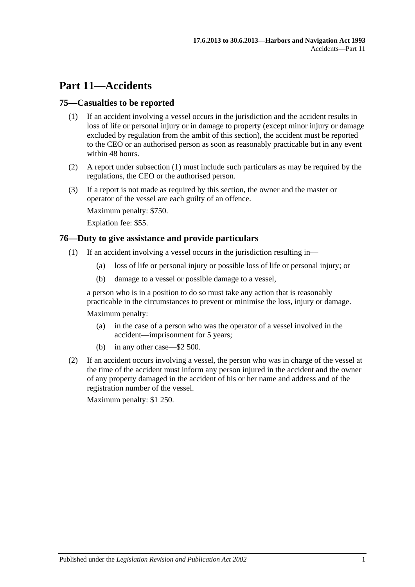# **Part 11—Accidents**

#### <span id="page-68-1"></span>**75—Casualties to be reported**

- (1) If an accident involving a vessel occurs in the jurisdiction and the accident results in loss of life or personal injury or in damage to property (except minor injury or damage excluded by regulation from the ambit of this section), the accident must be reported to the CEO or an authorised person as soon as reasonably practicable but in any event within 48 hours.
- (2) A report under [subsection](#page-68-1) (1) must include such particulars as may be required by the regulations, the CEO or the authorised person.
- (3) If a report is not made as required by this section, the owner and the master or operator of the vessel are each guilty of an offence.

Maximum penalty: \$750.

Expiation fee: \$55.

#### <span id="page-68-0"></span>**76—Duty to give assistance and provide particulars**

- (1) If an accident involving a vessel occurs in the jurisdiction resulting in—
	- (a) loss of life or personal injury or possible loss of life or personal injury; or
	- (b) damage to a vessel or possible damage to a vessel,

a person who is in a position to do so must take any action that is reasonably practicable in the circumstances to prevent or minimise the loss, injury or damage.

Maximum penalty:

- (a) in the case of a person who was the operator of a vessel involved in the accident—imprisonment for 5 years;
- (b) in any other case—\$2 500.
- (2) If an accident occurs involving a vessel, the person who was in charge of the vessel at the time of the accident must inform any person injured in the accident and the owner of any property damaged in the accident of his or her name and address and of the registration number of the vessel.

Maximum penalty: \$1 250.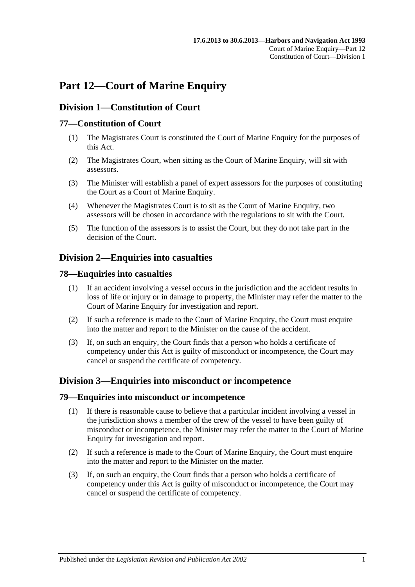# **Part 12—Court of Marine Enquiry**

## **Division 1—Constitution of Court**

## **77—Constitution of Court**

- (1) The Magistrates Court is constituted the Court of Marine Enquiry for the purposes of this Act.
- (2) The Magistrates Court, when sitting as the Court of Marine Enquiry, will sit with assessors.
- (3) The Minister will establish a panel of expert assessors for the purposes of constituting the Court as a Court of Marine Enquiry.
- (4) Whenever the Magistrates Court is to sit as the Court of Marine Enquiry, two assessors will be chosen in accordance with the regulations to sit with the Court.
- (5) The function of the assessors is to assist the Court, but they do not take part in the decision of the Court.

## **Division 2—Enquiries into casualties**

#### **78—Enquiries into casualties**

- (1) If an accident involving a vessel occurs in the jurisdiction and the accident results in loss of life or injury or in damage to property, the Minister may refer the matter to the Court of Marine Enquiry for investigation and report.
- (2) If such a reference is made to the Court of Marine Enquiry, the Court must enquire into the matter and report to the Minister on the cause of the accident.
- (3) If, on such an enquiry, the Court finds that a person who holds a certificate of competency under this Act is guilty of misconduct or incompetence, the Court may cancel or suspend the certificate of competency.

## **Division 3—Enquiries into misconduct or incompetence**

#### **79—Enquiries into misconduct or incompetence**

- (1) If there is reasonable cause to believe that a particular incident involving a vessel in the jurisdiction shows a member of the crew of the vessel to have been guilty of misconduct or incompetence, the Minister may refer the matter to the Court of Marine Enquiry for investigation and report.
- (2) If such a reference is made to the Court of Marine Enquiry, the Court must enquire into the matter and report to the Minister on the matter.
- (3) If, on such an enquiry, the Court finds that a person who holds a certificate of competency under this Act is guilty of misconduct or incompetence, the Court may cancel or suspend the certificate of competency.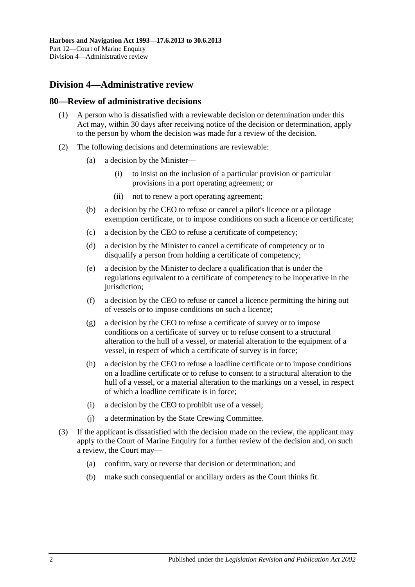# **Division 4—Administrative review**

#### **80—Review of administrative decisions**

- (1) A person who is dissatisfied with a reviewable decision or determination under this Act may, within 30 days after receiving notice of the decision or determination, apply to the person by whom the decision was made for a review of the decision.
- (2) The following decisions and determinations are reviewable:
	- (a) a decision by the Minister—
		- (i) to insist on the inclusion of a particular provision or particular provisions in a port operating agreement; or
		- (ii) not to renew a port operating agreement;
	- (b) a decision by the CEO to refuse or cancel a pilot's licence or a pilotage exemption certificate, or to impose conditions on such a licence or certificate;
	- (c) a decision by the CEO to refuse a certificate of competency;
	- (d) a decision by the Minister to cancel a certificate of competency or to disqualify a person from holding a certificate of competency;
	- (e) a decision by the Minister to declare a qualification that is under the regulations equivalent to a certificate of competency to be inoperative in the jurisdiction:
	- (f) a decision by the CEO to refuse or cancel a licence permitting the hiring out of vessels or to impose conditions on such a licence;
	- (g) a decision by the CEO to refuse a certificate of survey or to impose conditions on a certificate of survey or to refuse consent to a structural alteration to the hull of a vessel, or material alteration to the equipment of a vessel, in respect of which a certificate of survey is in force;
	- (h) a decision by the CEO to refuse a loadline certificate or to impose conditions on a loadline certificate or to refuse to consent to a structural alteration to the hull of a vessel, or a material alteration to the markings on a vessel, in respect of which a loadline certificate is in force;
	- (i) a decision by the CEO to prohibit use of a vessel;
	- (j) a determination by the State Crewing Committee.
- (3) If the applicant is dissatisfied with the decision made on the review, the applicant may apply to the Court of Marine Enquiry for a further review of the decision and, on such a review, the Court may—
	- (a) confirm, vary or reverse that decision or determination; and
	- (b) make such consequential or ancillary orders as the Court thinks fit.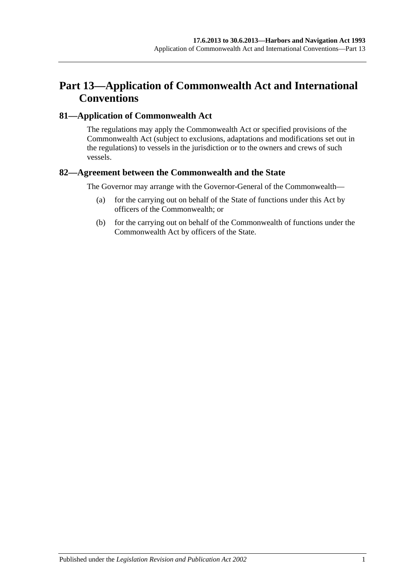# **Part 13—Application of Commonwealth Act and International Conventions**

#### **81—Application of Commonwealth Act**

The regulations may apply the Commonwealth Act or specified provisions of the Commonwealth Act (subject to exclusions, adaptations and modifications set out in the regulations) to vessels in the jurisdiction or to the owners and crews of such vessels.

#### **82—Agreement between the Commonwealth and the State**

The Governor may arrange with the Governor-General of the Commonwealth—

- (a) for the carrying out on behalf of the State of functions under this Act by officers of the Commonwealth; or
- (b) for the carrying out on behalf of the Commonwealth of functions under the Commonwealth Act by officers of the State.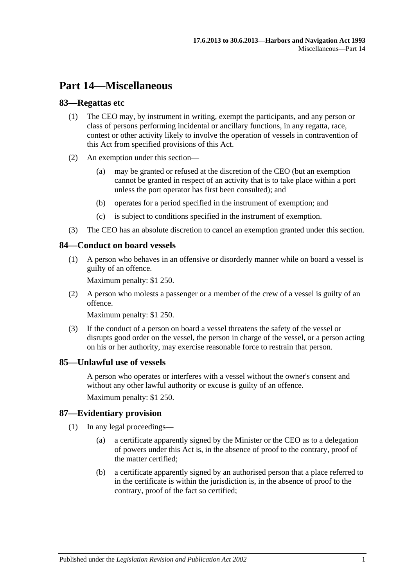# **Part 14—Miscellaneous**

#### **83—Regattas etc**

- (1) The CEO may, by instrument in writing, exempt the participants, and any person or class of persons performing incidental or ancillary functions, in any regatta, race, contest or other activity likely to involve the operation of vessels in contravention of this Act from specified provisions of this Act.
- (2) An exemption under this section—
	- (a) may be granted or refused at the discretion of the CEO (but an exemption cannot be granted in respect of an activity that is to take place within a port unless the port operator has first been consulted); and
	- (b) operates for a period specified in the instrument of exemption; and
	- (c) is subject to conditions specified in the instrument of exemption.
- (3) The CEO has an absolute discretion to cancel an exemption granted under this section.

#### **84—Conduct on board vessels**

(1) A person who behaves in an offensive or disorderly manner while on board a vessel is guilty of an offence.

Maximum penalty: \$1 250.

(2) A person who molests a passenger or a member of the crew of a vessel is guilty of an offence.

Maximum penalty: \$1 250.

(3) If the conduct of a person on board a vessel threatens the safety of the vessel or disrupts good order on the vessel, the person in charge of the vessel, or a person acting on his or her authority, may exercise reasonable force to restrain that person.

#### **85—Unlawful use of vessels**

A person who operates or interferes with a vessel without the owner's consent and without any other lawful authority or excuse is guilty of an offence.

Maximum penalty: \$1 250.

#### **87—Evidentiary provision**

- (1) In any legal proceedings—
	- (a) a certificate apparently signed by the Minister or the CEO as to a delegation of powers under this Act is, in the absence of proof to the contrary, proof of the matter certified;
	- (b) a certificate apparently signed by an authorised person that a place referred to in the certificate is within the jurisdiction is, in the absence of proof to the contrary, proof of the fact so certified;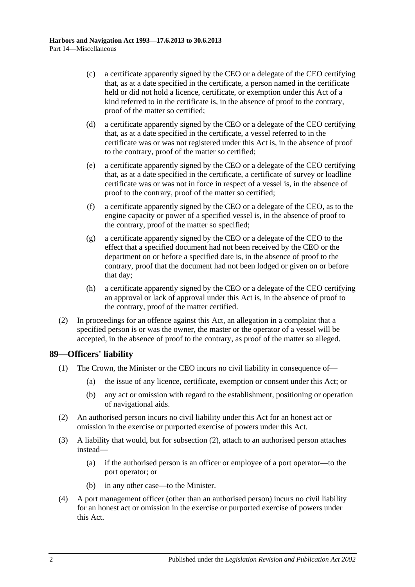- (c) a certificate apparently signed by the CEO or a delegate of the CEO certifying that, as at a date specified in the certificate, a person named in the certificate held or did not hold a licence, certificate, or exemption under this Act of a kind referred to in the certificate is, in the absence of proof to the contrary, proof of the matter so certified;
- (d) a certificate apparently signed by the CEO or a delegate of the CEO certifying that, as at a date specified in the certificate, a vessel referred to in the certificate was or was not registered under this Act is, in the absence of proof to the contrary, proof of the matter so certified;
- (e) a certificate apparently signed by the CEO or a delegate of the CEO certifying that, as at a date specified in the certificate, a certificate of survey or loadline certificate was or was not in force in respect of a vessel is, in the absence of proof to the contrary, proof of the matter so certified;
- (f) a certificate apparently signed by the CEO or a delegate of the CEO, as to the engine capacity or power of a specified vessel is, in the absence of proof to the contrary, proof of the matter so specified;
- (g) a certificate apparently signed by the CEO or a delegate of the CEO to the effect that a specified document had not been received by the CEO or the department on or before a specified date is, in the absence of proof to the contrary, proof that the document had not been lodged or given on or before that day;
- (h) a certificate apparently signed by the CEO or a delegate of the CEO certifying an approval or lack of approval under this Act is, in the absence of proof to the contrary, proof of the matter certified.
- (2) In proceedings for an offence against this Act, an allegation in a complaint that a specified person is or was the owner, the master or the operator of a vessel will be accepted, in the absence of proof to the contrary, as proof of the matter so alleged.

#### **89—Officers' liability**

- (1) The Crown, the Minister or the CEO incurs no civil liability in consequence of—
	- (a) the issue of any licence, certificate, exemption or consent under this Act; or
	- (b) any act or omission with regard to the establishment, positioning or operation of navigational aids.
- <span id="page-75-0"></span>(2) An authorised person incurs no civil liability under this Act for an honest act or omission in the exercise or purported exercise of powers under this Act.
- (3) A liability that would, but for [subsection](#page-75-0) (2), attach to an authorised person attaches instead—
	- (a) if the authorised person is an officer or employee of a port operator—to the port operator; or
	- (b) in any other case—to the Minister.
- <span id="page-75-1"></span>(4) A port management officer (other than an authorised person) incurs no civil liability for an honest act or omission in the exercise or purported exercise of powers under this Act.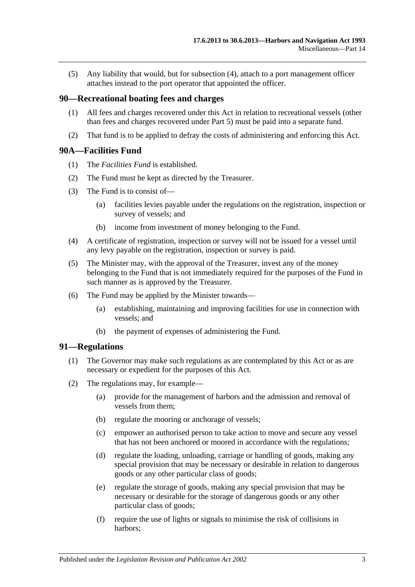(5) Any liability that would, but for [subsection](#page-75-1) (4), attach to a port management officer attaches instead to the port operator that appointed the officer.

#### **90—Recreational boating fees and charges**

- (1) All fees and charges recovered under this Act in relation to recreational vessels (other than fees and charges recovered under [Part 5\)](#page-24-0) must be paid into a separate fund.
- (2) That fund is to be applied to defray the costs of administering and enforcing this Act.

#### <span id="page-76-0"></span>**90A—Facilities Fund**

- (1) The *Facilities Fund* is established.
- (2) The Fund must be kept as directed by the Treasurer.
- (3) The Fund is to consist of—
	- (a) facilities levies payable under the regulations on the registration, inspection or survey of vessels; and
	- (b) income from investment of money belonging to the Fund.
- (4) A certificate of registration, inspection or survey will not be issued for a vessel until any levy payable on the registration, inspection or survey is paid.
- (5) The Minister may, with the approval of the Treasurer, invest any of the money belonging to the Fund that is not immediately required for the purposes of the Fund in such manner as is approved by the Treasurer.
- (6) The Fund may be applied by the Minister towards—
	- (a) establishing, maintaining and improving facilities for use in connection with vessels; and
	- (b) the payment of expenses of administering the Fund.

#### **91—Regulations**

- (1) The Governor may make such regulations as are contemplated by this Act or as are necessary or expedient for the purposes of this Act.
- (2) The regulations may, for example—
	- (a) provide for the management of harbors and the admission and removal of vessels from them;
	- (b) regulate the mooring or anchorage of vessels;
	- (c) empower an authorised person to take action to move and secure any vessel that has not been anchored or moored in accordance with the regulations;
	- (d) regulate the loading, unloading, carriage or handling of goods, making any special provision that may be necessary or desirable in relation to dangerous goods or any other particular class of goods;
	- (e) regulate the storage of goods, making any special provision that may be necessary or desirable for the storage of dangerous goods or any other particular class of goods;
	- (f) require the use of lights or signals to minimise the risk of collisions in harbors;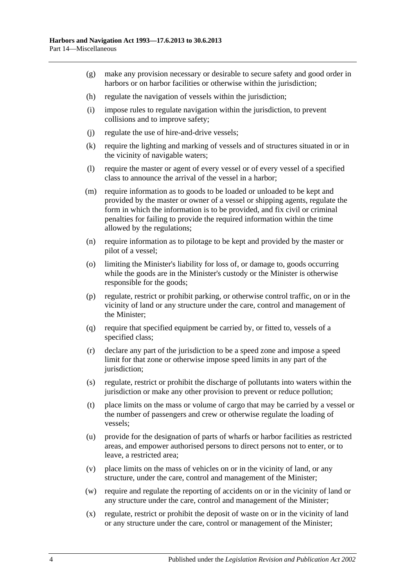- (g) make any provision necessary or desirable to secure safety and good order in harbors or on harbor facilities or otherwise within the jurisdiction;
- (h) regulate the navigation of vessels within the jurisdiction;
- (i) impose rules to regulate navigation within the jurisdiction, to prevent collisions and to improve safety;
- (j) regulate the use of hire-and-drive vessels;
- (k) require the lighting and marking of vessels and of structures situated in or in the vicinity of navigable waters;
- (l) require the master or agent of every vessel or of every vessel of a specified class to announce the arrival of the vessel in a harbor;
- (m) require information as to goods to be loaded or unloaded to be kept and provided by the master or owner of a vessel or shipping agents, regulate the form in which the information is to be provided, and fix civil or criminal penalties for failing to provide the required information within the time allowed by the regulations;
- (n) require information as to pilotage to be kept and provided by the master or pilot of a vessel;
- (o) limiting the Minister's liability for loss of, or damage to, goods occurring while the goods are in the Minister's custody or the Minister is otherwise responsible for the goods;
- (p) regulate, restrict or prohibit parking, or otherwise control traffic, on or in the vicinity of land or any structure under the care, control and management of the Minister;
- (q) require that specified equipment be carried by, or fitted to, vessels of a specified class;
- (r) declare any part of the jurisdiction to be a speed zone and impose a speed limit for that zone or otherwise impose speed limits in any part of the jurisdiction;
- (s) regulate, restrict or prohibit the discharge of pollutants into waters within the jurisdiction or make any other provision to prevent or reduce pollution;
- (t) place limits on the mass or volume of cargo that may be carried by a vessel or the number of passengers and crew or otherwise regulate the loading of vessels;
- (u) provide for the designation of parts of wharfs or harbor facilities as restricted areas, and empower authorised persons to direct persons not to enter, or to leave, a restricted area;
- (v) place limits on the mass of vehicles on or in the vicinity of land, or any structure, under the care, control and management of the Minister;
- (w) require and regulate the reporting of accidents on or in the vicinity of land or any structure under the care, control and management of the Minister;
- (x) regulate, restrict or prohibit the deposit of waste on or in the vicinity of land or any structure under the care, control or management of the Minister;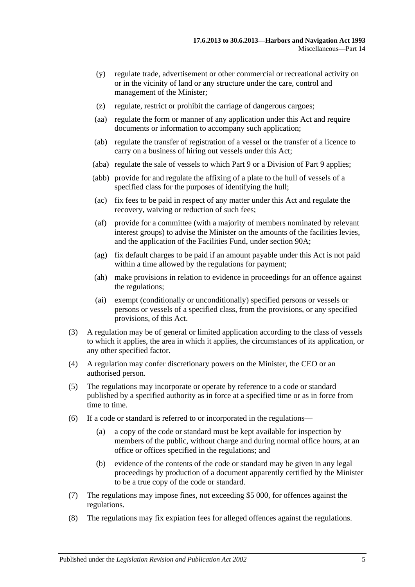- (y) regulate trade, advertisement or other commercial or recreational activity on or in the vicinity of land or any structure under the care, control and management of the Minister;
- (z) regulate, restrict or prohibit the carriage of dangerous cargoes;
- (aa) regulate the form or manner of any application under this Act and require documents or information to accompany such application;
- (ab) regulate the transfer of registration of a vessel or the transfer of a licence to carry on a business of hiring out vessels under this Act;
- (aba) regulate the sale of vessels to which [Part 9](#page-44-0) or a Division of [Part 9](#page-44-0) applies;
- (abb) provide for and regulate the affixing of a plate to the hull of vessels of a specified class for the purposes of identifying the hull;
- (ac) fix fees to be paid in respect of any matter under this Act and regulate the recovery, waiving or reduction of such fees;
- (af) provide for a committee (with a majority of members nominated by relevant interest groups) to advise the Minister on the amounts of the facilities levies, and the application of the Facilities Fund, under [section](#page-76-0) 90A;
- (ag) fix default charges to be paid if an amount payable under this Act is not paid within a time allowed by the regulations for payment;
- (ah) make provisions in relation to evidence in proceedings for an offence against the regulations;
- (ai) exempt (conditionally or unconditionally) specified persons or vessels or persons or vessels of a specified class, from the provisions, or any specified provisions, of this Act.
- (3) A regulation may be of general or limited application according to the class of vessels to which it applies, the area in which it applies, the circumstances of its application, or any other specified factor.
- (4) A regulation may confer discretionary powers on the Minister, the CEO or an authorised person.
- (5) The regulations may incorporate or operate by reference to a code or standard published by a specified authority as in force at a specified time or as in force from time to time.
- (6) If a code or standard is referred to or incorporated in the regulations—
	- (a) a copy of the code or standard must be kept available for inspection by members of the public, without charge and during normal office hours, at an office or offices specified in the regulations; and
	- (b) evidence of the contents of the code or standard may be given in any legal proceedings by production of a document apparently certified by the Minister to be a true copy of the code or standard.
- (7) The regulations may impose fines, not exceeding \$5 000, for offences against the regulations.
- (8) The regulations may fix expiation fees for alleged offences against the regulations.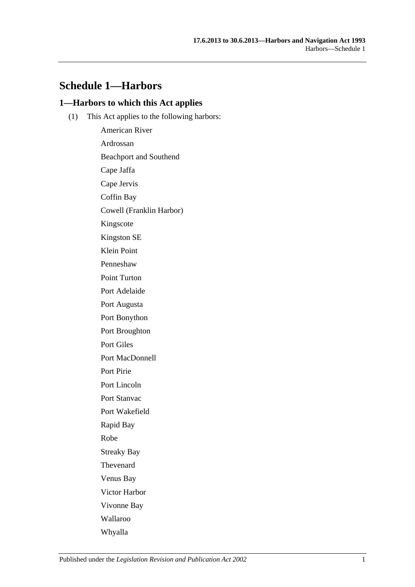# **Schedule 1—Harbors**

#### **1—Harbors to which this Act applies**

(1) This Act applies to the following harbors:

American River Ardrossan Beachport and Southend Cape Jaffa Cape Jervis Coffin Bay Cowell (Franklin Harbor) Kingscote Kingston SE Klein Point Penneshaw Point Turton Port Adelaide Port Augusta Port Bonython Port Broughton Port Giles Port MacDonnell Port Pirie Port Lincoln Port Stanvac Port Wakefield Rapid Bay Robe Streaky Bay Thevenard Venus Bay Victor Harbor Vivonne Bay Wallaroo Whyalla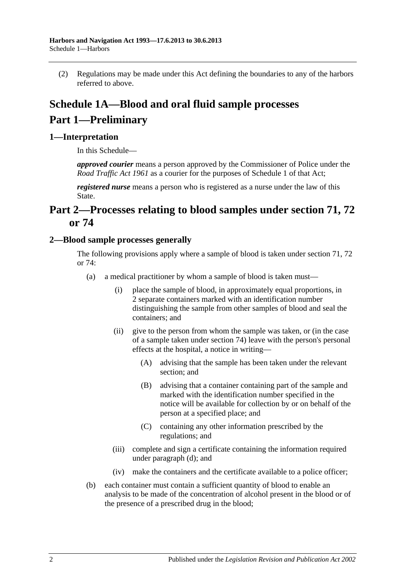(2) Regulations may be made under this Act defining the boundaries to any of the harbors referred to above.

# **Schedule 1A—Blood and oral fluid sample processes Part 1—Preliminary**

### **1—Interpretation**

In this Schedule—

*approved courier* means a person approved by the Commissioner of Police under the *Road [Traffic Act](http://www.legislation.sa.gov.au/index.aspx?action=legref&type=act&legtitle=Road%20Traffic%20Act%201961) 1961* as a courier for the purposes of Schedule 1 of that Act;

*registered nurse* means a person who is registered as a nurse under the law of this State.

# **Part 2—Processes relating to blood samples under [section](#page-54-0) 71, [72](#page-57-0) or [74](#page-66-0)**

#### <span id="page-81-0"></span>**2—Blood sample processes generally**

The following provisions apply where a sample of blood is taken under [section](#page-54-0) 71, [72](#page-57-0) or [74:](#page-66-0)

- (a) a medical practitioner by whom a sample of blood is taken must—
	- (i) place the sample of blood, in approximately equal proportions, in 2 separate containers marked with an identification number distinguishing the sample from other samples of blood and seal the containers; and
	- (ii) give to the person from whom the sample was taken, or (in the case of a sample taken under [section](#page-66-0) 74) leave with the person's personal effects at the hospital, a notice in writing—
		- (A) advising that the sample has been taken under the relevant section; and
		- (B) advising that a container containing part of the sample and marked with the identification number specified in the notice will be available for collection by or on behalf of the person at a specified place; and
		- (C) containing any other information prescribed by the regulations; and
	- (iii) complete and sign a certificate containing the information required under [paragraph](#page-82-0) (d); and
	- (iv) make the containers and the certificate available to a police officer;
- (b) each container must contain a sufficient quantity of blood to enable an analysis to be made of the concentration of alcohol present in the blood or of the presence of a prescribed drug in the blood;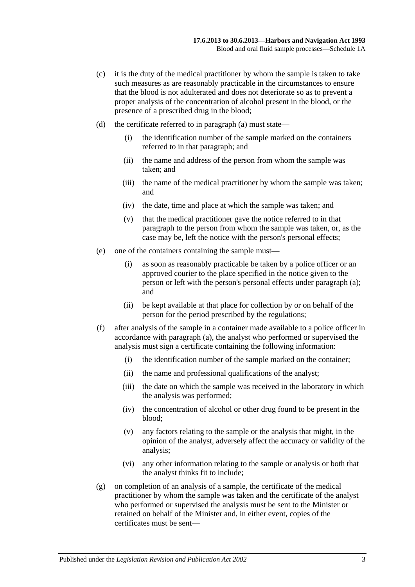- (c) it is the duty of the medical practitioner by whom the sample is taken to take such measures as are reasonably practicable in the circumstances to ensure that the blood is not adulterated and does not deteriorate so as to prevent a proper analysis of the concentration of alcohol present in the blood, or the presence of a prescribed drug in the blood;
- <span id="page-82-0"></span>(d) the certificate referred to in [paragraph](#page-81-0) (a) must state—
	- (i) the identification number of the sample marked on the containers referred to in that paragraph; and
	- (ii) the name and address of the person from whom the sample was taken; and
	- (iii) the name of the medical practitioner by whom the sample was taken; and
	- (iv) the date, time and place at which the sample was taken; and
	- (v) that the medical practitioner gave the notice referred to in that paragraph to the person from whom the sample was taken, or, as the case may be, left the notice with the person's personal effects;
- (e) one of the containers containing the sample must—
	- (i) as soon as reasonably practicable be taken by a police officer or an approved courier to the place specified in the notice given to the person or left with the person's personal effects under [paragraph](#page-81-0) (a); and
	- (ii) be kept available at that place for collection by or on behalf of the person for the period prescribed by the regulations;
- (f) after analysis of the sample in a container made available to a police officer in accordance with [paragraph](#page-81-0) (a), the analyst who performed or supervised the analysis must sign a certificate containing the following information:
	- (i) the identification number of the sample marked on the container;
	- (ii) the name and professional qualifications of the analyst;
	- (iii) the date on which the sample was received in the laboratory in which the analysis was performed;
	- (iv) the concentration of alcohol or other drug found to be present in the blood;
	- (v) any factors relating to the sample or the analysis that might, in the opinion of the analyst, adversely affect the accuracy or validity of the analysis;
	- (vi) any other information relating to the sample or analysis or both that the analyst thinks fit to include;
- (g) on completion of an analysis of a sample, the certificate of the medical practitioner by whom the sample was taken and the certificate of the analyst who performed or supervised the analysis must be sent to the Minister or retained on behalf of the Minister and, in either event, copies of the certificates must be sent—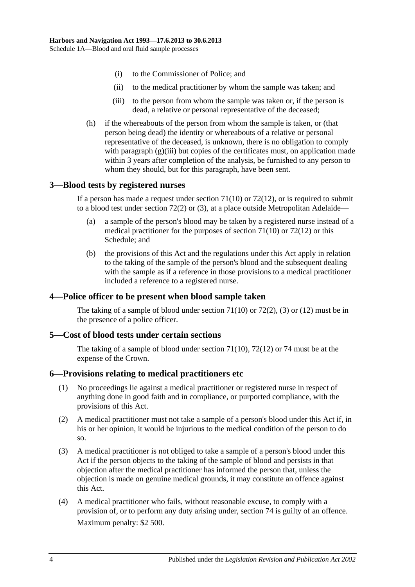- (i) to the Commissioner of Police; and
- (ii) to the medical practitioner by whom the sample was taken; and
- (iii) to the person from whom the sample was taken or, if the person is dead, a relative or personal representative of the deceased;
- <span id="page-83-0"></span>(h) if the whereabouts of the person from whom the sample is taken, or (that person being dead) the identity or whereabouts of a relative or personal representative of the deceased, is unknown, there is no obligation to comply with [paragraph](#page-83-0) (g)(iii) but copies of the certificates must, on application made within 3 years after completion of the analysis, be furnished to any person to whom they should, but for this paragraph, have been sent.

#### **3—Blood tests by registered nurses**

If a person has made a request under [section](#page-55-0)  $71(10)$  or  $72(12)$ , or is required to submit to a blood test under [section](#page-57-1) 72(2) or [\(3\),](#page-57-2) at a place outside Metropolitan Adelaide—

- (a) a sample of the person's blood may be taken by a registered nurse instead of a medical practitioner for the purposes of [section](#page-55-0) 71(10) or [72\(12\)](#page-58-0) or this Schedule; and
- (b) the provisions of this Act and the regulations under this Act apply in relation to the taking of the sample of the person's blood and the subsequent dealing with the sample as if a reference in those provisions to a medical practitioner included a reference to a registered nurse.

#### **4—Police officer to be present when blood sample taken**

The taking of a sample of blood under [section](#page-55-0)  $71(10)$  or  $72(2)$ , [\(3\)](#page-57-2) or [\(12\)](#page-58-0) must be in the presence of a police officer.

#### **5—Cost of blood tests under certain sections**

The taking of a sample of blood under [section](#page-55-0) 71(10), [72\(12\)](#page-58-0) or [74](#page-66-0) must be at the expense of the Crown.

#### **6—Provisions relating to medical practitioners etc**

- (1) No proceedings lie against a medical practitioner or registered nurse in respect of anything done in good faith and in compliance, or purported compliance, with the provisions of this Act.
- (2) A medical practitioner must not take a sample of a person's blood under this Act if, in his or her opinion, it would be injurious to the medical condition of the person to do so.
- (3) A medical practitioner is not obliged to take a sample of a person's blood under this Act if the person objects to the taking of the sample of blood and persists in that objection after the medical practitioner has informed the person that, unless the objection is made on genuine medical grounds, it may constitute an offence against this Act.
- <span id="page-83-1"></span>(4) A medical practitioner who fails, without reasonable excuse, to comply with a provision of, or to perform any duty arising under, [section](#page-66-0) 74 is guilty of an offence. Maximum penalty: \$2 500.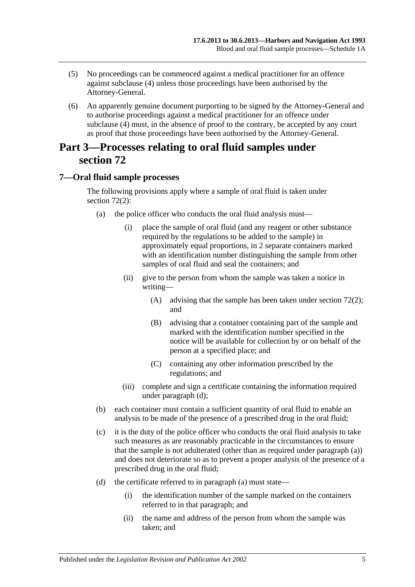- (5) No proceedings can be commenced against a medical practitioner for an offence against [subclause](#page-83-1) (4) unless those proceedings have been authorised by the Attorney-General.
- (6) An apparently genuine document purporting to be signed by the Attorney-General and to authorise proceedings against a medical practitioner for an offence under [subclause](#page-83-1) (4) must, in the absence of proof to the contrary, be accepted by any court as proof that those proceedings have been authorised by the Attorney-General.

# **Part 3—Processes relating to oral fluid samples under [section](#page-57-0) 72**

### <span id="page-84-0"></span>**7—Oral fluid sample processes**

The following provisions apply where a sample of oral fluid is taken under [section](#page-57-1) 72(2):

- (a) the police officer who conducts the oral fluid analysis must—
	- (i) place the sample of oral fluid (and any reagent or other substance required by the regulations to be added to the sample) in approximately equal proportions, in 2 separate containers marked with an identification number distinguishing the sample from other samples of oral fluid and seal the containers; and
	- (ii) give to the person from whom the sample was taken a notice in writing—
		- (A) advising that the sample has been taken under [section](#page-57-1) 72(2); and
		- (B) advising that a container containing part of the sample and marked with the identification number specified in the notice will be available for collection by or on behalf of the person at a specified place; and
		- (C) containing any other information prescribed by the regulations; and
	- (iii) complete and sign a certificate containing the information required under [paragraph](#page-82-0) (d);
- (b) each container must contain a sufficient quantity of oral fluid to enable an analysis to be made of the presence of a prescribed drug in the oral fluid;
- (c) it is the duty of the police officer who conducts the oral fluid analysis to take such measures as are reasonably practicable in the circumstances to ensure that the sample is not adulterated (other than as required under [paragraph](#page-84-0) (a)) and does not deteriorate so as to prevent a proper analysis of the presence of a prescribed drug in the oral fluid;
- (d) the certificate referred to in [paragraph](#page-81-0) (a) must state—
	- (i) the identification number of the sample marked on the containers referred to in that paragraph; and
	- (ii) the name and address of the person from whom the sample was taken; and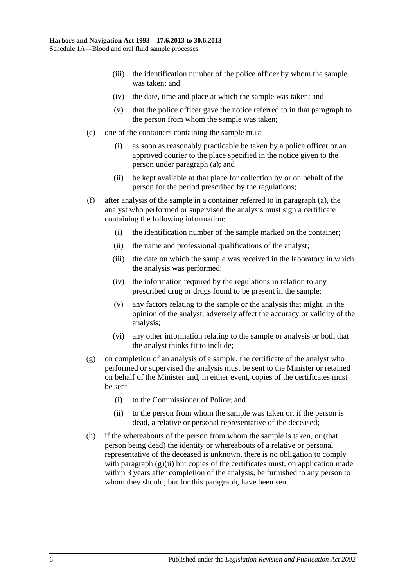- (iii) the identification number of the police officer by whom the sample was taken; and
- (iv) the date, time and place at which the sample was taken; and
- (v) that the police officer gave the notice referred to in that paragraph to the person from whom the sample was taken;
- (e) one of the containers containing the sample must—
	- (i) as soon as reasonably practicable be taken by a police officer or an approved courier to the place specified in the notice given to the person under [paragraph](#page-84-0) (a); and
	- (ii) be kept available at that place for collection by or on behalf of the person for the period prescribed by the regulations;
- (f) after analysis of the sample in a container referred to in [paragraph](#page-84-0) (a), the analyst who performed or supervised the analysis must sign a certificate containing the following information:
	- (i) the identification number of the sample marked on the container;
	- (ii) the name and professional qualifications of the analyst;
	- (iii) the date on which the sample was received in the laboratory in which the analysis was performed;
	- (iv) the information required by the regulations in relation to any prescribed drug or drugs found to be present in the sample;
	- (v) any factors relating to the sample or the analysis that might, in the opinion of the analyst, adversely affect the accuracy or validity of the analysis;
	- (vi) any other information relating to the sample or analysis or both that the analyst thinks fit to include;
- (g) on completion of an analysis of a sample, the certificate of the analyst who performed or supervised the analysis must be sent to the Minister or retained on behalf of the Minister and, in either event, copies of the certificates must be sent—
	- (i) to the Commissioner of Police; and
	- (ii) to the person from whom the sample was taken or, if the person is dead, a relative or personal representative of the deceased;
- <span id="page-85-0"></span>(h) if the whereabouts of the person from whom the sample is taken, or (that person being dead) the identity or whereabouts of a relative or personal representative of the deceased is unknown, there is no obligation to comply with [paragraph](#page-85-0)  $(g)(ii)$  but copies of the certificates must, on application made within 3 years after completion of the analysis, be furnished to any person to whom they should, but for this paragraph, have been sent.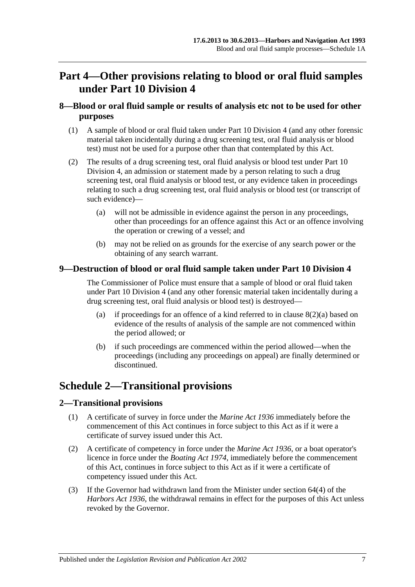# **Part 4—Other provisions relating to blood or oral fluid samples under [Part 10 Division 4](#page-52-0)**

### **8—Blood or oral fluid sample or results of analysis etc not to be used for other purposes**

- (1) A sample of blood or oral fluid taken under [Part 10 Division 4](#page-52-0) (and any other forensic material taken incidentally during a drug screening test, oral fluid analysis or blood test) must not be used for a purpose other than that contemplated by this Act.
- <span id="page-86-0"></span>(2) The results of a drug screening test, oral fluid analysis or blood test under [Part 10](#page-52-0)  [Division 4,](#page-52-0) an admission or statement made by a person relating to such a drug screening test, oral fluid analysis or blood test, or any evidence taken in proceedings relating to such a drug screening test, oral fluid analysis or blood test (or transcript of such evidence)—
	- (a) will not be admissible in evidence against the person in any proceedings, other than proceedings for an offence against this Act or an offence involving the operation or crewing of a vessel; and
	- (b) may not be relied on as grounds for the exercise of any search power or the obtaining of any search warrant.

### **9—Destruction of blood or oral fluid sample taken under [Part 10 Division 4](#page-52-0)**

The Commissioner of Police must ensure that a sample of blood or oral fluid taken under [Part 10 Division 4](#page-52-0) (and any other forensic material taken incidentally during a drug screening test, oral fluid analysis or blood test) is destroyed—

- (a) if proceedings for an offence of a kind referred to in clause  $8(2)(a)$  based on evidence of the results of analysis of the sample are not commenced within the period allowed; or
- (b) if such proceedings are commenced within the period allowed—when the proceedings (including any proceedings on appeal) are finally determined or discontinued.

# **Schedule 2—Transitional provisions**

#### **2—Transitional provisions**

- (1) A certificate of survey in force under the *[Marine Act](http://www.legislation.sa.gov.au/index.aspx?action=legref&type=act&legtitle=Marine%20Act%201936) 1936* immediately before the commencement of this Act continues in force subject to this Act as if it were a certificate of survey issued under this Act.
- (2) A certificate of competency in force under the *[Marine Act](http://www.legislation.sa.gov.au/index.aspx?action=legref&type=act&legtitle=Marine%20Act%201936) 1936*, or a boat operator's licence in force under the *[Boating Act](http://www.legislation.sa.gov.au/index.aspx?action=legref&type=act&legtitle=Boating%20Act%201974) 1974*, immediately before the commencement of this Act, continues in force subject to this Act as if it were a certificate of competency issued under this Act.
- (3) If the Governor had withdrawn land from the Minister under section 64(4) of the *[Harbors Act](http://www.legislation.sa.gov.au/index.aspx?action=legref&type=act&legtitle=Harbors%20Act%201936) 1936*, the withdrawal remains in effect for the purposes of this Act unless revoked by the Governor.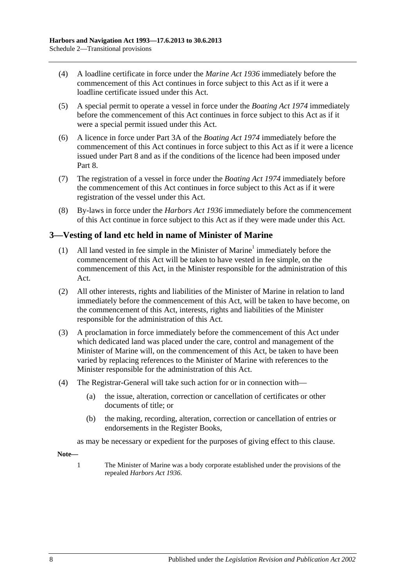- (4) A loadline certificate in force under the *[Marine Act](http://www.legislation.sa.gov.au/index.aspx?action=legref&type=act&legtitle=Marine%20Act%201936) 1936* immediately before the commencement of this Act continues in force subject to this Act as if it were a loadline certificate issued under this Act.
- (5) A special permit to operate a vessel in force under the *[Boating Act](http://www.legislation.sa.gov.au/index.aspx?action=legref&type=act&legtitle=Boating%20Act%201974) 1974* immediately before the commencement of this Act continues in force subject to this Act as if it were a special permit issued under this Act.
- (6) A licence in force under Part 3A of the *[Boating Act](http://www.legislation.sa.gov.au/index.aspx?action=legref&type=act&legtitle=Boating%20Act%201974) 1974* immediately before the commencement of this Act continues in force subject to this Act as if it were a licence issued under [Part 8](#page-42-0) and as if the conditions of the licence had been imposed under [Part](#page-42-0) 8.
- (7) The registration of a vessel in force under the *[Boating Act](http://www.legislation.sa.gov.au/index.aspx?action=legref&type=act&legtitle=Boating%20Act%201974) 1974* immediately before the commencement of this Act continues in force subject to this Act as if it were registration of the vessel under this Act.
- (8) By-laws in force under the *[Harbors Act](http://www.legislation.sa.gov.au/index.aspx?action=legref&type=act&legtitle=Harbors%20Act%201936) 1936* immediately before the commencement of this Act continue in force subject to this Act as if they were made under this Act.

### **3—Vesting of land etc held in name of Minister of Marine**

- (1) All land vested in fee simple in the Minister of Marine<sup>1</sup> immediately before the commencement of this Act will be taken to have vested in fee simple, on the commencement of this Act, in the Minister responsible for the administration of this Act.
- (2) All other interests, rights and liabilities of the Minister of Marine in relation to land immediately before the commencement of this Act, will be taken to have become, on the commencement of this Act, interests, rights and liabilities of the Minister responsible for the administration of this Act.
- (3) A proclamation in force immediately before the commencement of this Act under which dedicated land was placed under the care, control and management of the Minister of Marine will, on the commencement of this Act, be taken to have been varied by replacing references to the Minister of Marine with references to the Minister responsible for the administration of this Act.
- (4) The Registrar-General will take such action for or in connection with—
	- (a) the issue, alteration, correction or cancellation of certificates or other documents of title; or
	- (b) the making, recording, alteration, correction or cancellation of entries or endorsements in the Register Books,

as may be necessary or expedient for the purposes of giving effect to this clause.

**Note—**

1 The Minister of Marine was a body corporate established under the provisions of the repealed *[Harbors Act](http://www.legislation.sa.gov.au/index.aspx?action=legref&type=act&legtitle=Harbors%20Act%201936) 1936*.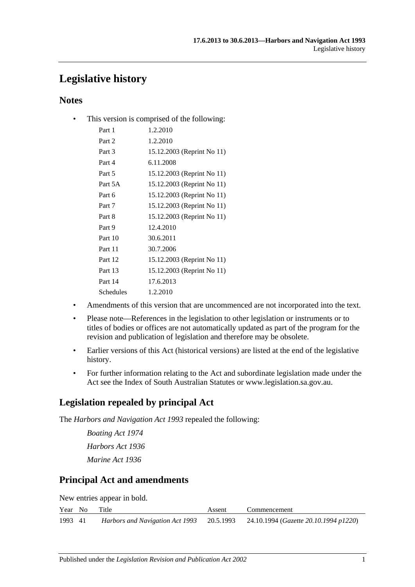# **Legislative history**

## **Notes**

• This version is comprised of the following:

| Part 1    | 1.2.2010                   |
|-----------|----------------------------|
| Part 2    | 1.2.2010                   |
| Part 3    | 15.12.2003 (Reprint No 11) |
| Part 4    | 6.11.2008                  |
| Part 5    | 15.12.2003 (Reprint No 11) |
| Part 5A   | 15.12.2003 (Reprint No 11) |
| Part 6    | 15.12.2003 (Reprint No 11) |
| Part 7    | 15.12.2003 (Reprint No 11) |
| Part 8    | 15.12.2003 (Reprint No 11) |
| Part 9    | 12.4.2010                  |
| Part 10   | 30.6.2011                  |
| Part 11   | 30.7.2006                  |
| Part 12   | 15.12.2003 (Reprint No 11) |
| Part 13   | 15.12.2003 (Reprint No 11) |
| Part 14   | 17.6.2013                  |
| Schedules | 1.2.2010                   |
|           |                            |

- Amendments of this version that are uncommenced are not incorporated into the text.
- Please note—References in the legislation to other legislation or instruments or to titles of bodies or offices are not automatically updated as part of the program for the revision and publication of legislation and therefore may be obsolete.
- Earlier versions of this Act (historical versions) are listed at the end of the legislative history.
- For further information relating to the Act and subordinate legislation made under the Act see the Index of South Australian Statutes or www.legislation.sa.gov.au.

## **Legislation repealed by principal Act**

The *Harbors and Navigation Act 1993* repealed the following:

*Boating Act 1974 Harbors Act 1936 Marine Act 1936*

# **Principal Act and amendments**

New entries appear in bold.

| Year No | Title | Assent | Commencement                                                                    |
|---------|-------|--------|---------------------------------------------------------------------------------|
| 1993 41 |       |        | Harbors and Navigation Act 1993 20.5.1993 24.10.1994 (Gazette 20.10.1994 p1220) |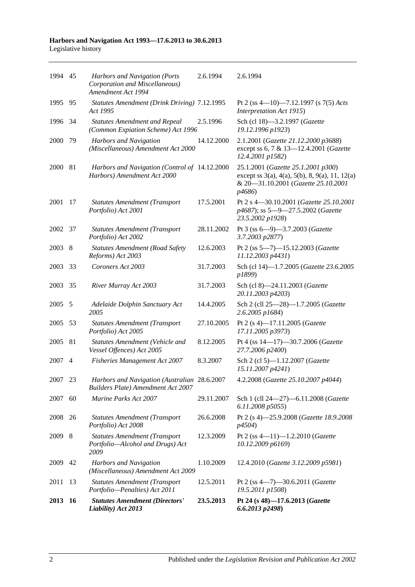#### **Harbors and Navigation Act 1993—17.6.2013 to 30.6.2013** Legislative history

| 1994 45 |     | Harbors and Navigation (Ports<br>Corporation and Miscellaneous)<br>Amendment Act 1994     | 2.6.1994   | 2.6.1994                                                                                                                                                          |
|---------|-----|-------------------------------------------------------------------------------------------|------------|-------------------------------------------------------------------------------------------------------------------------------------------------------------------|
| 1995    | 95  | Statutes Amendment (Drink Driving) 7.12.1995<br>Act 1995                                  |            | Pt 2 (ss 4-10)-7.12.1997 (s 7(5) Acts<br>Interpretation Act 1915)                                                                                                 |
| 1996    | 34  | <b>Statutes Amendment and Repeal</b><br>(Common Expiation Scheme) Act 1996                | 2.5.1996   | Sch (cl 18)-3.2.1997 (Gazette<br>19.12.1996 p1923)                                                                                                                |
| 2000    | 79  | Harbors and Navigation<br>(Miscellaneous) Amendment Act 2000                              | 14.12.2000 | 2.1.2001 (Gazette 21.12.2000 p3688)<br>except ss 6, 7 & 13-12.4.2001 (Gazette<br>12.4.2001 p1582)                                                                 |
| 2000    | -81 | Harbors and Navigation (Control of 14.12.2000<br>Harbors) Amendment Act 2000              |            | 25.1.2001 (Gazette 25.1.2001 p300)<br>except ss $3(a)$ , $4(a)$ , $5(b)$ , $8$ , $9(a)$ , $11$ , $12(a)$<br>& 20-31.10.2001 (Gazette 25.10.2001<br><i>p</i> 4686) |
| 2001    | 17  | <b>Statutes Amendment (Transport</b><br>Portfolio) Act 2001                               | 17.5.2001  | Pt 2 s 4-30.10.2001 (Gazette 25.10.2001<br>p4687); ss 5-9-27.5.2002 (Gazette<br>23.5.2002 p1928)                                                                  |
| 2002    | 37  | <b>Statutes Amendment (Transport</b><br>Portfolio) Act 2002                               | 28.11.2002 | Pt 3 (ss 6-9)-3.7.2003 (Gazette<br>3.7.2003 p2877)                                                                                                                |
| 2003    | 8   | <b>Statutes Amendment (Road Safety</b><br>Reforms) Act 2003                               | 12.6.2003  | Pt 2 (ss 5-7)-15.12.2003 (Gazette<br>11.12.2003 p4431)                                                                                                            |
| 2003    | 33  | Coroners Act 2003                                                                         | 31.7.2003  | Sch (cl 14)-1.7.2005 (Gazette 23.6.2005<br>p1899)                                                                                                                 |
| 2003    | 35  | River Murray Act 2003                                                                     | 31.7.2003  | Sch (cl 8)-24.11.2003 (Gazette<br>20.11.2003 p4203)                                                                                                               |
| 2005    | 5   | Adelaide Dolphin Sanctuary Act<br>2005                                                    | 14.4.2005  | Sch 2 (cll 25-28)-1.7.2005 (Gazette<br>2.6.2005 p1684)                                                                                                            |
| 2005    | 53  | <b>Statutes Amendment (Transport</b><br>Portfolio) Act 2005                               | 27.10.2005 | Pt 2 (s 4)-17.11.2005 (Gazette<br>17.11.2005 p3973)                                                                                                               |
| 2005    | 81  | Statutes Amendment (Vehicle and<br>Vessel Offences) Act 2005                              | 8.12.2005  | Pt 4 (ss 14-17)-30.7.2006 (Gazette<br>27.7.2006 p2400)                                                                                                            |
| 2007    | 4   | <b>Fisheries Management Act 2007</b>                                                      | 8.3.2007   | Sch 2 (cl 5)-1.12.2007 (Gazette<br>15.11.2007 p4241)                                                                                                              |
| 2007    | 23  | Harbors and Navigation (Australian 28.6.2007<br><b>Builders Plate) Amendment Act 2007</b> |            | 4.2.2008 (Gazette 25.10.2007 p4044)                                                                                                                               |
| 2007    | 60  | Marine Parks Act 2007                                                                     | 29.11.2007 | Sch 1 (cll 24-27)-6.11.2008 (Gazette<br>6.11.2008 p5055)                                                                                                          |
| 2008    | 26  | <b>Statutes Amendment (Transport</b><br>Portfolio) Act 2008                               | 26.6.2008  | Pt 2 (s 4)-25.9.2008 (Gazette 18.9.2008<br><i>p4504</i> )                                                                                                         |
| 2009    | 8   | <b>Statutes Amendment (Transport</b><br>Portfolio-Alcohol and Drugs) Act<br>2009          | 12.3.2009  | Pt 2 (ss 4-11)-1.2.2010 (Gazette<br>10.12.2009 p6169)                                                                                                             |
| 2009    | 42  | Harbors and Navigation<br>(Miscellaneous) Amendment Act 2009                              | 1.10.2009  | 12.4.2010 (Gazette 3.12.2009 p5981)                                                                                                                               |
| 2011    | 13  | <b>Statutes Amendment (Transport</b><br>Portfolio-Penalties) Act 2011                     | 12.5.2011  | Pt 2 (ss $4-7$ )-30.6.2011 (Gazette<br>19.5.2011 p1508)                                                                                                           |
| 2013 16 |     | <b>Statutes Amendment (Directors'</b><br>Liability) Act 2013                              | 23.5.2013  | Pt 24 (s 48)-17.6.2013 (Gazette<br>$6.6.2013$ $p2498$ )                                                                                                           |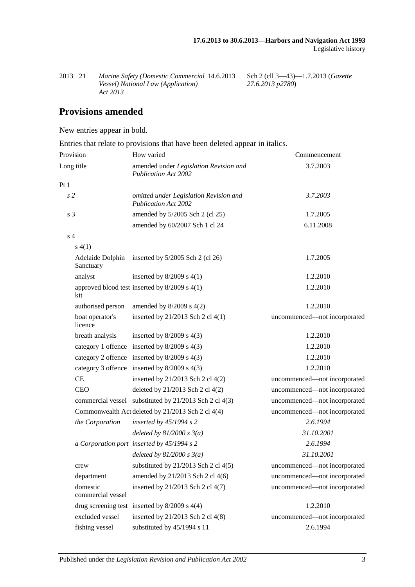| 2013 21 | Marine Safety (Domestic Commercial 14.6.2013 |  |
|---------|----------------------------------------------|--|
|         | <i>Vessel)</i> National Law (Application)    |  |
|         | Act 2013                                     |  |

14.6.2013 Sch 2 (cll 3—43)—1.7.2013 (*Gazette 27.6.2013 p2780*)

## **Provisions amended**

New entries appear in bold.

Entries that relate to provisions that have been deleted appear in italics.

| Provision                     | How varied                                                            | Commencement                 |
|-------------------------------|-----------------------------------------------------------------------|------------------------------|
| Long title                    | amended under Legislation Revision and<br><b>Publication Act 2002</b> | 3.7.2003                     |
| Pt1                           |                                                                       |                              |
| s <sub>2</sub>                | omitted under Legislation Revision and<br><b>Publication Act 2002</b> | 3.7.2003                     |
| s <sub>3</sub>                | amended by 5/2005 Sch 2 (cl 25)                                       | 1.7.2005                     |
|                               | amended by 60/2007 Sch 1 cl 24                                        | 6.11.2008                    |
| s <sub>4</sub>                |                                                                       |                              |
| s(4(1))                       |                                                                       |                              |
| Sanctuary                     | Adelaide Dolphin inserted by 5/2005 Sch 2 (cl 26)                     | 1.7.2005                     |
| analyst                       | inserted by $8/2009$ s $4(1)$                                         | 1.2.2010                     |
| kit                           | approved blood test inserted by $8/2009$ s $4(1)$                     | 1.2.2010                     |
| authorised person             | amended by $8/2009$ s $4(2)$                                          | 1.2.2010                     |
| boat operator's<br>licence    | inserted by 21/2013 Sch 2 cl 4(1)                                     | uncommenced-not incorporated |
| breath analysis               | inserted by $8/2009$ s $4(3)$                                         | 1.2.2010                     |
|                               | category 1 offence inserted by 8/2009 s 4(3)                          | 1.2.2010                     |
|                               | category 2 offence inserted by 8/2009 s 4(3)                          | 1.2.2010                     |
|                               | category 3 offence inserted by 8/2009 s 4(3)                          | 1.2.2010                     |
| CE                            | inserted by 21/2013 Sch 2 cl 4(2)                                     | uncommenced-not incorporated |
| <b>CEO</b>                    | deleted by 21/2013 Sch 2 cl 4(2)                                      | uncommenced-not incorporated |
|                               | commercial vessel substituted by 21/2013 Sch 2 cl 4(3)                | uncommenced-not incorporated |
|                               | Commonwealth Act deleted by 21/2013 Sch 2 cl 4(4)                     | uncommenced-not incorporated |
| the Corporation               | inserted by $45/1994 s 2$                                             | 2.6.1994                     |
|                               | deleted by $81/2000 s 3(a)$                                           | 31.10.2001                   |
|                               | a Corporation port inserted by 45/1994 s 2                            | 2.6.1994                     |
|                               | deleted by $81/2000 s 3(a)$                                           | 31.10.2001                   |
| crew                          | substituted by $21/2013$ Sch 2 cl 4(5)                                | uncommenced-not incorporated |
| department                    | amended by 21/2013 Sch 2 cl 4(6)                                      | uncommenced-not incorporated |
| domestic<br>commercial vessel | inserted by 21/2013 Sch 2 cl 4(7)                                     | uncommenced-not incorporated |
|                               | drug screening test inserted by $8/2009$ s $4(4)$                     | 1.2.2010                     |
| excluded vessel               | inserted by 21/2013 Sch 2 cl 4(8)                                     | uncommenced-not incorporated |
| fishing vessel                | substituted by 45/1994 s 11                                           | 2.6.1994                     |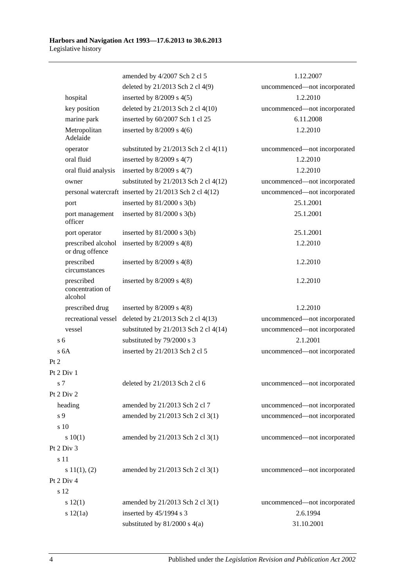|                                           | amended by 4/2007 Sch 2 cl 5                           | 1.12.2007                    |
|-------------------------------------------|--------------------------------------------------------|------------------------------|
|                                           | deleted by 21/2013 Sch 2 cl 4(9)                       | uncommenced-not incorporated |
| hospital                                  | inserted by $8/2009$ s $4(5)$                          | 1.2.2010                     |
| key position                              | deleted by 21/2013 Sch 2 cl 4(10)                      | uncommenced-not incorporated |
| marine park                               | inserted by 60/2007 Sch 1 cl 25                        | 6.11.2008                    |
| Metropolitan<br>Adelaide                  | inserted by $8/2009$ s $4(6)$                          | 1.2.2010                     |
| operator                                  | substituted by $21/2013$ Sch 2 cl $4(11)$              | uncommenced-not incorporated |
| oral fluid                                | inserted by $8/2009$ s $4(7)$                          | 1.2.2010                     |
| oral fluid analysis                       | inserted by $8/2009$ s $4(7)$                          | 1.2.2010                     |
| owner                                     | substituted by $21/2013$ Sch 2 cl $4(12)$              | uncommenced-not incorporated |
|                                           | personal watercraft inserted by 21/2013 Sch 2 cl 4(12) | uncommenced-not incorporated |
| port                                      | inserted by $81/2000$ s $3(b)$                         | 25.1.2001                    |
| port management<br>officer                | inserted by $81/2000$ s $3(b)$                         | 25.1.2001                    |
| port operator                             | inserted by $81/2000$ s $3(b)$                         | 25.1.2001                    |
| prescribed alcohol<br>or drug offence     | inserted by $8/2009$ s $4(8)$                          | 1.2.2010                     |
| prescribed<br>circumstances               | inserted by $8/2009$ s $4(8)$                          | 1.2.2010                     |
| prescribed<br>concentration of<br>alcohol | inserted by $8/2009$ s $4(8)$                          | 1.2.2010                     |
| prescribed drug                           | inserted by $8/2009$ s $4(8)$                          | 1.2.2010                     |
| recreational vessel                       | deleted by 21/2013 Sch 2 cl 4(13)                      | uncommenced-not incorporated |
| vessel                                    | substituted by $21/2013$ Sch 2 cl 4(14)                | uncommenced-not incorporated |
| s <sub>6</sub>                            | substituted by 79/2000 s 3                             | 2.1.2001                     |
| s <sub>6A</sub>                           | inserted by 21/2013 Sch 2 cl 5                         | uncommenced-not incorporated |
| Pt 2                                      |                                                        |                              |
| Pt 2 Div 1                                |                                                        |                              |
| s <sub>7</sub>                            | deleted by 21/2013 Sch 2 cl 6                          | uncommenced—not incorporated |
| Pt 2 Div 2                                |                                                        |                              |
| heading                                   | amended by 21/2013 Sch 2 cl 7                          | uncommenced-not incorporated |
| s 9                                       | amended by 21/2013 Sch 2 cl 3(1)                       | uncommenced-not incorporated |
| s 10                                      |                                                        |                              |
| 10(1)                                     | amended by 21/2013 Sch 2 cl 3(1)                       | uncommenced-not incorporated |
| Pt 2 Div 3                                |                                                        |                              |
| s 11                                      |                                                        |                              |
| s 11(1), (2)                              | amended by 21/2013 Sch 2 cl 3(1)                       | uncommenced-not incorporated |
| Pt 2 Div 4                                |                                                        |                              |
| s 12                                      |                                                        |                              |
| s 12(1)                                   | amended by 21/2013 Sch 2 cl 3(1)                       | uncommenced-not incorporated |
| s 12(1a)                                  | inserted by 45/1994 s 3                                | 2.6.1994                     |
|                                           | substituted by $81/2000$ s $4(a)$                      | 31.10.2001                   |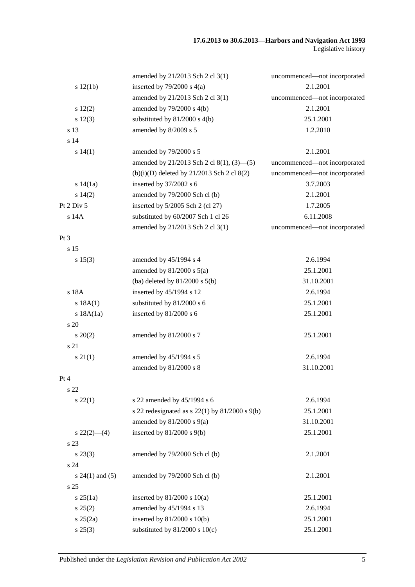|                     | amended by 21/2013 Sch 2 cl 3(1)                     | uncommenced-not incorporated |
|---------------------|------------------------------------------------------|------------------------------|
| s 12(1b)            | inserted by $79/2000$ s $4(a)$                       | 2.1.2001                     |
|                     | amended by 21/2013 Sch 2 cl 3(1)                     | uncommenced—not incorporated |
| 12(2)               | amended by 79/2000 s 4(b)                            | 2.1.2001                     |
| s 12(3)             | substituted by 81/2000 s 4(b)                        | 25.1.2001                    |
| s 13                | amended by 8/2009 s 5                                | 1.2.2010                     |
| s 14                |                                                      |                              |
| s 14(1)             | amended by 79/2000 s 5                               | 2.1.2001                     |
|                     | amended by 21/2013 Sch 2 cl 8(1), $(3)$ — $(5)$      | uncommenced-not incorporated |
|                     | $(b)(i)(D)$ deleted by 21/2013 Sch 2 cl 8(2)         | uncommenced-not incorporated |
| s 14(1a)            | inserted by 37/2002 s 6                              | 3.7.2003                     |
| s 14(2)             | amended by 79/2000 Sch cl (b)                        | 2.1.2001                     |
| Pt 2 Div 5          | inserted by $5/2005$ Sch 2 (cl 27)                   | 1.7.2005                     |
| s 14A               | substituted by 60/2007 Sch 1 cl 26                   | 6.11.2008                    |
|                     | amended by 21/2013 Sch 2 cl 3(1)                     | uncommenced-not incorporated |
| $Pt\,3$             |                                                      |                              |
| s <sub>15</sub>     |                                                      |                              |
| s 15(3)             | amended by 45/1994 s 4                               | 2.6.1994                     |
|                     | amended by $81/2000$ s $5(a)$                        | 25.1.2001                    |
|                     | (ba) deleted by $81/2000$ s $5(b)$                   | 31.10.2001                   |
| s 18A               | inserted by 45/1994 s 12                             | 2.6.1994                     |
| s 18A(1)            | substituted by 81/2000 s 6                           | 25.1.2001                    |
| s 18A(1a)           | inserted by 81/2000 s 6                              | 25.1.2001                    |
| $\frac{1}{20}$      |                                                      |                              |
| $s\,20(2)$          | amended by 81/2000 s 7                               | 25.1.2001                    |
| s 21                |                                                      |                              |
| $s \, 21(1)$        | amended by 45/1994 s 5                               | 2.6.1994                     |
|                     | amended by 81/2000 s 8                               | 31.10.2001                   |
| Pt 4                |                                                      |                              |
| s 22                |                                                      |                              |
| $s\,22(1)$          | s 22 amended by 45/1994 s 6                          | 2.6.1994                     |
|                     | s 22 redesignated as s $22(1)$ by $81/2000$ s $9(b)$ | 25.1.2001                    |
|                     | amended by $81/2000$ s $9(a)$                        | 31.10.2001                   |
| $s\,22(2)$ —(4)     | inserted by $81/2000$ s $9(b)$                       | 25.1.2001                    |
| s 23                |                                                      |                              |
| $s\,23(3)$          |                                                      | 2.1.2001                     |
|                     | amended by 79/2000 Sch cl (b)                        |                              |
| s24                 |                                                      |                              |
| s $24(1)$ and $(5)$ | amended by 79/2000 Sch cl (b)                        | 2.1.2001                     |
| s <sub>25</sub>     |                                                      |                              |
| $s \, 25(1a)$       | inserted by $81/2000$ s $10(a)$                      | 25.1.2001                    |
| s 25(2)             | amended by 45/1994 s 13                              | 2.6.1994                     |
| $s \, 25(2a)$       | inserted by $81/2000$ s $10(b)$                      | 25.1.2001                    |
| $s\,25(3)$          | substituted by $81/2000$ s $10(c)$                   | 25.1.2001                    |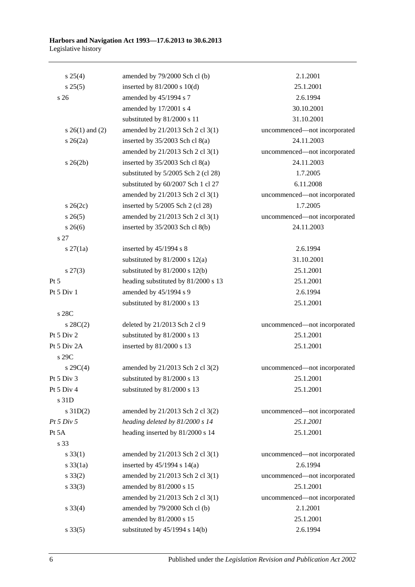| $s \; 25(4)$        | amended by 79/2000 Sch cl (b)       | 2.1.2001                     |
|---------------------|-------------------------------------|------------------------------|
| s 25(5)             | inserted by $81/2000$ s $10(d)$     | 25.1.2001                    |
| s <sub>26</sub>     | amended by 45/1994 s 7              | 2.6.1994                     |
|                     | amended by 17/2001 s 4              | 30.10.2001                   |
|                     | substituted by 81/2000 s 11         | 31.10.2001                   |
| s $26(1)$ and $(2)$ | amended by 21/2013 Sch 2 cl 3(1)    | uncommenced-not incorporated |
| $s \; 26(2a)$       | inserted by $35/2003$ Sch cl $8(a)$ | 24.11.2003                   |
|                     | amended by 21/2013 Sch 2 cl 3(1)    | uncommenced-not incorporated |
| $s \; 26(2b)$       | inserted by $35/2003$ Sch cl $8(a)$ | 24.11.2003                   |
|                     | substituted by 5/2005 Sch 2 (cl 28) | 1.7.2005                     |
|                     | substituted by 60/2007 Sch 1 cl 27  | 6.11.2008                    |
|                     | amended by 21/2013 Sch 2 cl 3(1)    | uncommenced-not incorporated |
| $s \; 26(2c)$       | inserted by 5/2005 Sch 2 (cl 28)    | 1.7.2005                     |
| $s \; 26(5)$        | amended by 21/2013 Sch 2 cl 3(1)    | uncommenced-not incorporated |
| $s \; 26(6)$        | inserted by 35/2003 Sch cl 8(b)     | 24.11.2003                   |
| s 27                |                                     |                              |
| $s \, 27(1a)$       | inserted by $45/1994$ s 8           | 2.6.1994                     |
|                     | substituted by $81/2000$ s $12(a)$  | 31.10.2001                   |
| $s\,27(3)$          | substituted by $81/2000$ s $12(b)$  | 25.1.2001                    |
| Pt 5                | heading substituted by 81/2000 s 13 | 25.1.2001                    |
| Pt 5 Div 1          | amended by 45/1994 s 9              | 2.6.1994                     |
|                     | substituted by 81/2000 s 13         | 25.1.2001                    |
| s 28C               |                                     |                              |
| $s \, 28C(2)$       | deleted by 21/2013 Sch 2 cl 9       | uncommenced-not incorporated |
| Pt 5 Div 2          | substituted by 81/2000 s 13         | 25.1.2001                    |
| Pt 5 Div 2A         | inserted by 81/2000 s 13            | 25.1.2001                    |
| s 29C               |                                     |                              |
| $s \, 29C(4)$       | amended by 21/2013 Sch 2 cl 3(2)    | uncommenced-not incorporated |
| Pt 5 Div 3          | substituted by $81/2000$ s 13       | 25.1.2001                    |
| Pt 5 Div 4          | substituted by 81/2000 s 13         | 25.1.2001                    |
| s 31D               |                                     |                              |
| $s$ 31D(2)          | amended by 21/2013 Sch 2 cl 3(2)    | uncommenced-not incorporated |
| Pt 5 Div 5          | heading deleted by 81/2000 s 14     | 25.1.2001                    |
| Pt 5A               | heading inserted by 81/2000 s 14    | 25.1.2001                    |
| s 33                |                                     |                              |
| $s \, 33(1)$        | amended by 21/2013 Sch 2 cl 3(1)    | uncommenced-not incorporated |
| s 33(1a)            | inserted by $45/1994$ s $14(a)$     | 2.6.1994                     |
| $s \, 33(2)$        | amended by 21/2013 Sch 2 cl 3(1)    | uncommenced-not incorporated |
| $s \, 33(3)$        | amended by 81/2000 s 15             | 25.1.2001                    |
|                     | amended by 21/2013 Sch 2 cl 3(1)    | uncommenced-not incorporated |
| $s \, 33(4)$        | amended by 79/2000 Sch cl (b)       | 2.1.2001                     |
|                     | amended by 81/2000 s 15             | 25.1.2001                    |
| $s \, 33(5)$        | substituted by 45/1994 s 14(b)      | 2.6.1994                     |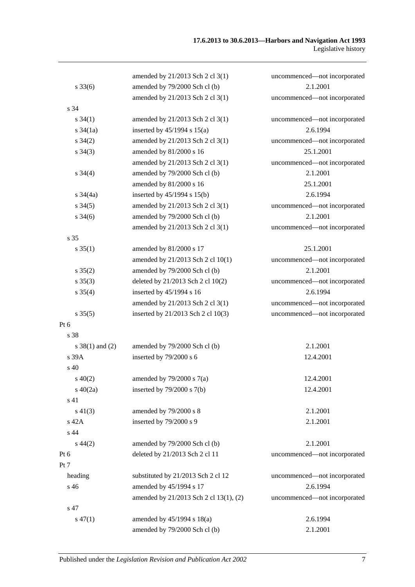|                     | amended by 21/2013 Sch 2 cl 3(1)       | uncommenced-not incorporated |
|---------------------|----------------------------------------|------------------------------|
| $s \, 33(6)$        | amended by 79/2000 Sch cl (b)          | 2.1.2001                     |
|                     | amended by 21/2013 Sch 2 cl 3(1)       | uncommenced-not incorporated |
| s 34                |                                        |                              |
| $s \, 34(1)$        | amended by 21/2013 Sch 2 cl 3(1)       | uncommenced-not incorporated |
| $s \frac{34}{1a}$   | inserted by $45/1994$ s $15(a)$        | 2.6.1994                     |
| $s \, 34(2)$        | amended by 21/2013 Sch 2 cl 3(1)       | uncommenced-not incorporated |
| $s \; 34(3)$        | amended by 81/2000 s 16                | 25.1.2001                    |
|                     | amended by 21/2013 Sch 2 cl 3(1)       | uncommenced-not incorporated |
| $s \; 34(4)$        | amended by 79/2000 Sch cl (b)          | 2.1.2001                     |
|                     | amended by 81/2000 s 16                | 25.1.2001                    |
| $s \frac{34}{4a}$   | inserted by 45/1994 s 15(b)            | 2.6.1994                     |
| $s \, 34(5)$        | amended by 21/2013 Sch 2 cl 3(1)       | uncommenced-not incorporated |
| $s \frac{34(6)}{2}$ | amended by 79/2000 Sch cl (b)          | 2.1.2001                     |
|                     | amended by 21/2013 Sch 2 cl 3(1)       | uncommenced-not incorporated |
| s 35                |                                        |                              |
| $s \, 35(1)$        | amended by 81/2000 s 17                | 25.1.2001                    |
|                     | amended by 21/2013 Sch 2 cl 10(1)      | uncommenced-not incorporated |
| $s \, 35(2)$        | amended by 79/2000 Sch cl (b)          | 2.1.2001                     |
| $s \, 35(3)$        | deleted by 21/2013 Sch 2 cl 10(2)      | uncommenced-not incorporated |
| $s \, 35(4)$        | inserted by 45/1994 s 16               | 2.6.1994                     |
|                     | amended by 21/2013 Sch 2 cl 3(1)       | uncommenced-not incorporated |
| $s \, 35(5)$        | inserted by 21/2013 Sch 2 cl 10(3)     | uncommenced-not incorporated |
| $Pt\ 6$             |                                        |                              |
| s 38                |                                        |                              |
| $s \ 38(1)$ and (2) | amended by 79/2000 Sch cl (b)          | 2.1.2001                     |
| s 39A               | inserted by 79/2000 s 6                | 12.4.2001                    |
| s 40                |                                        |                              |
| $s\ 40(2)$          | amended by $79/2000$ s $7(a)$          | 12.4.2001                    |
| $s\ 40(2a)$         | inserted by $79/2000$ s $7(b)$         | 12.4.2001                    |
| s 41                |                                        |                              |
| $s\ 41(3)$          | amended by 79/2000 s 8                 | 2.1.2001                     |
| s 42A               | inserted by 79/2000 s 9                | 2.1.2001                     |
| s 44                |                                        |                              |
| $s\,44(2)$          | amended by 79/2000 Sch cl (b)          | 2.1.2001                     |
| Pt 6                | deleted by 21/2013 Sch 2 cl 11         | uncommenced-not incorporated |
| Pt 7                |                                        |                              |
| heading             | substituted by 21/2013 Sch 2 cl 12     | uncommenced-not incorporated |
| s 46                | amended by 45/1994 s 17                | 2.6.1994                     |
|                     | amended by 21/2013 Sch 2 cl 13(1), (2) | uncommenced-not incorporated |
| s 47                |                                        |                              |
| $s\,47(1)$          | amended by 45/1994 s 18(a)             | 2.6.1994                     |
|                     | amended by 79/2000 Sch cl (b)          | 2.1.2001                     |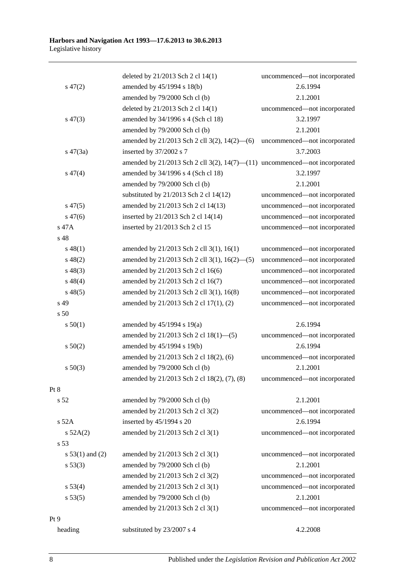|                   | deleted by 21/2013 Sch 2 cl 14(1)                                                     | uncommenced-not incorporated |
|-------------------|---------------------------------------------------------------------------------------|------------------------------|
| $s\,47(2)$        | amended by 45/1994 s 18(b)                                                            | 2.6.1994                     |
|                   | amended by 79/2000 Sch cl (b)                                                         | 2.1.2001                     |
|                   | deleted by 21/2013 Sch 2 cl 14(1)                                                     | uncommenced-not incorporated |
| $s\,47(3)$        | amended by 34/1996 s 4 (Sch cl 18)                                                    | 3.2.1997                     |
|                   | amended by 79/2000 Sch cl (b)                                                         | 2.1.2001                     |
|                   | amended by 21/2013 Sch 2 cll 3(2), 14(2)–(6)                                          | uncommenced-not incorporated |
| $s\,47(3a)$       | inserted by 37/2002 s 7                                                               | 3.7.2003                     |
|                   | amended by $21/2013$ Sch 2 cll $3(2)$ , $14(7)$ — $(11)$ uncommenced—not incorporated |                              |
| $s\,47(4)$        | amended by 34/1996 s 4 (Sch cl 18)                                                    | 3.2.1997                     |
|                   | amended by 79/2000 Sch cl (b)                                                         | 2.1.2001                     |
|                   | substituted by 21/2013 Sch 2 cl 14(12)                                                | uncommenced-not incorporated |
| $s\,47(5)$        | amended by 21/2013 Sch 2 cl 14(13)                                                    | uncommenced-not incorporated |
| $s\,47(6)$        | inserted by 21/2013 Sch 2 cl 14(14)                                                   | uncommenced-not incorporated |
| s 47A             | inserted by 21/2013 Sch 2 cl 15                                                       | uncommenced-not incorporated |
| s <sub>48</sub>   |                                                                                       |                              |
| $s\,48(1)$        | amended by 21/2013 Sch 2 cll 3(1), 16(1)                                              | uncommenced-not incorporated |
| $s\ 48(2)$        | amended by 21/2013 Sch 2 cll 3(1), 16(2)–(5)                                          | uncommenced-not incorporated |
| $s\ 48(3)$        | amended by 21/2013 Sch 2 cl 16(6)                                                     | uncommenced-not incorporated |
| $s\,48(4)$        | amended by 21/2013 Sch 2 cl 16(7)                                                     | uncommenced-not incorporated |
| $s\,48(5)$        | amended by 21/2013 Sch 2 cll 3(1), 16(8)                                              | uncommenced-not incorporated |
| s 49              | amended by 21/2013 Sch 2 cl 17(1), (2)                                                | uncommenced-not incorporated |
| s <sub>50</sub>   |                                                                                       |                              |
| s 50(1)           | amended by $45/1994$ s 19(a)                                                          | 2.6.1994                     |
|                   | amended by 21/2013 Sch 2 cl 18(1)–(5)                                                 | uncommenced-not incorporated |
| $s\ 50(2)$        | amended by 45/1994 s 19(b)                                                            | 2.6.1994                     |
|                   | amended by 21/2013 Sch 2 cl 18(2), (6)                                                | uncommenced-not incorporated |
| s 50(3)           | amended by 79/2000 Sch cl (b)                                                         | 2.1.2001                     |
|                   | amended by 21/2013 Sch 2 cl 18(2), (7), (8)                                           | uncommenced-not incorporated |
| Pt 8              |                                                                                       |                              |
| s 52              | amended by 79/2000 Sch cl (b)                                                         | 2.1.2001                     |
|                   | amended by 21/2013 Sch 2 cl 3(2)                                                      | uncommenced-not incorporated |
| s 52A             | inserted by 45/1994 s 20                                                              | 2.6.1994                     |
| s 52A(2)          | amended by 21/2013 Sch 2 cl 3(1)                                                      | uncommenced-not incorporated |
| s 53              |                                                                                       |                              |
| $s 53(1)$ and (2) | amended by 21/2013 Sch 2 cl 3(1)                                                      | uncommenced-not incorporated |
| s 53(3)           | amended by 79/2000 Sch cl (b)                                                         | 2.1.2001                     |
|                   | amended by 21/2013 Sch 2 cl 3(2)                                                      | uncommenced-not incorporated |
| s 53(4)           | amended by 21/2013 Sch 2 cl 3(1)                                                      | uncommenced-not incorporated |
| s 53(5)           | amended by 79/2000 Sch cl (b)                                                         | 2.1.2001                     |
|                   | amended by 21/2013 Sch 2 cl 3(1)                                                      | uncommenced-not incorporated |
| Pt 9              |                                                                                       |                              |
| heading           | substituted by 23/2007 s 4                                                            | 4.2.2008                     |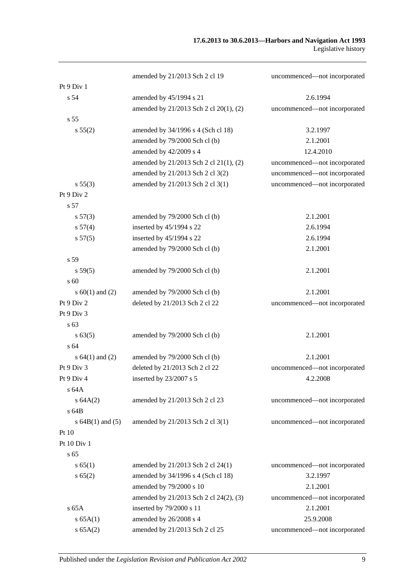|                      | amended by 21/2013 Sch 2 cl 19         | uncommenced-not incorporated |
|----------------------|----------------------------------------|------------------------------|
| Pt 9 Div 1           |                                        |                              |
| s <sub>54</sub>      | amended by 45/1994 s 21                | 2.6.1994                     |
|                      | amended by 21/2013 Sch 2 cl 20(1), (2) | uncommenced-not incorporated |
| s 55                 |                                        |                              |
| s 55(2)              | amended by 34/1996 s 4 (Sch cl 18)     | 3.2.1997                     |
|                      | amended by 79/2000 Sch cl (b)          | 2.1.2001                     |
|                      | amended by 42/2009 s 4                 | 12.4.2010                    |
|                      | amended by 21/2013 Sch 2 cl 21(1), (2) | uncommenced-not incorporated |
|                      | amended by 21/2013 Sch 2 cl 3(2)       | uncommenced-not incorporated |
| s 55(3)              | amended by 21/2013 Sch 2 cl 3(1)       | uncommenced-not incorporated |
| Pt 9 Div 2           |                                        |                              |
| s 57                 |                                        |                              |
| s 57(3)              | amended by 79/2000 Sch cl (b)          | 2.1.2001                     |
| s 57(4)              | inserted by 45/1994 s 22               | 2.6.1994                     |
| s 57(5)              | inserted by 45/1994 s 22               | 2.6.1994                     |
|                      | amended by 79/2000 Sch cl (b)          | 2.1.2001                     |
| s 59                 |                                        |                              |
| s 59(5)              | amended by 79/2000 Sch cl (b)          | 2.1.2001                     |
| s 60                 |                                        |                              |
| s $60(1)$ and $(2)$  | amended by 79/2000 Sch cl (b)          | 2.1.2001                     |
| Pt 9 Div 2           | deleted by 21/2013 Sch 2 cl 22         | uncommenced-not incorporated |
| Pt 9 Div 3           |                                        |                              |
| s 63                 |                                        |                              |
| s 63(5)              | amended by 79/2000 Sch cl (b)          | 2.1.2001                     |
| s 64                 |                                        |                              |
| s $64(1)$ and $(2)$  | amended by 79/2000 Sch cl (b)          | 2.1.2001                     |
| Pt 9 Div 3           | deleted by 21/2013 Sch 2 cl 22         | uncommenced-not incorporated |
| Pt 9 Div 4           | inserted by 23/2007 s 5                | 4.2.2008                     |
| s 64A                |                                        |                              |
| s 64A(2)             | amended by 21/2013 Sch 2 cl 23         | uncommenced-not incorporated |
| s 64B                |                                        |                              |
| s $64B(1)$ and $(5)$ | amended by 21/2013 Sch 2 cl 3(1)       | uncommenced-not incorporated |
| Pt $10$              |                                        |                              |
| Pt 10 Div 1          |                                        |                              |
| s <sub>65</sub>      |                                        |                              |
| s 65(1)              | amended by 21/2013 Sch 2 cl 24(1)      | uncommenced-not incorporated |
| s 65(2)              | amended by 34/1996 s 4 (Sch cl 18)     | 3.2.1997                     |
|                      | amended by 79/2000 s 10                | 2.1.2001                     |
|                      | amended by 21/2013 Sch 2 cl 24(2), (3) | uncommenced-not incorporated |
| $s$ 65A              | inserted by 79/2000 s 11               | 2.1.2001                     |
| s 65A(1)             | amended by 26/2008 s 4                 | 25.9.2008                    |
| s 65A(2)             | amended by 21/2013 Sch 2 cl 25         | uncommenced-not incorporated |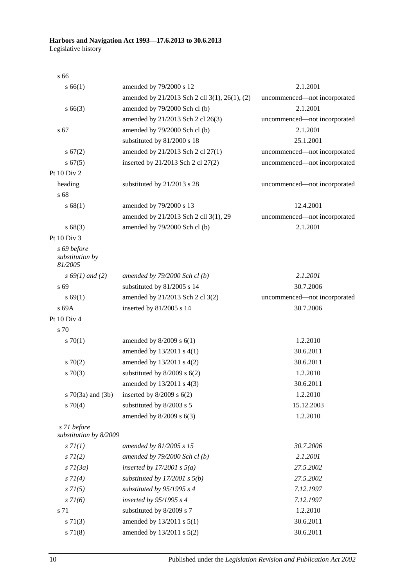s 66

| s 66(1)                                   | amended by 79/2000 s 12                       | 2.1.2001                     |
|-------------------------------------------|-----------------------------------------------|------------------------------|
|                                           | amended by 21/2013 Sch 2 cll 3(1), 26(1), (2) | uncommenced-not incorporated |
| $s\,66(3)$                                | amended by 79/2000 Sch cl (b)                 | 2.1.2001                     |
|                                           | amended by 21/2013 Sch 2 cl 26(3)             | uncommenced-not incorporated |
| s 67                                      | amended by 79/2000 Sch cl (b)                 | 2.1.2001                     |
|                                           | substituted by 81/2000 s 18                   | 25.1.2001                    |
| s 67(2)                                   | amended by 21/2013 Sch 2 cl 27(1)             | uncommenced-not incorporated |
| s 67(5)                                   | inserted by 21/2013 Sch 2 cl 27(2)            | uncommenced-not incorporated |
| Pt 10 Div 2                               |                                               |                              |
| heading                                   | substituted by 21/2013 s 28                   | uncommenced-not incorporated |
| s 68                                      |                                               |                              |
| s 68(1)                                   | amended by 79/2000 s 13                       | 12.4.2001                    |
|                                           | amended by 21/2013 Sch 2 cll 3(1), 29         | uncommenced-not incorporated |
| s 68(3)                                   | amended by 79/2000 Sch cl (b)                 | 2.1.2001                     |
| Pt 10 Div 3                               |                                               |                              |
| s 69 before<br>substitution by<br>81/2005 |                                               |                              |
| $s\,69(1)$ and (2)                        | amended by $79/2000$ Sch cl(b)                | 2.1.2001                     |
| s 69                                      | substituted by 81/2005 s 14                   | 30.7.2006                    |
| s 69(1)                                   | amended by 21/2013 Sch 2 cl 3(2)              | uncommenced-not incorporated |
| s 69A                                     | inserted by 81/2005 s 14                      | 30.7.2006                    |
| Pt 10 Div 4                               |                                               |                              |
| s 70                                      |                                               |                              |
| 570(1)                                    | amended by $8/2009$ s $6(1)$                  | 1.2.2010                     |
|                                           | amended by 13/2011 s 4(1)                     | 30.6.2011                    |
| 570(2)                                    | amended by $13/2011$ s $4(2)$                 | 30.6.2011                    |
| $s \, 70(3)$                              | substituted by $8/2009$ s $6(2)$              | 1.2.2010                     |
|                                           | amended by 13/2011 s 4(3)                     | 30.6.2011                    |
| $s \, 70(3a)$ and $(3b)$                  | inserted by $8/2009$ s $6(2)$                 | 1.2.2010                     |
| $s \, 70(4)$                              | substituted by 8/2003 s 5                     | 15.12.2003                   |
|                                           | amended by 8/2009 s 6(3)                      | 1.2.2010                     |
| s 71 before<br>substitution by 8/2009     |                                               |                              |
| s 7I(1)                                   | amended by 81/2005 s 15                       | 30.7.2006                    |
| $s \, 7l(2)$                              | amended by $79/2000$ Sch cl (b)               | 2.1.2001                     |
| $s \, 7l(3a)$                             | inserted by $17/2001$ s $5(a)$                | 27.5.2002                    |
| $s \, 7I(4)$                              | substituted by $17/2001$ s $5(b)$             | 27.5.2002                    |
| $s \, 7I(5)$                              | substituted by $95/1995 s 4$                  | 7.12.1997                    |
| $s \, 71(6)$                              | inserted by 95/1995 s 4                       | 7.12.1997                    |
| s 71                                      | substituted by 8/2009 s 7                     | 1.2.2010                     |
| $s \, 71(3)$                              | amended by 13/2011 s 5(1)                     | 30.6.2011                    |
| s 71(8)                                   | amended by 13/2011 s 5(2)                     | 30.6.2011                    |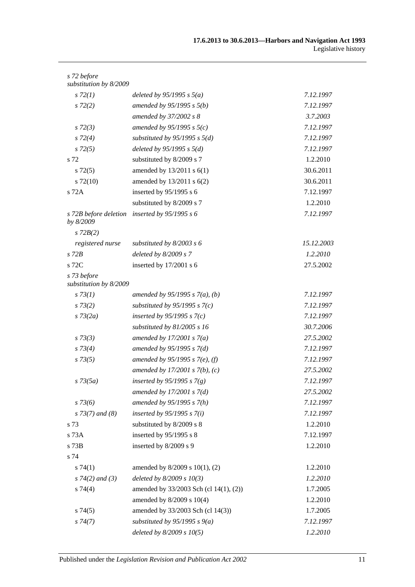| s 72 before<br>substitution by 8/2009 |                                        |            |
|---------------------------------------|----------------------------------------|------------|
| $s\,72(1)$                            | deleted by $95/1995$ s $5(a)$          | 7.12.1997  |
| $s\,72(2)$                            | amended by $95/1995 s 5(b)$            | 7.12.1997  |
|                                       | amended by 37/2002 s 8                 | 3.7.2003   |
| $s\,72(3)$                            | amended by $95/1995 s 5(c)$            | 7.12.1997  |
|                                       | substituted by $95/1995$ s $5(d)$      | 7.12.1997  |
| $s\,72(4)$                            |                                        |            |
| $s\,72(5)$<br>s 72                    | deleted by $95/1995 s 5(d)$            | 7.12.1997  |
|                                       | substituted by 8/2009 s 7              | 1.2.2010   |
| $s\,72(5)$                            | amended by $13/2011$ s $6(1)$          | 30.6.2011  |
| $s\ 72(10)$                           | amended by 13/2011 s 6(2)              | 30.6.2011  |
| s 72A                                 | inserted by $95/1995$ s 6              | 7.12.1997  |
|                                       | substituted by 8/2009 s 7              | 1.2.2010   |
| s 72B before deletion<br>by 8/2009    | inserted by $95/1995 s 6$              | 7.12.1997  |
| $s$ 72 $B(2)$                         |                                        |            |
| registered nurse                      | substituted by $8/2003$ s 6            | 15.12.2003 |
| $s$ 72 $B$                            | deleted by $8/2009 s 7$                | 1.2.2010   |
| s 72C                                 | inserted by 17/2001 s 6                | 27.5.2002  |
| s 73 before<br>substitution by 8/2009 |                                        |            |
| $s \, 73(1)$                          | amended by $95/1995 s 7(a)$ , (b)      | 7.12.1997  |
| $s\,73(2)$                            | substituted by $95/1995$ s $7(c)$      | 7.12.1997  |
| $s \, 73(2a)$                         | inserted by $95/1995 s 7(c)$           | 7.12.1997  |
|                                       | substituted by $81/2005$ s 16          | 30.7.2006  |
| $s \, 73(3)$                          | amended by $17/2001 s 7(a)$            | 27.5.2002  |
| $s \, 73(4)$                          | amended by $95/1995 s 7(d)$            | 7.12.1997  |
| $s \, 73(5)$                          | amended by 95/1995 s 7(e), (f)         | 7.12.1997  |
|                                       | amended by $17/2001 s 7(b)$ , (c)      | 27.5.2002  |
| $s \, 73(5a)$                         | inserted by $95/1995 s 7(g)$           | 7.12.1997  |
|                                       | amended by $17/2001$ s $7(d)$          | 27.5.2002  |
| $s \, 73(6)$                          | amended by $95/1995 s 7(h)$            | 7.12.1997  |
| $s$ 73(7) and (8)                     | inserted by $95/1995 s 7(i)$           | 7.12.1997  |
| s 73                                  | substituted by 8/2009 s 8              | 1.2.2010   |
| s 73A                                 | inserted by 95/1995 s 8                | 7.12.1997  |
| s 73B                                 | inserted by 8/2009 s 9                 | 1.2.2010   |
| s 74                                  |                                        |            |
| s74(1)                                | amended by 8/2009 s 10(1), (2)         | 1.2.2010   |
| $s \, 74(2)$ and (3)                  | deleted by $8/2009 s 10(3)$            | 1.2.2010   |
| s 74(4)                               | amended by 33/2003 Sch (cl 14(1), (2)) | 1.7.2005   |
|                                       | amended by 8/2009 s 10(4)              | 1.2.2010   |
| s74(5)                                | amended by 33/2003 Sch (cl 14(3))      | 1.7.2005   |
| s74(7)                                | substituted by $95/1995$ s $9(a)$      | 7.12.1997  |
|                                       | deleted by $8/2009 s 10(5)$            | 1.2.2010   |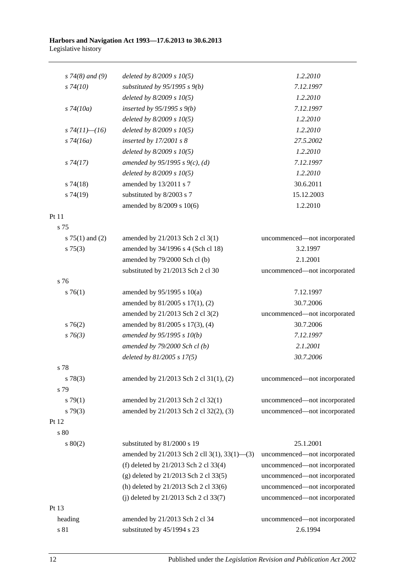#### **Harbors and Navigation Act 1993—17.6.2013 to 30.6.2013** Legislative history

| 1.2.2010<br>$s \, 74(8)$ and (9)<br>deleted by $8/2009 s 10(5)$<br>substituted by $95/1995 s 9(b)$<br>7.12.1997<br>$s\,74(10)$<br>deleted by $8/2009 s 10(5)$<br>1.2.2010<br>7.12.1997<br>$s\,74(10a)$<br>inserted by $95/1995 s 9(b)$<br>deleted by $8/2009 s 10(5)$<br>1.2.2010<br>deleted by $8/2009 s 10(5)$<br>1.2.2010<br>s $74(11)$ - $(16)$<br>$s\,74(16a)$<br>inserted by $17/2001 s 8$<br>27.5.2002<br>deleted by $8/2009 s 10(5)$<br>1.2.2010<br>amended by 95/1995 s 9(c), (d)<br>7.12.1997<br>$s\,74(17)$<br>deleted by $8/2009 s 10(5)$<br>1.2.2010<br>30.6.2011<br>$s\,74(18)$<br>amended by 13/2011 s 7<br>s74(19)<br>substituted by 8/2003 s 7<br>15.12.2003<br>amended by 8/2009 s 10(6)<br>1.2.2010<br>Pt 11<br>s 75<br>s $75(1)$ and $(2)$<br>amended by 21/2013 Sch 2 cl 3(1)<br>amended by 34/1996 s 4 (Sch cl 18)<br>3.2.1997<br>$s \, 75(3)$<br>amended by 79/2000 Sch cl (b)<br>2.1.2001<br>substituted by 21/2013 Sch 2 cl 30<br>s 76<br>$s \, 76(1)$<br>amended by 95/1995 s 10(a)<br>7.12.1997<br>amended by 81/2005 s 17(1), (2)<br>30.7.2006<br>amended by 21/2013 Sch 2 cl 3(2)<br>$s \, 76(2)$<br>amended by 81/2005 s 17(3), (4)<br>30.7.2006<br>$s \, 76(3)$<br>amended by 95/1995 s 10(b)<br>7.12.1997<br>amended by $79/2000$ Sch cl (b)<br>2.1.2001<br>deleted by 81/2005 s 17(5)<br>30.7.2006<br>s 78<br>amended by 21/2013 Sch 2 cl 31(1), (2)<br>$s\,78(3)$<br>s 79<br>amended by 21/2013 Sch 2 cl 32(1)<br>s79(1)<br>amended by 21/2013 Sch 2 cl 32(2), (3)<br>$s\,79(3)$<br>Pt 12<br>s 80<br>$s\ 80(2)$<br>substituted by 81/2000 s 19<br>25.1.2001<br>amended by 21/2013 Sch 2 cll 3(1), 33(1)-(3)<br>(f) deleted by 21/2013 Sch 2 cl 33(4)<br>(g) deleted by 21/2013 Sch 2 cl 33(5)<br>(h) deleted by 21/2013 Sch 2 cl 33(6)<br>(j) deleted by 21/2013 Sch 2 cl 33(7)<br>Pt 13<br>amended by 21/2013 Sch 2 cl 34<br>heading<br>substituted by 45/1994 s 23<br>$\sqrt{s}$ 81<br>2.6.1994 |  |                              |
|-------------------------------------------------------------------------------------------------------------------------------------------------------------------------------------------------------------------------------------------------------------------------------------------------------------------------------------------------------------------------------------------------------------------------------------------------------------------------------------------------------------------------------------------------------------------------------------------------------------------------------------------------------------------------------------------------------------------------------------------------------------------------------------------------------------------------------------------------------------------------------------------------------------------------------------------------------------------------------------------------------------------------------------------------------------------------------------------------------------------------------------------------------------------------------------------------------------------------------------------------------------------------------------------------------------------------------------------------------------------------------------------------------------------------------------------------------------------------------------------------------------------------------------------------------------------------------------------------------------------------------------------------------------------------------------------------------------------------------------------------------------------------------------------------------------------------------------------------------------------------------------------------------------------------------------|--|------------------------------|
|                                                                                                                                                                                                                                                                                                                                                                                                                                                                                                                                                                                                                                                                                                                                                                                                                                                                                                                                                                                                                                                                                                                                                                                                                                                                                                                                                                                                                                                                                                                                                                                                                                                                                                                                                                                                                                                                                                                                     |  |                              |
|                                                                                                                                                                                                                                                                                                                                                                                                                                                                                                                                                                                                                                                                                                                                                                                                                                                                                                                                                                                                                                                                                                                                                                                                                                                                                                                                                                                                                                                                                                                                                                                                                                                                                                                                                                                                                                                                                                                                     |  |                              |
|                                                                                                                                                                                                                                                                                                                                                                                                                                                                                                                                                                                                                                                                                                                                                                                                                                                                                                                                                                                                                                                                                                                                                                                                                                                                                                                                                                                                                                                                                                                                                                                                                                                                                                                                                                                                                                                                                                                                     |  |                              |
|                                                                                                                                                                                                                                                                                                                                                                                                                                                                                                                                                                                                                                                                                                                                                                                                                                                                                                                                                                                                                                                                                                                                                                                                                                                                                                                                                                                                                                                                                                                                                                                                                                                                                                                                                                                                                                                                                                                                     |  |                              |
|                                                                                                                                                                                                                                                                                                                                                                                                                                                                                                                                                                                                                                                                                                                                                                                                                                                                                                                                                                                                                                                                                                                                                                                                                                                                                                                                                                                                                                                                                                                                                                                                                                                                                                                                                                                                                                                                                                                                     |  |                              |
|                                                                                                                                                                                                                                                                                                                                                                                                                                                                                                                                                                                                                                                                                                                                                                                                                                                                                                                                                                                                                                                                                                                                                                                                                                                                                                                                                                                                                                                                                                                                                                                                                                                                                                                                                                                                                                                                                                                                     |  |                              |
|                                                                                                                                                                                                                                                                                                                                                                                                                                                                                                                                                                                                                                                                                                                                                                                                                                                                                                                                                                                                                                                                                                                                                                                                                                                                                                                                                                                                                                                                                                                                                                                                                                                                                                                                                                                                                                                                                                                                     |  |                              |
|                                                                                                                                                                                                                                                                                                                                                                                                                                                                                                                                                                                                                                                                                                                                                                                                                                                                                                                                                                                                                                                                                                                                                                                                                                                                                                                                                                                                                                                                                                                                                                                                                                                                                                                                                                                                                                                                                                                                     |  |                              |
|                                                                                                                                                                                                                                                                                                                                                                                                                                                                                                                                                                                                                                                                                                                                                                                                                                                                                                                                                                                                                                                                                                                                                                                                                                                                                                                                                                                                                                                                                                                                                                                                                                                                                                                                                                                                                                                                                                                                     |  |                              |
|                                                                                                                                                                                                                                                                                                                                                                                                                                                                                                                                                                                                                                                                                                                                                                                                                                                                                                                                                                                                                                                                                                                                                                                                                                                                                                                                                                                                                                                                                                                                                                                                                                                                                                                                                                                                                                                                                                                                     |  |                              |
|                                                                                                                                                                                                                                                                                                                                                                                                                                                                                                                                                                                                                                                                                                                                                                                                                                                                                                                                                                                                                                                                                                                                                                                                                                                                                                                                                                                                                                                                                                                                                                                                                                                                                                                                                                                                                                                                                                                                     |  |                              |
|                                                                                                                                                                                                                                                                                                                                                                                                                                                                                                                                                                                                                                                                                                                                                                                                                                                                                                                                                                                                                                                                                                                                                                                                                                                                                                                                                                                                                                                                                                                                                                                                                                                                                                                                                                                                                                                                                                                                     |  |                              |
|                                                                                                                                                                                                                                                                                                                                                                                                                                                                                                                                                                                                                                                                                                                                                                                                                                                                                                                                                                                                                                                                                                                                                                                                                                                                                                                                                                                                                                                                                                                                                                                                                                                                                                                                                                                                                                                                                                                                     |  |                              |
|                                                                                                                                                                                                                                                                                                                                                                                                                                                                                                                                                                                                                                                                                                                                                                                                                                                                                                                                                                                                                                                                                                                                                                                                                                                                                                                                                                                                                                                                                                                                                                                                                                                                                                                                                                                                                                                                                                                                     |  |                              |
|                                                                                                                                                                                                                                                                                                                                                                                                                                                                                                                                                                                                                                                                                                                                                                                                                                                                                                                                                                                                                                                                                                                                                                                                                                                                                                                                                                                                                                                                                                                                                                                                                                                                                                                                                                                                                                                                                                                                     |  |                              |
|                                                                                                                                                                                                                                                                                                                                                                                                                                                                                                                                                                                                                                                                                                                                                                                                                                                                                                                                                                                                                                                                                                                                                                                                                                                                                                                                                                                                                                                                                                                                                                                                                                                                                                                                                                                                                                                                                                                                     |  | uncommenced-not incorporated |
|                                                                                                                                                                                                                                                                                                                                                                                                                                                                                                                                                                                                                                                                                                                                                                                                                                                                                                                                                                                                                                                                                                                                                                                                                                                                                                                                                                                                                                                                                                                                                                                                                                                                                                                                                                                                                                                                                                                                     |  |                              |
|                                                                                                                                                                                                                                                                                                                                                                                                                                                                                                                                                                                                                                                                                                                                                                                                                                                                                                                                                                                                                                                                                                                                                                                                                                                                                                                                                                                                                                                                                                                                                                                                                                                                                                                                                                                                                                                                                                                                     |  |                              |
|                                                                                                                                                                                                                                                                                                                                                                                                                                                                                                                                                                                                                                                                                                                                                                                                                                                                                                                                                                                                                                                                                                                                                                                                                                                                                                                                                                                                                                                                                                                                                                                                                                                                                                                                                                                                                                                                                                                                     |  | uncommenced-not incorporated |
|                                                                                                                                                                                                                                                                                                                                                                                                                                                                                                                                                                                                                                                                                                                                                                                                                                                                                                                                                                                                                                                                                                                                                                                                                                                                                                                                                                                                                                                                                                                                                                                                                                                                                                                                                                                                                                                                                                                                     |  |                              |
|                                                                                                                                                                                                                                                                                                                                                                                                                                                                                                                                                                                                                                                                                                                                                                                                                                                                                                                                                                                                                                                                                                                                                                                                                                                                                                                                                                                                                                                                                                                                                                                                                                                                                                                                                                                                                                                                                                                                     |  |                              |
|                                                                                                                                                                                                                                                                                                                                                                                                                                                                                                                                                                                                                                                                                                                                                                                                                                                                                                                                                                                                                                                                                                                                                                                                                                                                                                                                                                                                                                                                                                                                                                                                                                                                                                                                                                                                                                                                                                                                     |  |                              |
|                                                                                                                                                                                                                                                                                                                                                                                                                                                                                                                                                                                                                                                                                                                                                                                                                                                                                                                                                                                                                                                                                                                                                                                                                                                                                                                                                                                                                                                                                                                                                                                                                                                                                                                                                                                                                                                                                                                                     |  | uncommenced-not incorporated |
|                                                                                                                                                                                                                                                                                                                                                                                                                                                                                                                                                                                                                                                                                                                                                                                                                                                                                                                                                                                                                                                                                                                                                                                                                                                                                                                                                                                                                                                                                                                                                                                                                                                                                                                                                                                                                                                                                                                                     |  |                              |
|                                                                                                                                                                                                                                                                                                                                                                                                                                                                                                                                                                                                                                                                                                                                                                                                                                                                                                                                                                                                                                                                                                                                                                                                                                                                                                                                                                                                                                                                                                                                                                                                                                                                                                                                                                                                                                                                                                                                     |  |                              |
|                                                                                                                                                                                                                                                                                                                                                                                                                                                                                                                                                                                                                                                                                                                                                                                                                                                                                                                                                                                                                                                                                                                                                                                                                                                                                                                                                                                                                                                                                                                                                                                                                                                                                                                                                                                                                                                                                                                                     |  |                              |
|                                                                                                                                                                                                                                                                                                                                                                                                                                                                                                                                                                                                                                                                                                                                                                                                                                                                                                                                                                                                                                                                                                                                                                                                                                                                                                                                                                                                                                                                                                                                                                                                                                                                                                                                                                                                                                                                                                                                     |  |                              |
|                                                                                                                                                                                                                                                                                                                                                                                                                                                                                                                                                                                                                                                                                                                                                                                                                                                                                                                                                                                                                                                                                                                                                                                                                                                                                                                                                                                                                                                                                                                                                                                                                                                                                                                                                                                                                                                                                                                                     |  |                              |
|                                                                                                                                                                                                                                                                                                                                                                                                                                                                                                                                                                                                                                                                                                                                                                                                                                                                                                                                                                                                                                                                                                                                                                                                                                                                                                                                                                                                                                                                                                                                                                                                                                                                                                                                                                                                                                                                                                                                     |  | uncommenced-not incorporated |
|                                                                                                                                                                                                                                                                                                                                                                                                                                                                                                                                                                                                                                                                                                                                                                                                                                                                                                                                                                                                                                                                                                                                                                                                                                                                                                                                                                                                                                                                                                                                                                                                                                                                                                                                                                                                                                                                                                                                     |  |                              |
|                                                                                                                                                                                                                                                                                                                                                                                                                                                                                                                                                                                                                                                                                                                                                                                                                                                                                                                                                                                                                                                                                                                                                                                                                                                                                                                                                                                                                                                                                                                                                                                                                                                                                                                                                                                                                                                                                                                                     |  | uncommenced-not incorporated |
|                                                                                                                                                                                                                                                                                                                                                                                                                                                                                                                                                                                                                                                                                                                                                                                                                                                                                                                                                                                                                                                                                                                                                                                                                                                                                                                                                                                                                                                                                                                                                                                                                                                                                                                                                                                                                                                                                                                                     |  | uncommenced-not incorporated |
|                                                                                                                                                                                                                                                                                                                                                                                                                                                                                                                                                                                                                                                                                                                                                                                                                                                                                                                                                                                                                                                                                                                                                                                                                                                                                                                                                                                                                                                                                                                                                                                                                                                                                                                                                                                                                                                                                                                                     |  |                              |
|                                                                                                                                                                                                                                                                                                                                                                                                                                                                                                                                                                                                                                                                                                                                                                                                                                                                                                                                                                                                                                                                                                                                                                                                                                                                                                                                                                                                                                                                                                                                                                                                                                                                                                                                                                                                                                                                                                                                     |  |                              |
|                                                                                                                                                                                                                                                                                                                                                                                                                                                                                                                                                                                                                                                                                                                                                                                                                                                                                                                                                                                                                                                                                                                                                                                                                                                                                                                                                                                                                                                                                                                                                                                                                                                                                                                                                                                                                                                                                                                                     |  |                              |
|                                                                                                                                                                                                                                                                                                                                                                                                                                                                                                                                                                                                                                                                                                                                                                                                                                                                                                                                                                                                                                                                                                                                                                                                                                                                                                                                                                                                                                                                                                                                                                                                                                                                                                                                                                                                                                                                                                                                     |  | uncommenced-not incorporated |
|                                                                                                                                                                                                                                                                                                                                                                                                                                                                                                                                                                                                                                                                                                                                                                                                                                                                                                                                                                                                                                                                                                                                                                                                                                                                                                                                                                                                                                                                                                                                                                                                                                                                                                                                                                                                                                                                                                                                     |  | uncommenced-not incorporated |
|                                                                                                                                                                                                                                                                                                                                                                                                                                                                                                                                                                                                                                                                                                                                                                                                                                                                                                                                                                                                                                                                                                                                                                                                                                                                                                                                                                                                                                                                                                                                                                                                                                                                                                                                                                                                                                                                                                                                     |  | uncommenced-not incorporated |
|                                                                                                                                                                                                                                                                                                                                                                                                                                                                                                                                                                                                                                                                                                                                                                                                                                                                                                                                                                                                                                                                                                                                                                                                                                                                                                                                                                                                                                                                                                                                                                                                                                                                                                                                                                                                                                                                                                                                     |  | uncommenced-not incorporated |
|                                                                                                                                                                                                                                                                                                                                                                                                                                                                                                                                                                                                                                                                                                                                                                                                                                                                                                                                                                                                                                                                                                                                                                                                                                                                                                                                                                                                                                                                                                                                                                                                                                                                                                                                                                                                                                                                                                                                     |  | uncommenced-not incorporated |
|                                                                                                                                                                                                                                                                                                                                                                                                                                                                                                                                                                                                                                                                                                                                                                                                                                                                                                                                                                                                                                                                                                                                                                                                                                                                                                                                                                                                                                                                                                                                                                                                                                                                                                                                                                                                                                                                                                                                     |  |                              |
|                                                                                                                                                                                                                                                                                                                                                                                                                                                                                                                                                                                                                                                                                                                                                                                                                                                                                                                                                                                                                                                                                                                                                                                                                                                                                                                                                                                                                                                                                                                                                                                                                                                                                                                                                                                                                                                                                                                                     |  | uncommenced-not incorporated |
|                                                                                                                                                                                                                                                                                                                                                                                                                                                                                                                                                                                                                                                                                                                                                                                                                                                                                                                                                                                                                                                                                                                                                                                                                                                                                                                                                                                                                                                                                                                                                                                                                                                                                                                                                                                                                                                                                                                                     |  |                              |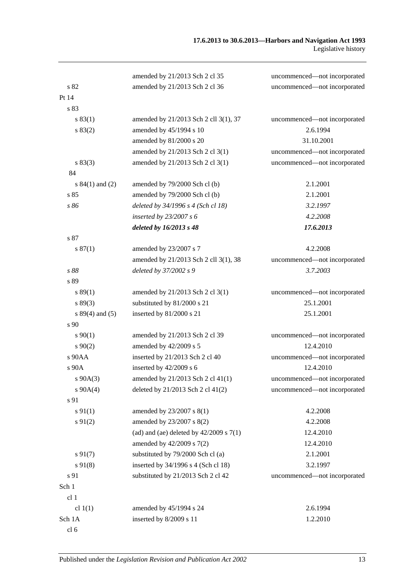|                     | amended by 21/2013 Sch 2 cl 35              | uncommenced-not incorporated |
|---------------------|---------------------------------------------|------------------------------|
| s82                 | amended by 21/2013 Sch 2 cl 36              | uncommenced-not incorporated |
| Pt 14               |                                             |                              |
| s 83                |                                             |                              |
| s 83(1)             | amended by 21/2013 Sch 2 cll 3(1), 37       | uncommenced-not incorporated |
| s 83(2)             | amended by 45/1994 s 10                     | 2.6.1994                     |
|                     | amended by 81/2000 s 20                     | 31.10.2001                   |
|                     | amended by 21/2013 Sch 2 cl 3(1)            | uncommenced-not incorporated |
| s 83(3)             | amended by 21/2013 Sch 2 cl 3(1)            | uncommenced-not incorporated |
| 84                  |                                             |                              |
| s $84(1)$ and $(2)$ | amended by 79/2000 Sch cl (b)               | 2.1.2001                     |
| s 85                | amended by 79/2000 Sch cl (b)               | 2.1.2001                     |
| s 86                | deleted by 34/1996 s 4 (Sch cl 18)          | 3.2.1997                     |
|                     | inserted by $23/2007 s 6$                   | 4.2.2008                     |
|                     | deleted by 16/2013 s 48                     | 17.6.2013                    |
| s 87                |                                             |                              |
| s 87(1)             | amended by 23/2007 s 7                      | 4.2.2008                     |
|                     | amended by 21/2013 Sch 2 cll 3(1), 38       | uncommenced-not incorporated |
| s 88                | deleted by 37/2002 s 9                      | 3.7.2003                     |
| s 89                |                                             |                              |
| s 89(1)             | amended by 21/2013 Sch 2 cl 3(1)            | uncommenced-not incorporated |
| s 89(3)             | substituted by 81/2000 s 21                 | 25.1.2001                    |
| $s 89(4)$ and (5)   | inserted by 81/2000 s 21                    | 25.1.2001                    |
| s 90                |                                             |                              |
| $s\,90(1)$          | amended by 21/2013 Sch 2 cl 39              | uncommenced-not incorporated |
| $s \ 90(2)$         | amended by 42/2009 s 5                      | 12.4.2010                    |
| s 90AA              | inserted by 21/2013 Sch 2 cl 40             | uncommenced-not incorporated |
| s 90A               | inserted by 42/2009 s 6                     | 12.4.2010                    |
| $s\ 90A(3)$         | amended by 21/2013 Sch 2 cl 41(1)           | uncommenced—not incorporated |
| $s\ 90A(4)$         | deleted by $21/2013$ Sch 2 cl $41(2)$       | uncommenced-not incorporated |
| s 91                |                                             |                              |
| $s\,91(1)$          | amended by 23/2007 s 8(1)                   | 4.2.2008                     |
| $s\ 91(2)$          | amended by 23/2007 s 8(2)                   | 4.2.2008                     |
|                     | (ad) and (ae) deleted by $42/2009$ s $7(1)$ | 12.4.2010                    |
|                     | amended by 42/2009 s 7(2)                   | 12.4.2010                    |
| $s\,91(7)$          | substituted by 79/2000 Sch cl (a)           | 2.1.2001                     |
| $s\,91(8)$          | inserted by 34/1996 s 4 (Sch cl 18)         | 3.2.1997                     |
| s 91                | substituted by 21/2013 Sch 2 cl 42          | uncommenced-not incorporated |
| Sch 1               |                                             |                              |
| cl 1                |                                             |                              |
| cl $1(1)$           | amended by 45/1994 s 24                     | 2.6.1994                     |
| Sch 1A              | inserted by 8/2009 s 11                     | 1.2.2010                     |
| cl <sub>6</sub>     |                                             |                              |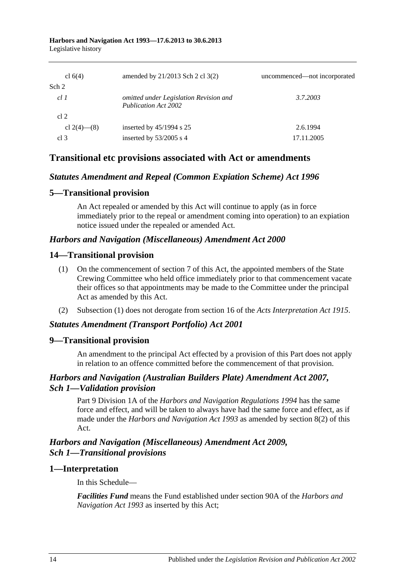| cl $6(4)$       | amended by $21/2013$ Sch 2 cl 3(2)                                    | uncommenced—not incorporated |
|-----------------|-----------------------------------------------------------------------|------------------------------|
| Sch 2           |                                                                       |                              |
| cl1             | omitted under Legislation Revision and<br><b>Publication Act 2002</b> | 3.7.2003                     |
| cl 2            |                                                                       |                              |
| cl 2(4)–(8)     | inserted by $45/1994$ s 25                                            | 2.6.1994                     |
| cl <sub>3</sub> | inserted by $53/2005$ s 4                                             | 17.11.2005                   |

### **Transitional etc provisions associated with Act or amendments**

#### *Statutes Amendment and Repeal (Common Expiation Scheme) Act 1996*

### **5—Transitional provision**

An Act repealed or amended by this Act will continue to apply (as in force immediately prior to the repeal or amendment coming into operation) to an expiation notice issued under the repealed or amended Act.

### *Harbors and Navigation (Miscellaneous) Amendment Act 2000*

### **14—Transitional provision**

- (1) On the commencement of section 7 of this Act, the appointed members of the State Crewing Committee who held office immediately prior to that commencement vacate their offices so that appointments may be made to the Committee under the principal Act as amended by this Act.
- (2) Subsection (1) does not derogate from section 16 of the *[Acts Interpretation Act](http://www.legislation.sa.gov.au/index.aspx?action=legref&type=act&legtitle=Acts%20Interpretation%20Act%201915) 1915*.

#### *Statutes Amendment (Transport Portfolio) Act 2001*

#### **9—Transitional provision**

An amendment to the principal Act effected by a provision of this Part does not apply in relation to an offence committed before the commencement of that provision.

### *Harbors and Navigation (Australian Builders Plate) Amendment Act 2007, Sch 1—Validation provision*

Part 9 Division 1A of the *[Harbors and Navigation Regulations](http://www.legislation.sa.gov.au/index.aspx?action=legref&type=subordleg&legtitle=Harbors%20and%20Navigation%20Regulations%201994) 1994* has the same force and effect, and will be taken to always have had the same force and effect, as if made under the *[Harbors and Navigation Act](http://www.legislation.sa.gov.au/index.aspx?action=legref&type=act&legtitle=Harbors%20and%20Navigation%20Act%201993) 1993* as amended by section 8(2) of this Act.

### *Harbors and Navigation (Miscellaneous) Amendment Act 2009, Sch 1—Transitional provisions*

#### **1—Interpretation**

In this Schedule—

*Facilities Fund* means the Fund established under section 90A of the *[Harbors and](http://www.legislation.sa.gov.au/index.aspx?action=legref&type=act&legtitle=Harbors%20and%20Navigation%20Act%201993)  [Navigation Act](http://www.legislation.sa.gov.au/index.aspx?action=legref&type=act&legtitle=Harbors%20and%20Navigation%20Act%201993) 1993* as inserted by this Act;